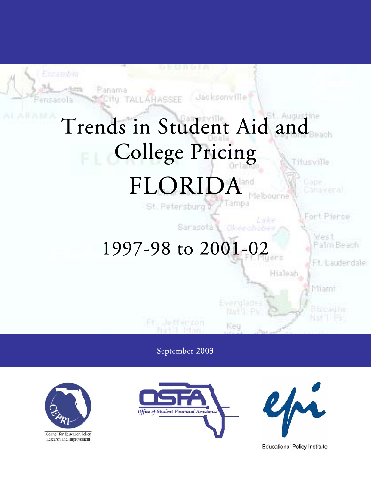

September 2003



Council for Education Policy, Research and Improvement





**Educational Policy Institute**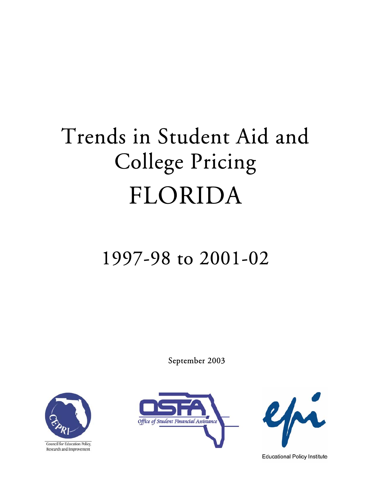# Trends in Student Aid and College Pricing FLORIDA

# 1997-98 to 2001-02

September 2003



Council for Education Policy, Research and Improvement





**Educational Policy Institute**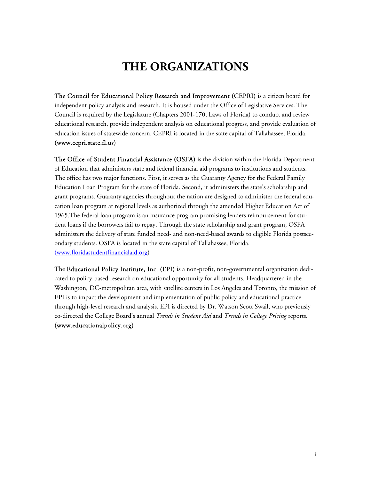# **THE ORGANIZATIONS**

The Council for Educational Policy Research and Improvement (CEPRI) is a citizen board for independent policy analysis and research. It is housed under the Office of Legislative Services. The Council is required by the Legislature (Chapters 2001-170, Laws of Florida) to conduct and review educational research, provide independent analysis on educational progress, and provide evaluation of education issues of statewide concern. CEPRI is located in the state capital of Tallahassee, Florida. (www.cepri.state.fl.us)

The Office of Student Financial Assistance (OSFA) is the division within the Florida Department of Education that administers state and federal financial aid programs to institutions and students. The office has two major functions. First, it serves as the Guaranty Agency for the Federal Family Education Loan Program for the state of Florida. Second, it administers the state's scholarship and grant programs. Guaranty agencies throughout the nation are designed to administer the federal education loan program at regional levels as authorized through the amended Higher Education Act of 1965.The federal loan program is an insurance program promising lenders reimbursement for student loans if the borrowers fail to repay. Through the state scholarship and grant program, OSFA administers the delivery of state funded need- and non-need-based awards to eligible Florida postsecondary students. OSFA is located in the state capital of Tallahassee, Florida. (www.floridastudentfinancialaid.org)

The Educational Policy Institute, Inc. (EPI) is a non-profit, non-governmental organization dedicated to policy-based research on educational opportunity for all students. Headquartered in the Washington, DC-metropolitan area, with satellite centers in Los Angeles and Toronto, the mission of EPI is to impact the development and implementation of public policy and educational practice through high-level research and analysis. EPI is directed by Dr. Watson Scott Swail, who previously co-directed the College Board's annual *Trends in Student Aid* and *Trends in College Pricing* reports. (www.educationalpolicy.org)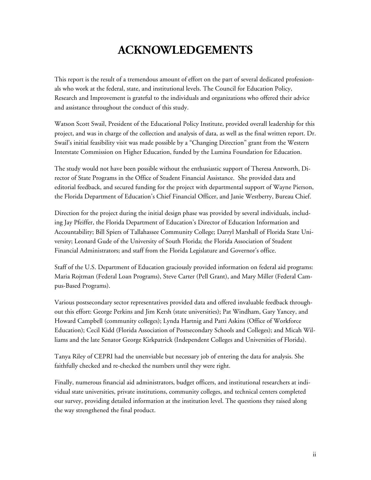# **ACKNOWLEDGEMENTS**

This report is the result of a tremendous amount of effort on the part of several dedicated professionals who work at the federal, state, and institutional levels. The Council for Education Policy, Research and Improvement is grateful to the individuals and organizations who offered their advice and assistance throughout the conduct of this study.

Watson Scott Swail, President of the Educational Policy Institute, provided overall leadership for this project, and was in charge of the collection and analysis of data, as well as the final written report. Dr. Swail's initial feasibility visit was made possible by a "Changing Direction" grant from the Western Interstate Commission on Higher Education, funded by the Lumina Foundation for Education.

The study would not have been possible without the enthusiastic support of Theresa Antworth, Director of State Programs in the Office of Student Financial Assistance. She provided data and editorial feedback, and secured funding for the project with departmental support of Wayne Pierson, the Florida Department of Education's Chief Financial Officer, and Janie Westberry, Bureau Chief.

Direction for the project during the initial design phase was provided by several individuals, including Jay Pfeiffer, the Florida Department of Education's Director of Education Information and Accountability; Bill Spiers of Tallahassee Community College; Darryl Marshall of Florida State University; Leonard Gude of the University of South Florida; the Florida Association of Student Financial Administrators; and staff from the Florida Legislature and Governor's office.

Staff of the U.S. Department of Education graciously provided information on federal aid programs: Maria Rojtman (Federal Loan Programs), Steve Carter (Pell Grant), and Mary Miller (Federal Campus-Based Programs).

Various postsecondary sector representatives provided data and offered invaluable feedback throughout this effort: George Perkins and Jim Kersh (state universities); Pat Windham, Gary Yancey, and Howard Campbell (community colleges); Lynda Hartnig and Patti Askins (Office of Workforce Education); Cecil Kidd (Florida Association of Postsecondary Schools and Colleges); and Micah Williams and the late Senator George Kirkpatrick (Independent Colleges and Universities of Florida).

Tanya Riley of CEPRI had the unenviable but necessary job of entering the data for analysis. She faithfully checked and re-checked the numbers until they were right.

Finally, numerous financial aid administrators, budget officers, and institutional researchers at individual state universities, private institutions, community colleges, and technical centers completed our survey, providing detailed information at the institution level. The questions they raised along the way strengthened the final product.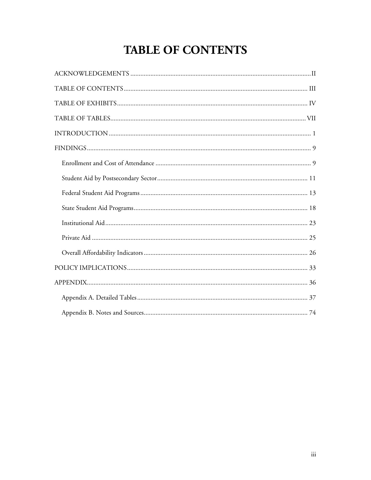# **TABLE OF CONTENTS**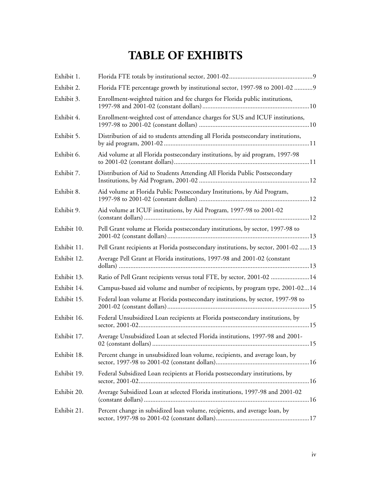# **TABLE OF EXHIBITS**

| Exhibit 1.  |                                                                                     |
|-------------|-------------------------------------------------------------------------------------|
| Exhibit 2.  | Florida FTE percentage growth by institutional sector, 1997-98 to 2001-02  9        |
| Exhibit 3.  | Enrollment-weighted tuition and fee charges for Florida public institutions,        |
| Exhibit 4.  | Enrollment-weighted cost of attendance charges for SUS and ICUF institutions,       |
| Exhibit 5.  | Distribution of aid to students attending all Florida postsecondary institutions,   |
| Exhibit 6.  | Aid volume at all Florida postsecondary institutions, by aid program, 1997-98       |
| Exhibit 7.  | Distribution of Aid to Students Attending All Florida Public Postsecondary          |
| Exhibit 8.  | Aid volume at Florida Public Postsecondary Institutions, by Aid Program,            |
| Exhibit 9.  | Aid volume at ICUF institutions, by Aid Program, 1997-98 to 2001-02                 |
| Exhibit 10. | Pell Grant volume at Florida postsecondary institutions, by sector, 1997-98 to      |
| Exhibit 11. | Pell Grant recipients at Florida postsecondary institutions, by sector, 2001-02  13 |
| Exhibit 12. | Average Pell Grant at Florida institutions, 1997-98 and 2001-02 (constant           |
| Exhibit 13. | Ratio of Pell Grant recipients versus total FTE, by sector, 2001-02 14              |
| Exhibit 14. | Campus-based aid volume and number of recipients, by program type, 2001-0214        |
| Exhibit 15. | Federal loan volume at Florida postsecondary institutions, by sector, 1997-98 to    |
| Exhibit 16. | Federal Unsubsidized Loan recipients at Florida postsecondary institutions, by      |
| Exhibit 17. | Average Unsubsidized Loan at selected Florida institutions, 1997-98 and 2001-       |
| Exhibit 18. | Percent change in unsubsidized loan volume, recipients, and average loan, by        |
| Exhibit 19. | Federal Subsidized Loan recipients at Florida postsecondary institutions, by        |
| Exhibit 20. | Average Subsidized Loan at selected Florida institutions, 1997-98 and 2001-02       |
| Exhibit 21. | Percent change in subsidized loan volume, recipients, and average loan, by          |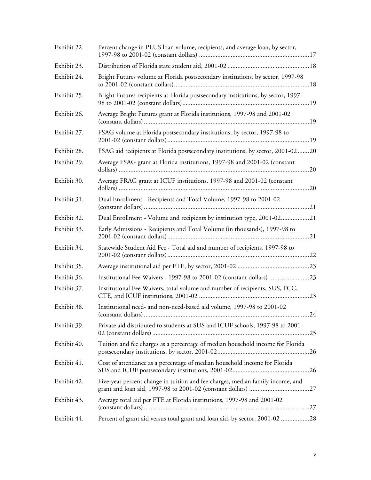| Exhibit 22. | Percent change in PLUS loan volume, recipients, and average loan, by sector,        |
|-------------|-------------------------------------------------------------------------------------|
| Exhibit 23. |                                                                                     |
| Exhibit 24. | Bright Futures volume at Florida postsecondary institutions, by sector, 1997-98     |
| Exhibit 25. | Bright Futures recipients at Florida postsecondary institutions, by sector, 1997-   |
| Exhibit 26. | Average Bright Futures grant at Florida institutions, 1997-98 and 2001-02           |
| Exhibit 27. | FSAG volume at Florida postsecondary institutions, by sector, 1997-98 to            |
| Exhibit 28. | FSAG aid recipients at Florida postsecondary institutions, by sector, 2001-0220     |
| Exhibit 29. | Average FSAG grant at Florida institutions, 1997-98 and 2001-02 (constant           |
| Exhibit 30. | Average FRAG grant at ICUF institutions, 1997-98 and 2001-02 (constant              |
| Exhibit 31. | Dual Enrollment - Recipients and Total Volume, 1997-98 to 2001-02                   |
| Exhibit 32. | Dual Enrollment - Volume and recipients by institution type, 2001-0221              |
| Exhibit 33. | Early Admissions - Recipients and Total Volume (in thousands), 1997-98 to           |
| Exhibit 34. | Statewide Student Aid Fee - Total aid and number of recipients, 1997-98 to          |
| Exhibit 35. |                                                                                     |
| Exhibit 36. | Institutional Fee Waivers - 1997-98 to 2001-02 (constant dollars) 23                |
| Exhibit 37. | Institutional Fee Waivers, total volume and number of recipients, SUS, FCC,         |
| Exhibit 38. | Institutional need- and non-need-based aid volume, 1997-98 to 2001-02<br>$\dots$ 24 |
| Exhibit 39. | Private aid distributed to students at SUS and ICUF schools, 1997-98 to 2001-       |
| Exhibit 40. | Tuition and fee charges as a percentage of median household income for Florida      |
| Exhibit 41. | Cost of attendance as a percentage of median household income for Florida           |
| Exhibit 42. | Five-year percent change in tuition and fee charges, median family income, and      |
| Exhibit 43. | Average total aid per FTE at Florida institutions, 1997-98 and 2001-02              |
| Exhibit 44. | Percent of grant aid versus total grant and loan aid, by sector, 2001-02 28         |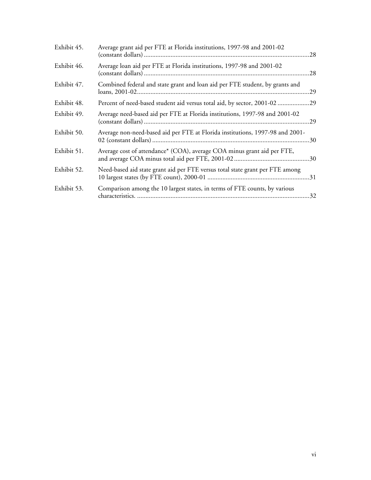| Exhibit 45. | Average grant aid per FTE at Florida institutions, 1997-98 and 2001-02        |  |
|-------------|-------------------------------------------------------------------------------|--|
| Exhibit 46. | Average loan aid per FTE at Florida institutions, 1997-98 and 2001-02         |  |
| Exhibit 47. | Combined federal and state grant and loan aid per FTE student, by grants and  |  |
| Exhibit 48. | Percent of need-based student aid versus total aid, by sector, 2001-0229      |  |
| Exhibit 49. | Average need-based aid per FTE at Florida institutions, 1997-98 and 2001-02   |  |
| Exhibit 50. | Average non-need-based aid per FTE at Florida institutions, 1997-98 and 2001- |  |
| Exhibit 51. | Average cost of attendance* (COA), average COA minus grant aid per FTE,       |  |
| Exhibit 52. | Need-based aid state grant aid per FTE versus total state grant per FTE among |  |
| Exhibit 53. | Comparison among the 10 largest states, in terms of FTE counts, by various    |  |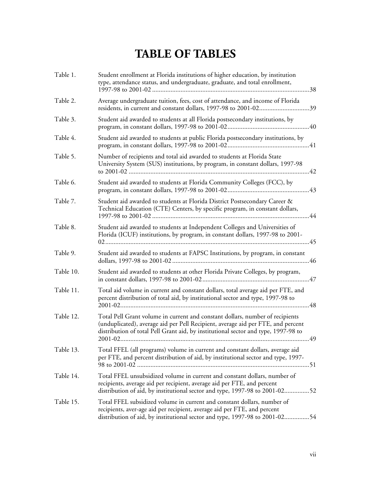# **TABLE OF TABLES**

| Table 1.  | Student enrollment at Florida institutions of higher education, by institution<br>type, attendance status, and undergraduate, graduate, and total enrollment,                                                                                           |
|-----------|---------------------------------------------------------------------------------------------------------------------------------------------------------------------------------------------------------------------------------------------------------|
| Table 2.  | Average undergraduate tuition, fees, cost of attendance, and income of Florida<br>residents, in current and constant dollars, 1997-98 to 2001-0239                                                                                                      |
| Table 3.  | Student aid awarded to students at all Florida postsecondary institutions, by                                                                                                                                                                           |
| Table 4.  | Student aid awarded to students at public Florida postsecondary institutions, by                                                                                                                                                                        |
| Table 5.  | Number of recipients and total aid awarded to students at Florida State<br>University System (SUS) institutions, by program, in constant dollars, 1997-98                                                                                               |
| Table 6.  | Student aid awarded to students at Florida Community Colleges (FCC), by                                                                                                                                                                                 |
| Table 7.  | Student aid awarded to students at Florida District Postsecondary Career &<br>Technical Education (CTE) Centers, by specific program, in constant dollars,                                                                                              |
| Table 8.  | Student aid awarded to students at Independent Colleges and Universities of<br>Florida (ICUF) institutions, by program, in constant dollars, 1997-98 to 2001-                                                                                           |
| Table 9.  | Student aid awarded to students at FAPSC Institutions, by program, in constant                                                                                                                                                                          |
| Table 10. | Student aid awarded to students at other Florida Private Colleges, by program,                                                                                                                                                                          |
| Table 11. | Total aid volume in current and constant dollars, total average aid per FTE, and<br>percent distribution of total aid, by institutional sector and type, 1997-98 to                                                                                     |
| Table 12. | Total Pell Grant volume in current and constant dollars, number of recipients<br>(unduplicated), average aid per Pell Recipient, average aid per FTE, and percent<br>distribution of total Pell Grant aid, by institutional sector and type, 1997-98 to |
| Table 13. | Total FFEL (all programs) volume in current and constant dollars, average aid<br>per FTE, and percent distribution of aid, by institutional sector and type, 1997-                                                                                      |
| Table 14. | Total FFEL unsubsidized volume in current and constant dollars, number of<br>recipients, average aid per recipient, average aid per FTE, and percent<br>distribution of aid, by institutional sector and type, 1997-98 to 2001-0252                     |
| Table 15. | Total FFEL subsidized volume in current and constant dollars, number of<br>recipients, aver-age aid per recipient, average aid per FTE, and percent<br>distribution of aid, by institutional sector and type, 1997-98 to 2001-0254                      |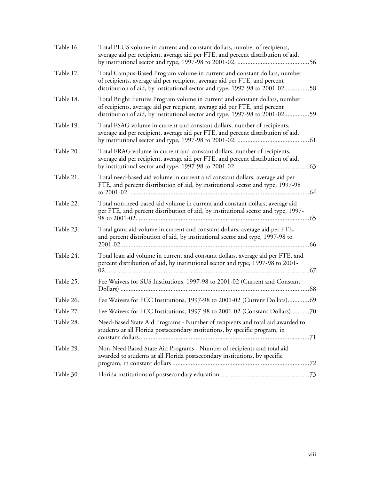| Table 16. | Total PLUS volume in current and constant dollars, number of recipients,<br>average aid per recipient, average aid per FTE, and percent distribution of aid,                                                                             |
|-----------|------------------------------------------------------------------------------------------------------------------------------------------------------------------------------------------------------------------------------------------|
| Table 17. | Total Campus-Based Program volume in current and constant dollars, number<br>of recipients, average aid per recipient, average aid per FTE, and percent<br>distribution of aid, by institutional sector and type, 1997-98 to 2001-0258   |
| Table 18. | Total Bright Futures Program volume in current and constant dollars, number<br>of recipients, average aid per recipient, average aid per FTE, and percent<br>distribution of aid, by institutional sector and type, 1997-98 to 2001-0259 |
| Table 19. | Total FSAG volume in current and constant dollars, number of recipients,<br>average aid per recipient, average aid per FTE, and percent distribution of aid,                                                                             |
| Table 20. | Total FRAG volume in current and constant dollars, number of recipients,<br>average aid per recipient, average aid per FTE, and percent distribution of aid,                                                                             |
| Table 21. | Total need-based aid volume in current and constant dollars, average aid per<br>FTE, and percent distribution of aid, by institutional sector and type, 1997-98                                                                          |
| Table 22. | Total non-need-based aid volume in current and constant dollars, average aid<br>per FTE, and percent distribution of aid, by institutional sector and type, 1997-                                                                        |
| Table 23. | Total grant aid volume in current and constant dollars, average aid per FTE,<br>and percent distribution of aid, by institutional sector and type, 1997-98 to                                                                            |
| Table 24. | Total loan aid volume in current and constant dollars, average aid per FTE, and<br>percent distribution of aid, by institutional sector and type, 1997-98 to 2001-                                                                       |
| Table 25. | Fee Waivers for SUS Institutions, 1997-98 to 2001-02 (Current and Constant                                                                                                                                                               |
| Table 26. | Fee Waivers for FCC Institutions, 1997-98 to 2001-02 (Current Dollars)69                                                                                                                                                                 |
| Table 27. | Fee Waivers for FCC Institutions, 1997-98 to 2001-02 (Constant Dollars)70                                                                                                                                                                |
| Table 28. | Need-Based State Aid Programs - Number of recipients and total aid awarded to<br>students at all Florida postsecondary institutions, by specific program, in                                                                             |
| Table 29. | Non-Need Based State Aid Programs - Number of recipients and total aid<br>awarded to students at all Florida postsecondary institutions, by specific                                                                                     |
| Table 30. |                                                                                                                                                                                                                                          |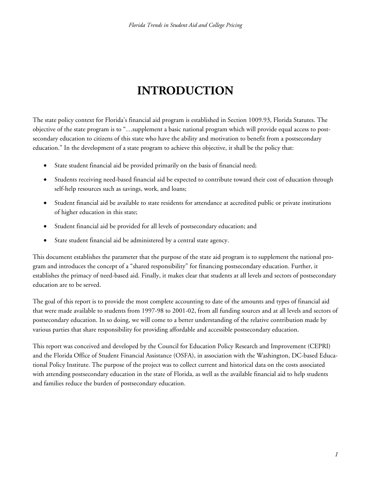# **INTRODUCTION**

The state policy context for Florida's financial aid program is established in Section 1009.93, Florida Statutes. The objective of the state program is to "…supplement a basic national program which will provide equal access to postsecondary education to citizens of this state who have the ability and motivation to benefit from a postsecondary education." In the development of a state program to achieve this objective, it shall be the policy that:

- State student financial aid be provided primarily on the basis of financial need;
- Students receiving need-based financial aid be expected to contribute toward their cost of education through self-help resources such as savings, work, and loans;
- Student financial aid be available to state residents for attendance at accredited public or private institutions of higher education in this state;
- Student financial aid be provided for all levels of postsecondary education; and
- State student financial aid be administered by a central state agency.

This document establishes the parameter that the purpose of the state aid program is to supplement the national program and introduces the concept of a "shared responsibility" for financing postsecondary education. Further, it establishes the primacy of need-based aid. Finally, it makes clear that students at all levels and sectors of postsecondary education are to be served.

The goal of this report is to provide the most complete accounting to date of the amounts and types of financial aid that were made available to students from 1997-98 to 2001-02, from all funding sources and at all levels and sectors of postsecondary education. In so doing, we will come to a better understanding of the relative contribution made by various parties that share responsibility for providing affordable and accessible postsecondary education.

This report was conceived and developed by the Council for Education Policy Research and Improvement (CEPRI) and the Florida Office of Student Financial Assistance (OSFA), in association with the Washington, DC-based Educational Policy Institute. The purpose of the project was to collect current and historical data on the costs associated with attending postsecondary education in the state of Florida, as well as the available financial aid to help students and families reduce the burden of postsecondary education.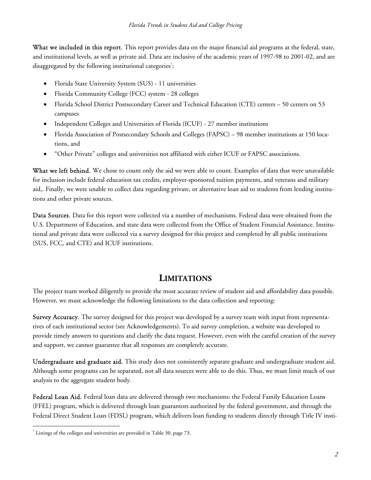What we included in this report. This report provides data on the major financial aid programs at the federal, state, and institutional levels, as well as private aid. Data are inclusive of the academic years of 1997-98 to 2001-02, and are disaggregated by the following institutional categories<sup>1</sup>:

- Florida State University System (SUS) 11 universities
- Florida Community College (FCC) system 28 colleges
- Florida School District Postsecondary Career and Technical Education (CTE) centers 50 centers on 53 campuses
- Independent Colleges and Universities of Florida (ICUF) 27 member institutions
- Florida Association of Postsecondary Schools and Colleges (FAPSC) 98 member institutions at 150 locations, and
- "Other Private" colleges and universities not affiliated with either ICUF or FAPSC associations.

What we left behind. We chose to count only the aid we were able to count. Examples of data that were unavailable for inclusion include federal education tax credits, employer-sponsored tuition payments, and veterans and military aid,. Finally, we were unable to collect data regarding private, or alternative loan aid to students from lending institutions and other private sources.

Data Sources. Data for this report were collected via a number of mechanisms. Federal data were obtained from the U.S. Department of Education, and state data were collected from the Office of Student Financial Assistance. Institutional and private data were collected via a survey designed for this project and completed by all public institutions (SUS, FCC, and CTE) and ICUF institutions.

### **LIMITATIONS**

The project team worked diligently to provide the most accurate review of student aid and affordability data possible. However, we must acknowledge the following limitations to the data collection and reporting:

Survey Accuracy. The survey designed for this project was developed by a survey team with input from representatives of each institutional sector (see Acknowledgements). To aid survey completion, a website was developed to provide timely answers to questions and clarify the data request. However, even with the careful creation of the survey and support, we cannot guarantee that all responses are completely accurate.

Undergraduate and graduate aid. This study does not consistently separate graduate and undergraduate student aid. Although some programs can be separated, not all data sources were able to do this. Thus, we must limit much of our analysis to the aggregate student body.

Federal Loan Aid. Federal loan data are delivered through two mechanisms: the Federal Family Education Loans (FFEL) program, which is delivered through loan guarantors authorized by the federal government, and through the Federal Direct Student Loan (FDSL) program, which delivers loan funding to students directly through Title IV insti-

 $\overline{a}$  $^1$  Listings of the colleges and universities are provided in Table 30, page 73.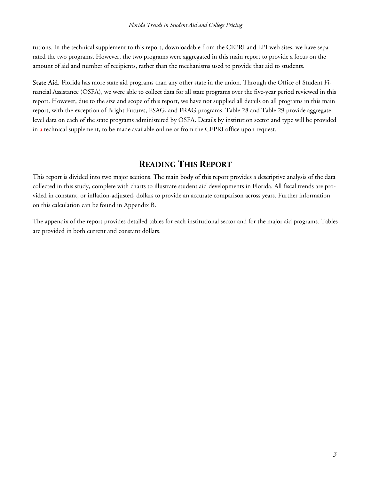tutions. In the technical supplement to this report, downloadable from the CEPRI and EPI web sites, we have separated the two programs. However, the two programs were aggregated in this main report to provide a focus on the amount of aid and number of recipients, rather than the mechanisms used to provide that aid to students.

State Aid. Florida has more state aid programs than any other state in the union. Through the Office of Student Financial Assistance (OSFA), we were able to collect data for all state programs over the five-year period reviewed in this report. However, due to the size and scope of this report, we have not supplied all details on all programs in this main report, with the exception of Bright Futures, FSAG, and FRAG programs. Table 28 and Table 29 provide aggregatelevel data on each of the state programs administered by OSFA. Details by institution sector and type will be provided in a technical supplement, to be made available online or from the CEPRI office upon request.

### **READING THIS REPORT**

This report is divided into two major sections. The main body of this report provides a descriptive analysis of the data collected in this study, complete with charts to illustrate student aid developments in Florida. All fiscal trends are provided in constant, or inflation-adjusted, dollars to provide an accurate comparison across years. Further information on this calculation can be found in Appendix B.

The appendix of the report provides detailed tables for each institutional sector and for the major aid programs. Tables are provided in both current and constant dollars.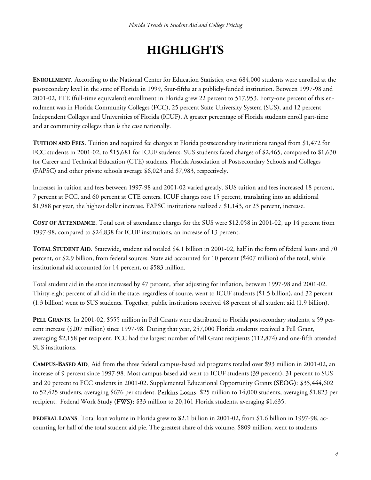# **HIGHLIGHTS**

**ENROLLMENT**. According to the National Center for Education Statistics, over 684,000 students were enrolled at the postsecondary level in the state of Florida in 1999, four-fifths at a publicly-funded institution. Between 1997-98 and 2001-02, FTE (full-time equivalent) enrollment in Florida grew 22 percent to 517,953. Forty-one percent of this enrollment was in Florida Community Colleges (FCC), 25 percent State University System (SUS), and 12 percent Independent Colleges and Universities of Florida (ICUF). A greater percentage of Florida students enroll part-time and at community colleges than is the case nationally.

**TUITION AND FEES**. Tuition and required fee charges at Florida postsecondary institutions ranged from \$1,472 for FCC students in 2001-02, to \$15,681 for ICUF students. SUS students faced charges of \$2,465, compared to \$1,630 for Career and Technical Education (CTE) students. Florida Association of Postsecondary Schools and Colleges (FAPSC) and other private schools average \$6,023 and \$7,983, respectively.

Increases in tuition and fees between 1997-98 and 2001-02 varied greatly. SUS tuition and fees increased 18 percent, 7 percent at FCC, and 60 percent at CTE centers. ICUF charges rose 15 percent, translating into an additional \$1,988 per year, the highest dollar increase. FAPSC institutions realized a \$1,143, or 23 percent, increase.

**COST OF ATTENDANCE**. Total cost of attendance charges for the SUS were \$12,058 in 2001-02, up 14 percent from 1997-98, compared to \$24,838 for ICUF institutions, an increase of 13 percent.

**TOTAL STUDENT AID**. Statewide, student aid totaled \$4.1 billion in 2001-02, half in the form of federal loans and 70 percent, or \$2.9 billion, from federal sources. State aid accounted for 10 percent (\$407 million) of the total, while institutional aid accounted for 14 percent, or \$583 million.

Total student aid in the state increased by 47 percent, after adjusting for inflation, between 1997-98 and 2001-02. Thirty-eight percent of all aid in the state, regardless of source, went to ICUF students (\$1.5 billion), and 32 percent (1.3 billion) went to SUS students. Together, public institutions received 48 percent of all student aid (1.9 billion).

**PELL GRANTS**. In 2001-02, \$555 million in Pell Grants were distributed to Florida postsecondary students, a 59 percent increase (\$207 million) since 1997-98. During that year, 257,000 Florida students received a Pell Grant, averaging \$2,158 per recipient. FCC had the largest number of Pell Grant recipients (112,874) and one-fifth attended SUS institutions.

**CAMPUS-BASED AID**. Aid from the three federal campus-based aid programs totaled over \$93 million in 2001-02, an increase of 9 percent since 1997-98. Most campus-based aid went to ICUF students (39 percent), 31 percent to SUS and 20 percent to FCC students in 2001-02. Supplemental Educational Opportunity Grants (SEOG): \$35,444,602 to 52,425 students, averaging \$676 per student. Perkins Loans: \$25 million to 14,000 students, averaging \$1,823 per recipient. Federal Work Study (FWS): \$33 million to 20,161 Florida students, averaging \$1,635.

**FEDERAL LOANS**. Total loan volume in Florida grew to \$2.1 billion in 2001-02, from \$1.6 billion in 1997-98, accounting for half of the total student aid pie. The greatest share of this volume, \$809 million, went to students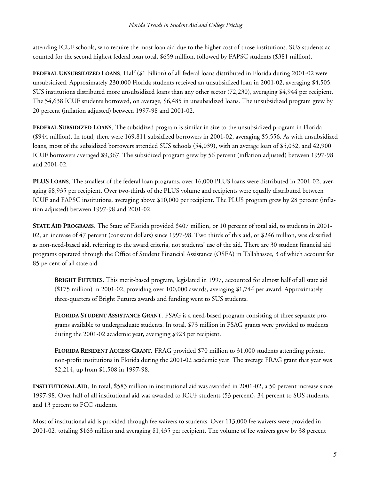attending ICUF schools, who require the most loan aid due to the higher cost of those institutions. SUS students accounted for the second highest federal loan total, \$659 million, followed by FAPSC students (\$381 million).

**FEDERAL UNSUBSIDIZED LOANS**. Half (\$1 billion) of all federal loans distributed in Florida during 2001-02 were unsubsidized. Approximately 230,000 Florida students received an unsubsidized loan in 2001-02, averaging \$4,505. SUS institutions distributed more unsubsidized loans than any other sector (72,230), averaging \$4,944 per recipient. The 54,638 ICUF students borrowed, on average, \$6,485 in unsubsidized loans. The unsubsidized program grew by 20 percent (inflation adjusted) between 1997-98 and 2001-02.

**FEDERAL SUBSIDIZED LOANS**. The subsidized program is similar in size to the unsubsidized program in Florida (\$944 million). In total, there were 169,811 subsidized borrowers in 2001-02, averaging \$5,556. As with unsubsidized loans, most of the subsidized borrowers attended SUS schools (54,039), with an average loan of \$5,032, and 42,900 ICUF borrowers averaged \$9,367. The subsidized program grew by 56 percent (inflation adjusted) between 1997-98 and 2001-02.

**PLUS LOANS**. The smallest of the federal loan programs, over 16,000 PLUS loans were distributed in 2001-02, averaging \$8,935 per recipient. Over two-thirds of the PLUS volume and recipients were equally distributed between ICUF and FAPSC institutions, averaging above \$10,000 per recipient. The PLUS program grew by 28 percent (inflation adjusted) between 1997-98 and 2001-02.

**STATE AID PROGRAMS**. The State of Florida provided \$407 million, or 10 percent of total aid, to students in 2001- 02, an increase of 47 percent (constant dollars) since 1997-98. Two thirds of this aid, or \$246 million, was classified as non-need-based aid, referring to the award criteria, not students' use of the aid. There are 30 student financial aid programs operated through the Office of Student Financial Assistance (OSFA) in Tallahassee, 3 of which account for 85 percent of all state aid:

**BRIGHT FUTURES**. This merit-based program, legislated in 1997, accounted for almost half of all state aid (\$175 million) in 2001-02, providing over 100,000 awards, averaging \$1,744 per award. Approximately three-quarters of Bright Futures awards and funding went to SUS students.

**FLORIDA STUDENT ASSISTANCE GRANT**. FSAG is a need-based program consisting of three separate programs available to undergraduate students. In total, \$73 million in FSAG grants were provided to students during the 2001-02 academic year, averaging \$923 per recipient.

**FLORIDA RESIDENT ACCESS GRANT**. FRAG provided \$70 million to 31,000 students attending private, non-profit institutions in Florida during the 2001-02 academic year. The average FRAG grant that year was \$2,214, up from \$1,508 in 1997-98.

**INSTITUTIONAL AID**. In total, \$583 million in institutional aid was awarded in 2001-02, a 50 percent increase since 1997-98. Over half of all institutional aid was awarded to ICUF students (53 percent), 34 percent to SUS students, and 13 percent to FCC students.

Most of institutional aid is provided through fee waivers to students. Over 113,000 fee waivers were provided in 2001-02, totaling \$163 million and averaging \$1,435 per recipient. The volume of fee waivers grew by 38 percent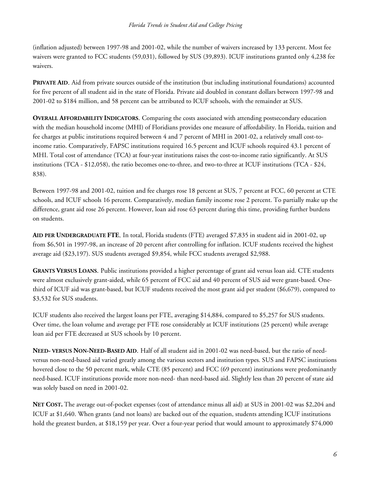(inflation adjusted) between 1997-98 and 2001-02, while the number of waivers increased by 133 percent. Most fee waivers were granted to FCC students (59,031), followed by SUS (39,893). ICUF institutions granted only 4,238 fee waivers.

**PRIVATE AID.** Aid from private sources outside of the institution (but including institutional foundations) accounted for five percent of all student aid in the state of Florida. Private aid doubled in constant dollars between 1997-98 and 2001-02 to \$184 million, and 58 percent can be attributed to ICUF schools, with the remainder at SUS.

**OVERALL AFFORDABILITY INDICATORS**. Comparing the costs associated with attending postsecondary education with the median household income (MHI) of Floridians provides one measure of affordability. In Florida, tuition and fee charges at public institutions required between 4 and 7 percent of MHI in 2001-02, a relatively small cost-toincome ratio. Comparatively, FAPSC institutions required 16.5 percent and ICUF schools required 43.1 percent of MHI. Total cost of attendance (TCA) at four-year institutions raises the cost-to-income ratio significantly. At SUS institutions (TCA - \$12,058), the ratio becomes one-to-three, and two-to-three at ICUF institutions (TCA - \$24, 838).

Between 1997-98 and 2001-02, tuition and fee charges rose 18 percent at SUS, 7 percent at FCC, 60 percent at CTE schools, and ICUF schools 16 percent. Comparatively, median family income rose 2 percent. To partially make up the difference, grant aid rose 26 percent. However, loan aid rose 63 percent during this time, providing further burdens on students.

**AID PER UNDERGRADUATE FTE**. In total, Florida students (FTE) averaged \$7,835 in student aid in 2001-02, up from \$6,501 in 1997-98, an increase of 20 percent after controlling for inflation. ICUF students received the highest average aid (\$23,197). SUS students averaged \$9,854, while FCC students averaged \$2,988.

**GRANTS VERSUS LOANS**. Public institutions provided a higher percentage of grant aid versus loan aid. CTE students were almost exclusively grant-aided, while 65 percent of FCC aid and 40 percent of SUS aid were grant-based. Onethird of ICUF aid was grant-based, but ICUF students received the most grant aid per student (\$6,679), compared to \$3,532 for SUS students.

ICUF students also received the largest loans per FTE, averaging \$14,884, compared to \$5,257 for SUS students. Over time, the loan volume and average per FTE rose considerably at ICUF institutions (25 percent) while average loan aid per FTE decreased at SUS schools by 10 percent.

**NEED- VERSUS NON-NEED-BASED AID**. Half of all student aid in 2001-02 was need-based, but the ratio of needversus non-need-based aid varied greatly among the various sectors and institution types. SUS and FAPSC institutions hovered close to the 50 percent mark, while CTE (85 percent) and FCC (69 percent) institutions were predominantly need-based. ICUF institutions provide more non-need- than need-based aid. Slightly less than 20 percent of state aid was solely based on need in 2001-02.

**NET COST.** The average out-of-pocket expenses (cost of attendance minus all aid) at SUS in 2001-02 was \$2,204 and ICUF at \$1,640. When grants (and not loans) are backed out of the equation, students attending ICUF institutions hold the greatest burden, at \$18,159 per year. Over a four-year period that would amount to approximately \$74,000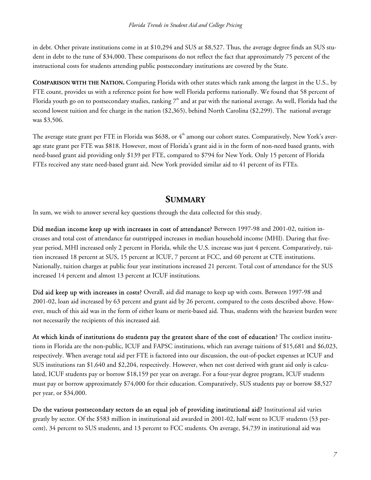in debt. Other private institutions come in at \$10,294 and SUS at \$8,527. Thus, the average degree finds an SUS student in debt to the tune of \$34,000. These comparisons do not reflect the fact that approximately 75 percent of the instructional costs for students attending public postsecondary institutions are covered by the State.

**COMPARISON WITH THE NATION.** Comparing Florida with other states which rank among the largest in the U.S., by FTE count, provides us with a reference point for how well Florida performs nationally. We found that 58 percent of Florida youth go on to postsecondary studies, ranking  $7<sup>th</sup>$  and at par with the national average. As well, Florida had the second lowest tuition and fee charge in the nation (\$2,365), behind North Carolina (\$2,299). The national average was \$3,506.

The average state grant per FTE in Florida was \$638, or  $4<sup>th</sup>$  among our cohort states. Comparatively, New York's average state grant per FTE was \$818. However, most of Florida's grant aid is in the form of non-need based grants, with need-based grant aid providing only \$139 per FTE, compared to \$794 for New York. Only 15 percent of Florida FTEs received any state need-based grant aid. New York provided similar aid to 41 percent of its FTEs.

### **SUMMARY**

In sum, we wish to answer several key questions through the data collected for this study.

Did median income keep up with increases in cost of attendance? Between 1997-98 and 2001-02, tuition increases and total cost of attendance far outstripped increases in median household income (MHI). During that fiveyear period, MHI increased only 2 percent in Florida, while the U.S. increase was just 4 percent. Comparatively, tuition increased 18 percent at SUS, 15 percent at ICUF, 7 percent at FCC, and 60 percent at CTE institutions. Nationally, tuition charges at public four year institutions increased 21 percent. Total cost of attendance for the SUS increased 14 percent and almost 13 percent at ICUF institutions.

Did aid keep up with increases in costs? Overall, aid did manage to keep up with costs. Between 1997-98 and 2001-02, loan aid increased by 63 percent and grant aid by 26 percent, compared to the costs described above. However, much of this aid was in the form of either loans or merit-based aid. Thus, students with the heaviest burden were not necessarily the recipients of this increased aid.

At which kinds of institutions do students pay the greatest share of the cost of education? The costliest institutions in Florida are the non-public, ICUF and FAPSC institutions, which ran average tuitions of \$15,681 and \$6,023, respectively. When average total aid per FTE is factored into our discussion, the out-of-pocket expenses at ICUF and SUS institutions ran \$1,640 and \$2,204, respectively. However, when net cost derived with grant aid only is calculated, ICUF students pay or borrow \$18,159 per year on average. For a four-year degree program, ICUF students must pay or borrow approximately \$74,000 for their education. Comparatively, SUS students pay or borrow \$8,527 per year, or \$34,000.

Do the various postsecondary sectors do an equal job of providing institutional aid? Institutional aid varies greatly by sector. Of the \$583 million in institutional aid awarded in 2001-02, half went to ICUF students (53 percent), 34 percent to SUS students, and 13 percent to FCC students. On average, \$4,739 in institutional aid was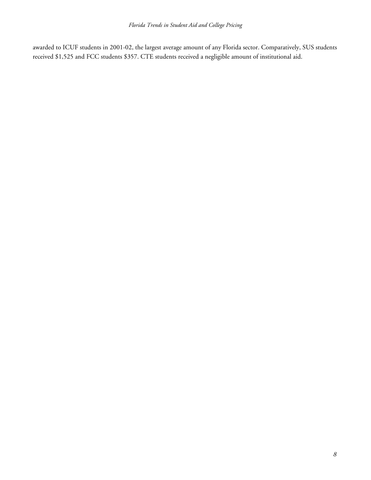awarded to ICUF students in 2001-02, the largest average amount of any Florida sector. Comparatively, SUS students received \$1,525 and FCC students \$357. CTE students received a negligible amount of institutional aid.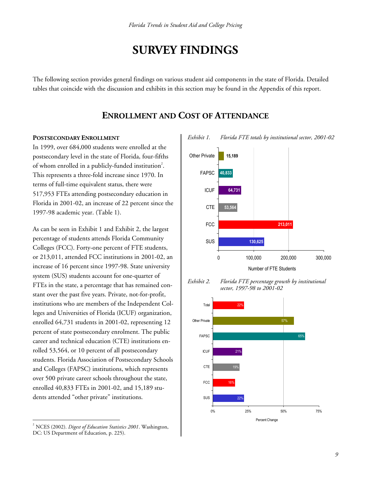## **SURVEY FINDINGS**

The following section provides general findings on various student aid components in the state of Florida. Detailed tables that coincide with the discussion and exhibits in this section may be found in the Appendix of this report.

#### **ENROLLMENT AND COST OF ATTENDANCE**

#### **POSTSECONDARY ENROLLMENT**

In 1999, over 684,000 students were enrolled at the postsecondary level in the state of Florida, four-fifths of whom enrolled in a publicly-funded institution<sup>2</sup>. This represents a three-fold increase since 1970. In terms of full-time equivalent status, there were 517,953 FTEs attending postsecondary education in Florida in 2001-02, an increase of 22 percent since the 1997-98 academic year. (Table 1).

As can be seen in Exhibit 1 and Exhibit 2, the largest percentage of students attends Florida Community Colleges (FCC). Forty-one percent of FTE students, or 213,011, attended FCC institutions in 2001-02, an increase of 16 percent since 1997-98. State university system (SUS) students account for one-quarter of FTEs in the state, a percentage that has remained constant over the past five years. Private, not-for-profit, institutions who are members of the Independent Colleges and Universities of Florida (ICUF) organization, enrolled 64,731 students in 2001-02, representing 12 percent of state postsecondary enrolment. The public career and technical education (CTE) institutions enrolled 53,564, or 10 percent of all postsecondary students. Florida Association of Postsecondary Schools and Colleges (FAPSC) institutions, which represents over 500 private career schools throughout the state, enrolled 40,833 FTEs in 2001-02, and 15,189 students attended "other private" institutions.

 $\overline{a}$ 



*Exhibit 2. Florida FTE percentage growth by institutional sector, 1997-98 to 2001-02* 



*Exhibit 1. Florida FTE totals by institutional sector, 2001-02* 

<sup>2</sup> NCES (2002). *Digest of Education Statistics 2001*. Washington, DC: US Department of Education, p. 225).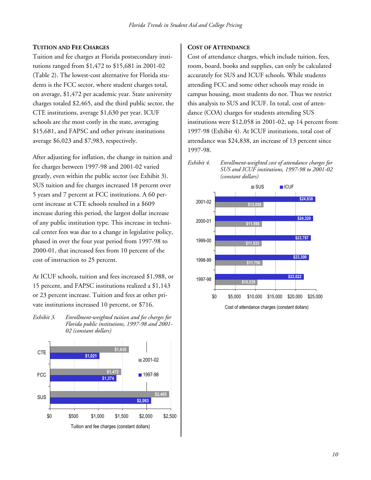#### **TUITION AND FEE CHARGES**

Tuition and fee charges at Florida postsecondary institutions ranged from \$1,472 to \$15,681 in 2001-02 (Table 2). The lowest-cost alternative for Florida students is the FCC sector, where student charges total, on average, \$1,472 per academic year. State university charges totaled \$2,465, and the third public sector, the CTE institutions, average \$1,630 per year. ICUF schools are the most costly in the state, averaging \$15,681, and FAPSC and other private institutions average \$6,023 and \$7,983, respectively.

After adjusting for inflation, the change in tuition and fee charges between 1997-98 and 2001-02 varied greatly, even within the public sector (see Exhibit 3). SUS tuition and fee charges increased 18 percent over 5 years and 7 percent at FCC institutions. A 60 percent increase at CTE schools resulted in a \$609 increase during this period, the largest dollar increase of any public institution type. This increase in technical center fees was due to a change in legislative policy, phased in over the four year period from 1997-98 to 2000-01, that increased fees from 10 percent of the cost of instruction to 25 percent.

At ICUF schools, tuition and fees increased \$1,988, or 15 percent, and FAPSC institutions realized a \$1,143 or 23 percent increase. Tuition and fees at other private institutions increased 10 percent, or \$716.

*Exhibit 3. Enrollment-weighted tuition and fee charges for Florida public institutions, 1997-98 and 2001- 02 (constant dollars)* 



#### **COST OF ATTENDANCE**

Cost of attendance charges, which include tuition, fees, room, board, books and supplies, can only be calculated accurately for SUS and ICUF schools. While students attending FCC and some other schools may reside in campus housing, most students do not. Thus we restrict this analysis to SUS and ICUF. In total, cost of attendance (COA) charges for students attending SUS institutions were \$12,058 in 2001-02, up 14 percent from 1997-98 (Exhibit 4). At ICUF institutions, total cost of attendance was \$24,838, an increase of 13 percent since 1997-98.



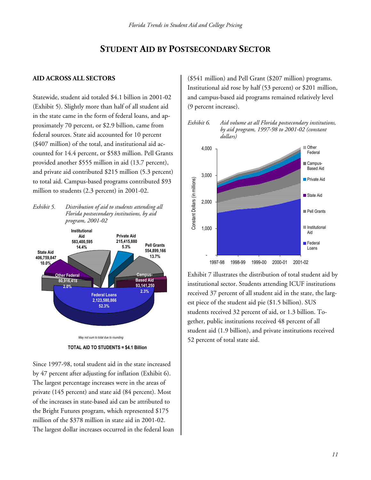### **STUDENT AID BY POSTSECONDARY SECTOR**

#### **AID ACROSS ALL SECTORS**

Statewide, student aid totaled \$4.1 billion in 2001-02 (Exhibit 5). Slightly more than half of all student aid in the state came in the form of federal loans, and approximately 70 percent, or \$2.9 billion, came from federal sources. State aid accounted for 10 percent (\$407 million) of the total, and institutional aid accounted for 14.4 percent, or \$583 million. Pell Grants provided another \$555 million in aid (13.7 percent), and private aid contributed \$215 million (5.3 percent) to total aid. Campus-based programs contributed \$93 million to students (2.3 percent) in 2001-02.

*Exhibit 5. Distribution of aid to students attending all Florida postsecondary institutions, by aid program, 2001-02* 



**TOTAL AID TO STUDENTS = \$4.1 Billion**

Since 1997-98, total student aid in the state increased by 47 percent after adjusting for inflation (Exhibit 6). The largest percentage increases were in the areas of private (145 percent) and state aid (84 percent). Most of the increases in state-based aid can be attributed to the Bright Futures program, which represented \$175 million of the \$378 million in state aid in 2001-02. The largest dollar increases occurred in the federal loan (\$541 million) and Pell Grant (\$207 million) programs. Institutional aid rose by half (53 percent) or \$201 million, and campus-based aid programs remained relatively level (9 percent increase).





Exhibit 7 illustrates the distribution of total student aid by institutional sector. Students attending ICUF institutions received 37 percent of all student aid in the state, the largest piece of the student aid pie (\$1.5 billion). SUS students received 32 percent of aid, or 1.3 billion. Together, public institutions received 48 percent of all student aid (1.9 billion), and private institutions received 52 percent of total state aid.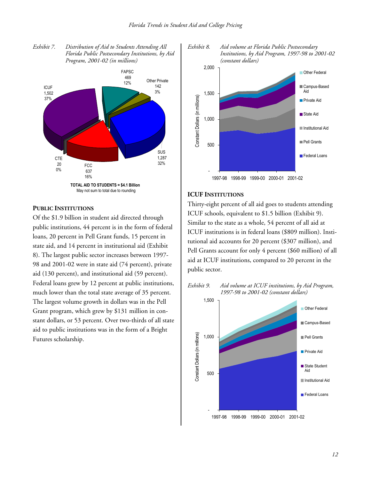



#### **PUBLIC INSTITUTIONS**

Of the \$1.9 billion in student aid directed through public institutions, 44 percent is in the form of federal loans, 20 percent in Pell Grant funds, 15 percent in state aid, and 14 percent in institutional aid (Exhibit 8). The largest public sector increases between 1997- 98 and 2001-02 were in state aid (74 percent), private aid (130 percent), and institutional aid (59 percent). Federal loans grew by 12 percent at public institutions, much lower than the total state average of 35 percent. The largest volume growth in dollars was in the Pell Grant program, which grew by \$131 million in constant dollars, or 53 percent. Over two-thirds of all state aid to public institutions was in the form of a Bright Futures scholarship.



*Exhibit 8. Aid volume at Florida Public Postsecondary* 

#### **ICUF INSTITUTIONS**

Thirty-eight percent of all aid goes to students attending ICUF schools, equivalent to \$1.5 billion (Exhibit 9). Similar to the state as a whole, 54 percent of all aid at ICUF institutions is in federal loans (\$809 million). Institutional aid accounts for 20 percent (\$307 million), and Pell Grants account for only 4 percent (\$60 million) of all aid at ICUF institutions, compared to 20 percent in the public sector.



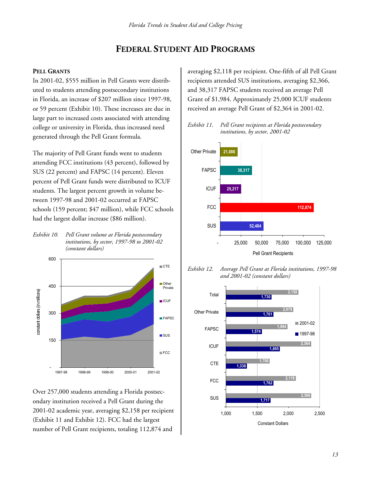### **FEDERAL STUDENT AID PROGRAMS**

#### **PELL GRANTS**

In 2001-02, \$555 million in Pell Grants were distributed to students attending postsecondary institutions in Florida, an increase of \$207 million since 1997-98, or 59 percent (Exhibit 10). These increases are due in large part to increased costs associated with attending college or university in Florida, thus increased need generated through the Pell Grant formula.

The majority of Pell Grant funds went to students attending FCC institutions (43 percent), followed by SUS (22 percent) and FAPSC (14 percent). Eleven percent of Pell Grant funds were distributed to ICUF students. The largest percent growth in volume between 1997-98 and 2001-02 occurred at FAPSC schools (159 percent; \$47 million), while FCC schools had the largest dollar increase (\$86 million).

*Exhibit 10. Pell Grant volume at Florida postsecondary institutions, by sector, 1997-98 to 2001-02 (constant dollars)* 



Over 257,000 students attending a Florida postsecondary institution received a Pell Grant during the 2001-02 academic year, averaging \$2,158 per recipient (Exhibit 11 and Exhibit 12). FCC had the largest number of Pell Grant recipients, totaling 112,874 and

averaging \$2,118 per recipient. One-fifth of all Pell Grant recipients attended SUS institutions, averaging \$2,366, and 38,317 FAPSC students received an average Pell Grant of \$1,984. Approximately 25,000 ICUF students received an average Pell Grant of \$2,364 in 2001-02.





*Exhibit 12. Average Pell Grant at Florida institutions, 1997-98 and 2001-02 (constant dollars)* 

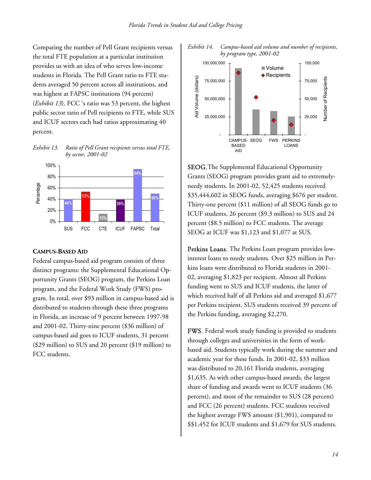Comparing the number of Pell Grant recipients versus the total FTE population at a particular institution provides us with an idea of who serves low-income students in Florida. The Pell Grant ratio to FTE students averaged 50 percent across all institutions, and was highest at FAPSC institutions (94 percent) (*Exhibit 13*). FCC 's ratio was 53 percent, the highest public sector ratio of Pell recipients to FTE, while SUS and ICUF sectors each had ratios approximating 40 percent.

*Exhibit 13. Ratio of Pell Grant recipients versus total FTE, by sector, 2001-02* 



#### **CAMPUS-BASED AID**

Federal campus-based aid program consists of three distinct programs: the Supplemental Educational Opportunity Grants (SEOG) program, the Perkins Loan program, and the Federal Work Study (FWS) program. In total, over \$93 million in campus-based aid is distributed to students through these three programs in Florida, an increase of 9 percent between 1997-98 and 2001-02. Thirty-nine percent (\$36 million) of campus-based aid goes to ICUF students, 31 percent (\$29 million) to SUS and 20 percent (\$19 million) to FCC students.





SEOG.The Supplemental Educational Opportunity Grants (SEOG) program provides grant aid to extremelyneedy students. In 2001-02, 52,425 students received \$35,444,602 in SEOG funds, averaging \$676 per student. Thirty-one percent (\$11 million) of all SEOG funds go to ICUF students, 26 percent (\$9.3 million) to SUS and 24 percent (\$8.5 million) to FCC students. The average SEOG at ICUF was \$1,123 and \$1,077 at SUS.

Perkins Loans. The Perkins Loan program provides lowinterest loans to needy students. Over \$25 million in Perkins loans were distributed to Florida students in 2001- 02, averaging \$1,823 per recipient. Almost all Perkins funding went to SUS and ICUF students, the latter of which received half of all Perkins aid and averaged \$1,677 per Perkins recipient. SUS students received 39 percent of the Perkins funding, averaging \$2,270.

FWS. Federal work study funding is provided to students through colleges and universities in the form of workbased aid. Students typically work during the summer and academic year for these funds. In 2001-02, \$33 million was distributed to 20,161 Florida students, averaging \$1,635. As with other campus-based awards, the largest share of funding and awards went to ICUF students (36 percent), and most of the remainder to SUS (28 percent) and FCC (26 percent) students. FCC students received the highest average FWS amount (\$1,901), compared to \$\$1,452 for ICUF students and \$1,679 for SUS students.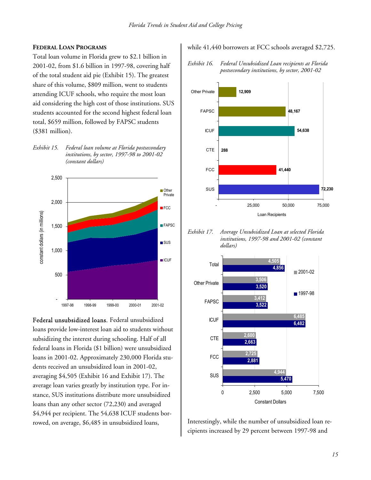#### **FEDERAL LOAN PROGRAMS**

Total loan volume in Florida grew to \$2.1 billion in 2001-02, from \$1.6 billion in 1997-98, covering half of the total student aid pie (Exhibit 15). The greatest share of this volume, \$809 million, went to students attending ICUF schools, who require the most loan aid considering the high cost of those institutions. SUS students accounted for the second highest federal loan total, \$659 million, followed by FAPSC students (\$381 million).





Federal unsubsidized loans. Federal unsubsidized loans provide low-interest loan aid to students without subsidizing the interest during schooling. Half of all federal loans in Florida (\$1 billion) were unsubsidized loans in 2001-02. Approximately 230,000 Florida students received an unsubsidized loan in 2001-02, averaging \$4,505 (Exhibit 16 and Exhibit 17). The average loan varies greatly by institution type. For instance, SUS institutions distribute more unsubsidized loans than any other sector (72,230) and averaged \$4,944 per recipient. The 54,638 ICUF students borrowed, on average, \$6,485 in unsubsidized loans,

while 41,440 borrowers at FCC schools averaged \$2,725.

*Exhibit 16. Federal Unsubsidized Loan recipients at Florida postsecondary institutions, by sector, 2001-02* 



*Exhibit 17. Average Unsubsidized Loan at selected Florida institutions, 1997-98 and 2001-02 (constant dollars)* 



Interestingly, while the number of unsubsidized loan recipients increased by 29 percent between 1997-98 and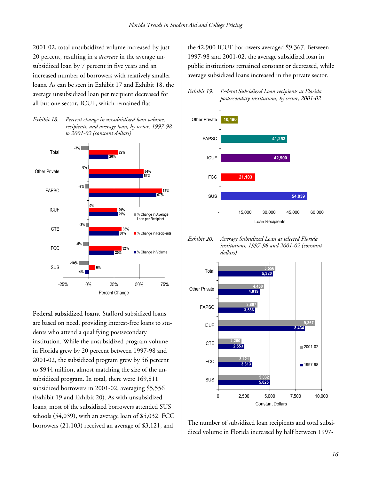2001-02, total unsubsidized volume increased by just 20 percent, resulting in a *decrease* in the average unsubsidized loan by 7 percent in five years and an increased number of borrowers with relatively smaller loans. As can be seen in Exhibit 17 and Exhibit 18, the average unsubsidized loan per recipient decreased for all but one sector, ICUF, which remained flat.

*Exhibit 18. Percent change in unsubsidized loan volume, recipients, and average loan, by sector, 1997-98 to 2001-02 (constant dollars)* 



Federal subsidized loans. Stafford subsidized loans are based on need, providing interest-free loans to students who attend a qualifying postsecondary institution. While the unsubsidized program volume in Florida grew by 20 percent between 1997-98 and 2001-02, the subsidized program grew by 56 percent to \$944 million, almost matching the size of the unsubsidized program. In total, there were 169,811 subsidized borrowers in 2001-02, averaging \$5,556 (Exhibit 19 and Exhibit 20). As with unsubsidized loans, most of the subsidized borrowers attended SUS schools (54,039), with an average loan of \$5,032. FCC borrowers (21,103) received an average of \$3,121, and

the 42,900 ICUF borrowers averaged \$9,367. Between 1997-98 and 2001-02, the average subsidized loan in public institutions remained constant or decreased, while average subsidized loans increased in the private sector.





*Exhibit 20. Average Subsidized Loan at selected Florida institutions, 1997-98 and 2001-02 (constant dollars)* 



The number of subsidized loan recipients and total subsidized volume in Florida increased by half between 1997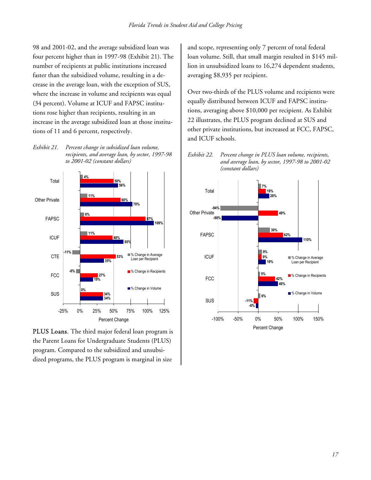98 and 2001-02, and the average subsidized loan was four percent higher than in 1997-98 (Exhibit 21). The number of recipients at public institutions increased faster than the subsidized volume, resulting in a decrease in the average loan, with the exception of SUS, where the increase in volume and recipients was equal (34 percent). Volume at ICUF and FAPSC institutions rose higher than recipients, resulting in an increase in the average subsidized loan at those institutions of 11 and 6 percent, respectively.

*Exhibit 21. Percent change in subsidized loan volume, recipients, and average loan, by sector, 1997-98 to 2001-02 (constant dollars)* 



PLUS Loans. The third major federal loan program is the Parent Loans for Undergraduate Students (PLUS) program. Compared to the subsidized and unsubsidized programs, the PLUS program is marginal in size

and scope, representing only 7 percent of total federal loan volume. Still, that small margin resulted in \$145 million in unsubsidized loans to 16,274 dependent students, averaging \$8,935 per recipient.

Over two-thirds of the PLUS volume and recipients were equally distributed between ICUF and FAPSC institutions, averaging above \$10,000 per recipient. As Exhibit 22 illustrates, the PLUS program declined at SUS and other private institutions, but increased at FCC, FAPSC, and ICUF schools.



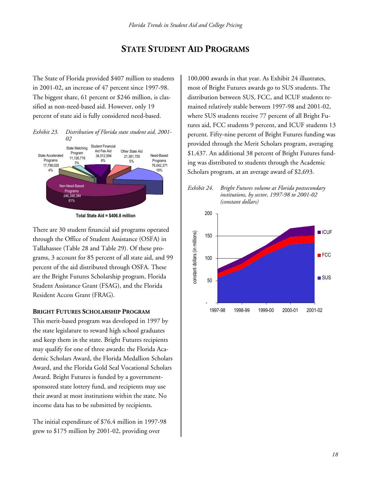### **STATE STUDENT AID PROGRAMS**

The State of Florida provided \$407 million to students in 2001-02, an increase of 47 percent since 1997-98. The biggest share, 61 percent or \$246 million, is classified as non-need-based aid. However, only 19 percent of state aid is fully considered need-based.

*Exhibit 23. Distribution of Florida state student aid, 2001-*



**Total State Aid = \$406.8 million**

There are 30 student financial aid programs operated through the Office of Student Assistance (OSFA) in Tallahassee (Table 28 and Table 29). Of these programs, 3 account for 85 percent of all state aid, and 99 percent of the aid distributed through OSFA. These are the Bright Futures Scholarship program, Florida Student Assistance Grant (FSAG), and the Florida Resident Access Grant (FRAG).

#### **BRIGHT FUTURES SCHOLARSHIP PROGRAM**

This merit-based program was developed in 1997 by the state legislature to reward high school graduates and keep them in the state. Bright Futures recipients may qualify for one of three awards: the Florida Academic Scholars Award, the Florida Medallion Scholars Award, and the Florida Gold Seal Vocational Scholars Award. Bright Futures is funded by a governmentsponsored state lottery fund, and recipients may use their award at most institutions within the state. No income data has to be submitted by recipients.

The initial expenditure of \$76.4 million in 1997-98 grew to \$175 million by 2001-02, providing over

100,000 awards in that year. As Exhibit 24 illustrates, most of Bright Futures awards go to SUS students. The distribution between SUS, FCC, and ICUF students remained relatively stable between 1997-98 and 2001-02, where SUS students receive 77 percent of all Bright Futures aid, FCC students 9 percent, and ICUF students 13 percent. Fifty-nine percent of Bright Futures funding was provided through the Merit Scholars program, averaging \$1,437. An additional 38 percent of Bright Futures funding was distributed to students through the Academic Scholars program, at an average award of \$2,693.



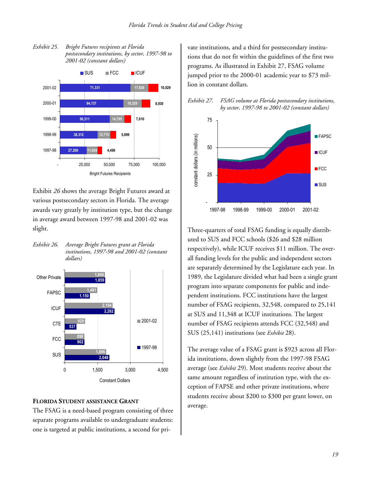

*Exhibit 25. Bright Futures recipients at Florida postsecondary institutions, by sector, 1997-98 to 2001-02 (constant dollars)* 

Exhibit *26* shows the average Bright Futures award at various postsecondary sectors in Florida. The average awards vary greatly by institution type, but the change in average award between 1997-98 and 2001-02 was slight.

*Exhibit 26. Average Bright Futures grant at Florida institutions, 1997-98 and 2001-02 (constant dollars)* 



#### **FLORIDA STUDENT ASSISTANCE GRANT**

The FSAG is a need-based program consisting of three separate programs available to undergraduate students: one is targeted at public institutions, a second for private institutions, and a third for postsecondary institutions that do not fit within the guidelines of the first two programs. As illustrated in Exhibit 27, FSAG volume jumped prior to the 2000-01 academic year to \$73 million in constant dollars.





Three-quarters of total FSAG funding is equally distributed to SUS and FCC schools (\$26 and \$28 million respectively), while ICUF receives \$11 million. The overall funding levels for the public and independent sectors are separately determined by the Legislature each year. In 1989, the Legislature divided what had been a single grant program into separate components for public and independent institutions. FCC institutions have the largest number of FSAG recipients, 32,548, compared to 25,141 at SUS and 11,348 at ICUF institutions. The largest number of FSAG recipients attends FCC (32,548) and SUS (25,141) institutions (see *Exhibit* 28).

The average value of a FSAG grant is \$923 across all Florida institutions, down slightly from the 1997-98 FSAG average (see *Exhibit* 29). Most students receive about the same amount regardless of institution type, with the exception of FAPSE and other private institutions, where students receive about \$200 to \$300 per grant lower, on average.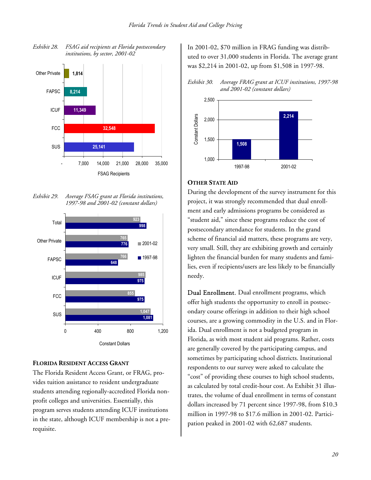

*Exhibit 28. FSAG aid recipients at Florida postsecondary institutions, by sector, 2001-02* 

*Exhibit 29. Average FSAG grant at Florida institutions, 1997-98 and 2001-02 (constant dollars)* 



#### **FLORIDA RESIDENT ACCESS GRANT**

The Florida Resident Access Grant, or FRAG, provides tuition assistance to resident undergraduate students attending regionally-accredited Florida nonprofit colleges and universities. Essentially, this program serves students attending ICUF institutions in the state, although ICUF membership is not a prerequisite.

In 2001-02, \$70 million in FRAG funding was distributed to over 31,000 students in Florida. The average grant was \$2,214 in 2001-02, up from \$1,508 in 1997-98.

*Exhibit 30. Average FRAG grant at ICUF institutions, 1997-98 and 2001-02 (constant dollars)* 



#### **OTHER STATE AID**

During the development of the survey instrument for this project, it was strongly recommended that dual enrollment and early admissions programs be considered as "student aid," since these programs reduce the cost of postsecondary attendance for students. In the grand scheme of financial aid matters, these programs are very, very small. Still, they are exhibiting growth and certainly lighten the financial burden for many students and families, even if recipients/users are less likely to be financially needy.

Dual Enrollment. Dual enrollment programs, which offer high students the opportunity to enroll in postsecondary course offerings in addition to their high school courses, are a growing commodity in the U.S. and in Florida. Dual enrollment is not a budgeted program in Florida, as with most student aid programs. Rather, costs are generally covered by the participating campus, and sometimes by participating school districts. Institutional respondents to our survey were asked to calculate the "cost" of providing these courses to high school students, as calculated by total credit-hour cost. As Exhibit 31 illustrates, the volume of dual enrollment in terms of constant dollars increased by 71 percent since 1997-98, from \$10.3 million in 1997-98 to \$17.6 million in 2001-02. Participation peaked in 2001-02 with 62,687 students.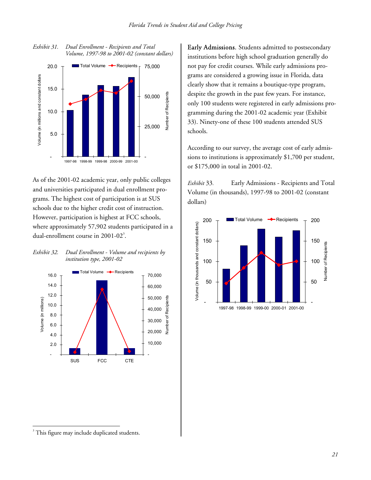

*Exhibit 31. Dual Enrollment - Recipients and Total* 

As of the 2001-02 academic year, only public colleges and universities participated in dual enrollment programs. The highest cost of participation is at SUS schools due to the higher credit cost of instruction. However, participation is highest at FCC schools, where approximately 57,902 students participated in a dual-enrollment course in  $2001 - 02<sup>3</sup>$ .

*Exhibit 32. Dual Enrollment - Volume and recipients by institution type, 2001-02* 



Early Admissions. Students admitted to postsecondary institutions before high school graduation generally do not pay for credit courses. While early admissions programs are considered a growing issue in Florida, data clearly show that it remains a boutique-type program, despite the growth in the past few years. For instance, only 100 students were registered in early admissions programming during the 2001-02 academic year (Exhibit 33). Ninety-one of these 100 students attended SUS schools.

According to our survey, the average cost of early admissions to institutions is approximately \$1,700 per student, or \$175,000 in total in 2001-02.

*Exhibit* 33*.* Early Admissions - Recipients and Total Volume (in thousands), 1997-98 to 2001-02 (constant dollars)



 $\overline{a}$ <sup>3</sup> This figure may include duplicated students.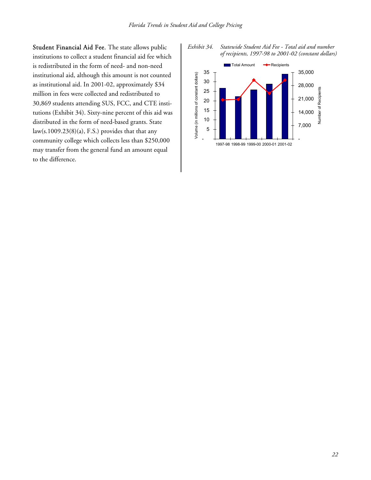Student Financial Aid Fee. The state allows public institutions to collect a student financial aid fee which is redistributed in the form of need- and non-need institutional aid, although this amount is not counted as institutional aid. In 2001-02, approximately \$34 million in fees were collected and redistributed to 30,869 students attending SUS, FCC, and CTE institutions (Exhibit 34). Sixty-nine percent of this aid was distributed in the form of need-based grants. State law(s.1009.23(8)(a), F.S.) provides that that any community college which collects less than \$250,000 may transfer from the general fund an amount equal to the difference.



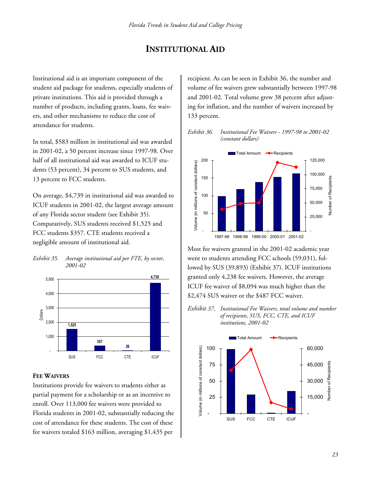### **INSTITUTIONAL AID**

Institutional aid is an important component of the student aid package for students, especially students of private institutions. This aid is provided through a number of products, including grants, loans, fee waivers, and other mechanisms to reduce the cost of attendance for students.

In total, \$583 million in institutional aid was awarded in 2001-02, a 50 percent increase since 1997-98. Over half of all institutional aid was awarded to ICUF students (53 percent), 34 percent to SUS students, and 13 percent to FCC students.

On average, \$4,739 in institutional aid was awarded to ICUF students in 2001-02, the largest average amount of any Florida sector student (see Exhibit 35). Comparatively, SUS students received \$1,525 and FCC students \$357. CTE students received a negligible amount of institutional aid.

#### *Exhibit 35. Average institutional aid per FTE, by sector, 2001-02*



#### **FEE WAIVERS**

Institutions provide fee waivers to students either as partial payment for a scholarship or as an incentive to enroll. Over 113,000 fee waivers were provided to Florida students in 2001-02, substantially reducing the cost of attendance for these students. The cost of these fee waivers totaled \$163 million, averaging \$1,435 per

recipient. As can be seen in Exhibit 36, the number and volume of fee waivers grew substantially between 1997-98 and 2001-02. Total volume grew 38 percent after adjusting for inflation, and the number of waivers increased by 133 percent.

*Exhibit 36. Institutional Fee Waivers - 1997-98 to 2001-02 (constant dollars)* 



Most fee waivers granted in the 2001-02 academic year went to students attending FCC schools (59,031), followed by SUS (39,893) (Exhibit 37). ICUF institutions granted only 4,238 fee waivers. However, the average ICUF fee waiver of \$8,094 was much higher than the \$2,474 SUS waiver or the \$487 FCC waiver.

*Exhibit 37. Institutional Fee Waivers, total volume and number of recipients, SUS, FCC, CTE, and ICUF institutions, 2001-02* 

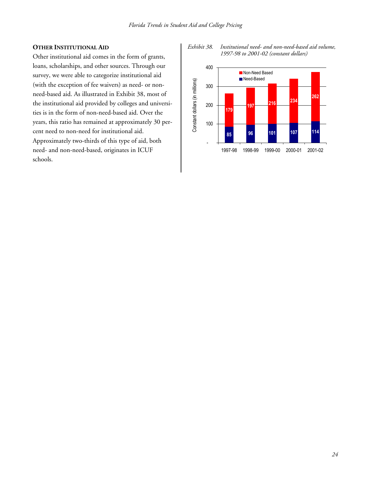#### **OTHER INSTITUTIONAL AID**

Other institutional aid comes in the form of grants, loans, scholarships, and other sources. Through our survey, we were able to categorize institutional aid (with the exception of fee waivers) as need- or nonneed-based aid. As illustrated in Exhibit 38, most of the institutional aid provided by colleges and universities is in the form of non-need-based aid. Over the years, this ratio has remained at approximately 30 percent need to non-need for institutional aid. Approximately two-thirds of this type of aid, both need- and non-need-based, originates in ICUF schools.

*Exhibit 38. Institutional need- and non-need-based aid volume, 1997-98 to 2001-02 (constant dollars)* 

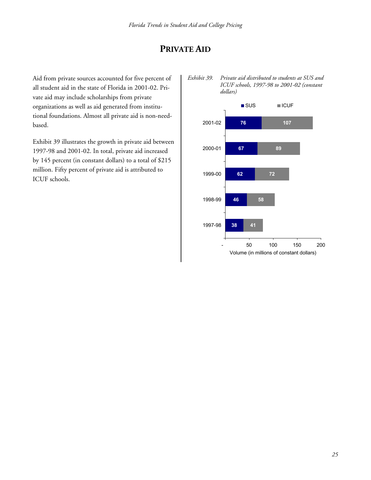### **PRIVATE AID**

Aid from private sources accounted for five percent of all student aid in the state of Florida in 2001-02. Private aid may include scholarships from private organizations as well as aid generated from institutional foundations. Almost all private aid is non-needbased.

Exhibit 39 illustrates the growth in private aid between 1997-98 and 2001-02. In total, private aid increased by 145 percent (in constant dollars) to a total of \$215 million. Fifty percent of private aid is attributed to ICUF schools.

*Exhibit 39. Private aid distributed to students at SUS and ICUF schools, 1997-98 to 2001-02 (constant dollars)* 

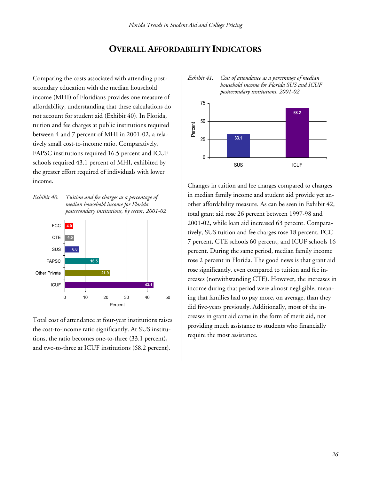### **OVERALL AFFORDABILITY INDICATORS**

Comparing the costs associated with attending postsecondary education with the median household income (MHI) of Floridians provides one measure of affordability, understanding that these calculations do not account for student aid (Exhibit 40). In Florida, tuition and fee charges at public institutions required between 4 and 7 percent of MHI in 2001-02, a relatively small cost-to-income ratio. Comparatively, FAPSC institutions required 16.5 percent and ICUF schools required 43.1 percent of MHI, exhibited by the greater effort required of individuals with lower income.





Total cost of attendance at four-year institutions raises the cost-to-income ratio significantly. At SUS institutions, the ratio becomes one-to-three (33.1 percent), and two-to-three at ICUF institutions (68.2 percent).





Changes in tuition and fee charges compared to changes in median family income and student aid provide yet another affordability measure. As can be seen in Exhibit 42, total grant aid rose 26 percent between 1997-98 and 2001-02, while loan aid increased 63 percent. Comparatively, SUS tuition and fee charges rose 18 percent, FCC 7 percent, CTE schools 60 percent, and ICUF schools 16 percent. During the same period, median family income rose 2 percent in Florida. The good news is that grant aid rose significantly, even compared to tuition and fee increases (notwithstanding CTE). However, the increases in income during that period were almost negligible, meaning that families had to pay more, on average, than they did five-years previously. Additionally, most of the increases in grant aid came in the form of merit aid, not providing much assistance to students who financially require the most assistance.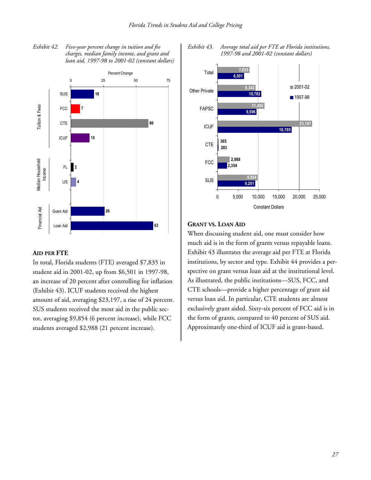



### **AID PER FTE**

In total, Florida students (FTE) averaged \$7,835 in student aid in 2001-02, up from \$6,501 in 1997-98, an increase of 20 percent after controlling for inflation (Exhibit 43). ICUF students received the highest amount of aid, averaging \$23,197, a rise of 24 percent. SUS students received the most aid in the public sector, averaging \$9,854 (6 percent increase), while FCC students averaged \$2,988 (21 percent increase).



#### *Exhibit 43. Average total aid per FTE at Florida institutions, 1997-98 and 2001-02 (constant dollars)*

## **GRANT VS. LOAN AID**

When discussing student aid, one must consider how much aid is in the form of grants versus repayable loans. Exhibit 43 illustrates the average aid per FTE at Florida institutions, by sector and type. Exhibit 44 provides a perspective on grant versus loan aid at the institutional level. As illustrated, the public institutions—SUS, FCC, and CTE schools—provide a higher percentage of grant aid versus loan aid. In particular, CTE students are almost exclusively grant aided. Sixty-six percent of FCC aid is in the form of grants, compared to 40 percent of SUS aid. Approximately one-third of ICUF aid is grant-based.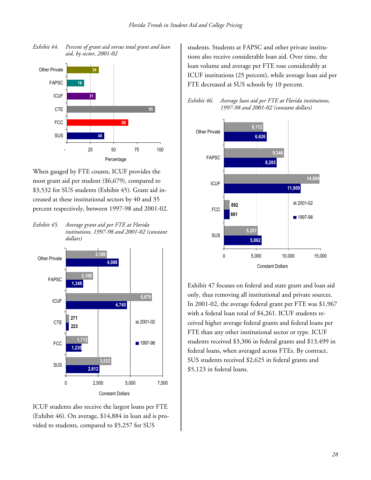

*Exhibit 44. Percent of grant aid versus total grant and loan aid, by sector, 2001-02* 

When gauged by FTE counts, ICUF provides the most grant aid per student (\$6,679), compared to \$3,532 for SUS students (Exhibit 45). Grant aid increased at these institutional sectors by 40 and 35 percent respectively, between 1997-98 and 2001-02.

*Exhibit 45. Average grant aid per FTE at Florida institutions, 1997-98 and 2001-02 (constant dollars)* 



ICUF students also receive the largest loans per FTE (Exhibit 46). On average, \$14,884 in loan aid is provided to students, compared to \$5,257 for SUS

students. Students at FAPSC and other private institutions also receive considerable loan aid. Over time, the loan volume and average per FTE rose considerably at ICUF institutions (25 percent), while average loan aid per FTE decreased at SUS schools by 10 percent.

| Exhibit 46. | Average loan aid per FTE at Florida institutions, |
|-------------|---------------------------------------------------|
|             | 1997-98 and 2001-02 (constant dollars)            |



Exhibit 47 focuses on federal and state grant and loan aid only, thus removing all institutional and private sources. In 2001-02, the average federal grant per FTE was \$1,967 with a federal loan total of \$4,261. ICUF students received higher average federal grants and federal loans per FTE than any other institutional sector or type. ICUF students received \$3,306 in federal grants and \$13,499 in federal loans, when averaged across FTEs. By contract, SUS students received \$2,625 in federal grants and \$5,123 in federal loans.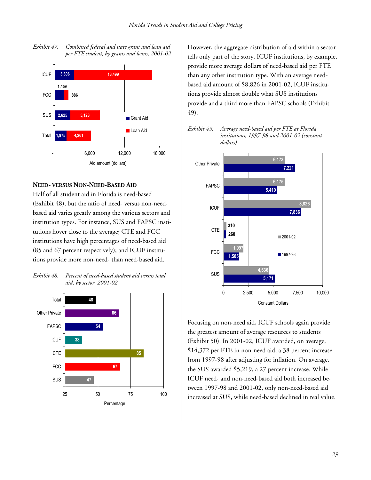

#### *Exhibit 47. Combined federal and state grant and loan aid per FTE student, by grants and loans, 2001-02*

### **NEED- VERSUS NON-NEED-BASED AID**

Half of all student aid in Florida is need-based (Exhibit 48), but the ratio of need- versus non-needbased aid varies greatly among the various sectors and institution types. For instance, SUS and FAPSC institutions hover close to the average; CTE and FCC institutions have high percentages of need-based aid (85 and 67 percent respectively); and ICUF institutions provide more non-need- than need-based aid.





However, the aggregate distribution of aid within a sector tells only part of the story. ICUF institutions, by example, provide more average dollars of need-based aid per FTE than any other institution type. With an average needbased aid amount of \$8,826 in 2001-02, ICUF institutions provide almost double what SUS institutions provide and a third more than FAPSC schools (Exhibit 49).

*Exhibit 49. Average need-based aid per FTE at Florida institutions, 1997-98 and 2001-02 (constant dollars)* 



Focusing on non-need aid, ICUF schools again provide the greatest amount of average resources to students (Exhibit 50). In 2001-02, ICUF awarded, on average, \$14,372 per FTE in non-need aid, a 38 percent increase from 1997-98 after adjusting for inflation. On average, the SUS awarded \$5,219, a 27 percent increase. While ICUF need- and non-need-based aid both increased between 1997-98 and 2001-02, only non-need-based aid increased at SUS, while need-based declined in real value.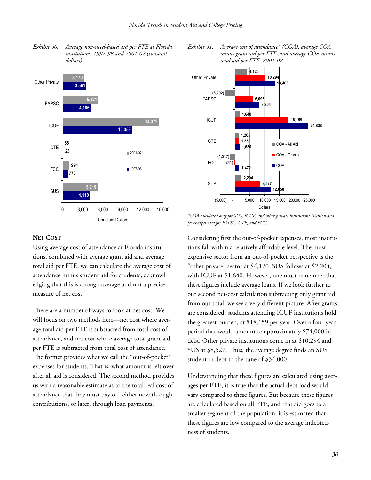*Exhibit 50. Average non-need-based aid per FTE at Florida institutions, 1997-98 and 2001-02 (constant dollars)* 



#### **NET COST**

Using average cost of attendance at Florida institutions, combined with average grant aid and average total aid per FTE, we can calculate the average cost of attendance minus student aid for students, acknowledging that this is a rough average and not a precise measure of net cost.

There are a number of ways to look at net cost. We will focus on two methods here—net cost where average total aid per FTE is subtracted from total cost of attendance, and net cost where average total grant aid per FTE is subtracted from total cost of attendance. The former provides what we call the "out-of-pocket" expenses for students. That is, what amount is left over after all aid is considered. The second method provides us with a reasonable estimate as to the total real cost of attendance that they must pay off, either now through contributions, or later, through loan payments.





*\*COA calculated only for SUS, ICUF, and other private institutions. Tuition and fee charges used for FAPSC, CTE, and FCC.* 

Considering first the out-of-pocket expenses, most institutions fall within a relatively affordable level. The most expensive sector from an out-of-pocket perspective is the "other private" sector at \$4,120. SUS follows at \$2,204, with ICUF at \$1,640. However, one must remember that these figures include average loans. If we look further to our second net-cost calculation subtracting only grant aid from our total, we see a very different picture. After grants are considered, students attending ICUF institutions hold the greatest burden, at \$18,159 per year. Over a four-year period that would amount to approximately \$74,000 in debt. Other private institutions come in at \$10,294 and SUS at \$8,527. Thus, the average degree finds an SUS student in debt to the tune of \$34,000.

Understanding that these figures are calculated using averages per FTE, it is true that the actual debt load would vary compared to these figures. But because these figures are calculated based on all FTE, and that aid goes to a smaller segment of the population, it is estimated that these figures are low compared to the average indebtedness of students.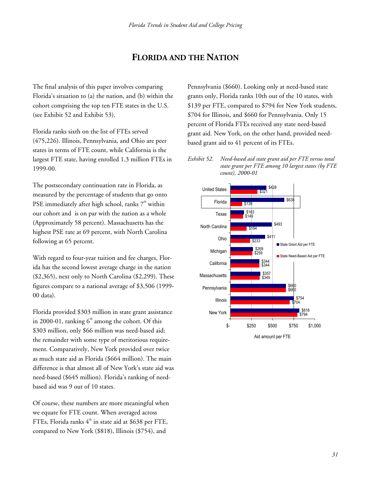## **FLORIDA AND THE NATION**

The final analysis of this paper involves comparing Florida's situation to (a) the nation, and (b) within the cohort comprising the top ten FTE states in the U.S. (see Exhibit 52 and Exhibit 53).

Florida ranks sixth on the list of FTEs served (475,226). Illinois, Pennsylvania, and Ohio are peer states in terms of FTE count, while California is the largest FTE state, having enrolled 1.3 million FTEs in 1999-00.

The postsecondary continuation rate in Florida, as measured by the percentage of students that go onto PSE immediately after high school, ranks  $7<sup>th</sup>$  within our cohort and is on par with the nation as a whole (Approximately 58 percent). Massachusetts has the highest PSE rate at 69 percent, with North Carolina following at 65 percent.

With regard to four-year tuition and fee charges, Florida has the second lowest average charge in the nation (\$2,365), next only to North Carolina (\$2,299). These figures compare to a national average of \$3,506 (1999- 00 data).

Florida provided \$303 million in state grant assistance in 2000-01, ranking  $6<sup>th</sup>$  among the cohort. Of this \$303 million, only \$66 million was need-based aid; the remainder with some type of meritorious requirement. Comparatively, New York provided over twice as much state aid as Florida (\$664 million). The main difference is that almost all of New York's state aid was need-based (\$645 million). Florida's ranking of needbased aid was 9 out of 10 states.

Of course, these numbers are more meaningful when we equate for FTE count. When averaged across FTEs, Florida ranks  $4<sup>th</sup>$  in state aid at \$638 per FTE, compared to New York (\$818), Illinois (\$754), and

Pennsylvania (\$660). Looking only at need-based state grants only, Florida ranks 10th out of the 10 states, with \$139 per FTE, compared to \$794 for New York students, \$704 for Illinois, and \$660 for Pennsylvania. Only 15 percent of Florida FTEs received any state need-based grant aid. New York, on the other hand, provided needbased grant aid to 41 percent of its FTEs.

*Exhibit 52. Need-based aid state grant aid per FTE versus total state grant per FTE among 10 largest states (by FTE count), 2000-01* 

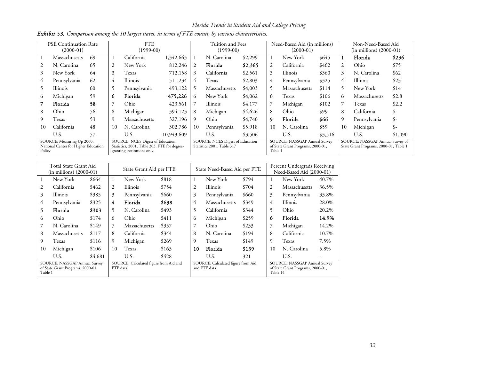*Florida Trends in Student Aid and College Pricing* 

|                                                                              | <b>PSE Continuation Rate</b><br>$(2000-01)$ |                                                                                                                 | <b>FTE</b><br>$(1999-00)$ |               |                                                                       | Tuition and Fees<br>$(1999-00)$ |                                                                               |         | Need-Based Aid (in millions)<br>$(2000-01)$ |                                                                            |       | Non-Need-Based Aid<br>$(in$ millions $)$ (2000-01) |               |       |
|------------------------------------------------------------------------------|---------------------------------------------|-----------------------------------------------------------------------------------------------------------------|---------------------------|---------------|-----------------------------------------------------------------------|---------------------------------|-------------------------------------------------------------------------------|---------|---------------------------------------------|----------------------------------------------------------------------------|-------|----------------------------------------------------|---------------|-------|
|                                                                              | Massachusetts                               | 69                                                                                                              |                           | California    | 1,342,663                                                             |                                 | N. Carolina                                                                   | \$2,299 |                                             | New York                                                                   | \$645 |                                                    | Florida       | \$236 |
|                                                                              | N. Carolina                                 | 65                                                                                                              | 2                         | New York      | 812,246                                                               | $\mathbf{2}$                    | Florida                                                                       | \$2,365 | 2                                           | California                                                                 | \$462 | 2                                                  | Ohio          | \$75  |
| 3                                                                            | New York                                    | 64                                                                                                              | 3                         | Texas         | 712,158                                                               | 3                               | California                                                                    | \$2,561 | 3                                           | Illinois                                                                   | \$360 | 3                                                  | N. Carolina   | \$62  |
|                                                                              | Pennsylvania                                | 62                                                                                                              | 4                         | Illinois      | 511,234                                                               | 4                               | Texas                                                                         | \$2,803 | 4                                           | Pennsylvania                                                               | \$325 | 4                                                  | Illinois      | \$23  |
|                                                                              | Illinois                                    | 60                                                                                                              |                           | Pennsylvania  | 493,122                                                               | 5                               | Massachusetts                                                                 | \$4,003 | 5                                           | Massachusetts                                                              | \$114 |                                                    | New York      | \$14  |
| $\circ$                                                                      | Michigan                                    | 59                                                                                                              | 6                         | Florida       | 475,226                                                               | 6                               | New York                                                                      | \$4,062 | 6                                           | Texas                                                                      | \$106 | 6                                                  | Massachusetts | \$2.8 |
|                                                                              | Florida                                     | 58                                                                                                              |                           | Ohio          | 423,561                                                               |                                 | Illinois                                                                      | \$4,177 |                                             | Michigan                                                                   | \$102 |                                                    | Texas         | \$2.2 |
| 8                                                                            | Ohio                                        | 56                                                                                                              | 8                         | Michigan      | 394,123                                                               | 8                               | Michigan                                                                      | \$4,626 | 8                                           | Ohio                                                                       | \$99  | 8                                                  | California    | \$-   |
| 9                                                                            | Texas                                       | 53                                                                                                              | 9                         | Massachusetts | 327,196                                                               | -9                              | Ohio                                                                          | \$4,740 | 9                                           | Florida                                                                    | \$66  | 9                                                  | Pennsylvania  | $S-$  |
| 10                                                                           | California                                  | 48                                                                                                              | 10                        | N. Carolina   | 302,786                                                               | 10                              | Pennsylvania                                                                  | \$5,918 | 10                                          | N. Carolina                                                                | \$59  | 10                                                 | Michigan      | \$-   |
|                                                                              | U.S.                                        | 57<br>U.S.                                                                                                      |                           | 10,943,609    |                                                                       | U.S.                            | \$3,506                                                                       |         | U.S.                                        | \$3,516                                                                    |       | U.S.                                               | \$1,090       |       |
| SOURCE: Measuring Up 2000:<br>National Center for Higher Education<br>Policy |                                             | SOURCE: NCES Digest of Education<br>Statistics, 2001, Table 203. FTE for degree-<br>granting institutions only. |                           |               | <b>SOURCE:</b> NCES Digest of Education<br>Statistics 2001, Table 317 |                                 | SOURCE: NASSGAP Annual Survey<br>of State Grant Programs, 2000-01,<br>Table 1 |         |                                             | SOURCE: NASSGAP Annual Survey of<br>State Grant Programs, 2000-01, Table 1 |       |                                                    |               |       |

|  |  |  |  |  |  | <b>Exhibit 53.</b> Comparison among the 10 largest states, in terms of FTE counts, by various characteristics. |
|--|--|--|--|--|--|----------------------------------------------------------------------------------------------------------------|
|--|--|--|--|--|--|----------------------------------------------------------------------------------------------------------------|

|                                                                               | Total State Grant Aid<br>$(in$ millions $)(2000-01)$ |       |                                                    | State Grant Aid per FTE |       |      | State Need-Based Aid per FTE                       |       |      | Percent Undergrads Receiving<br>Need-Based Aid (2000-01)                       |       |  |
|-------------------------------------------------------------------------------|------------------------------------------------------|-------|----------------------------------------------------|-------------------------|-------|------|----------------------------------------------------|-------|------|--------------------------------------------------------------------------------|-------|--|
|                                                                               | New York                                             | \$664 | 1                                                  | New York                | \$818 | 1    | New York                                           | \$794 | 1    | New York                                                                       | 40.7% |  |
| 2                                                                             | California                                           | \$462 | 2                                                  | <b>Illinois</b>         | \$754 | 2    | <b>Illinois</b>                                    | \$704 | 2    | Massachusetts                                                                  | 36.5% |  |
| 3                                                                             | Illinois                                             | \$385 | 3                                                  | Pennsylvania            | \$660 | 3    | Pennsylvania                                       | \$660 | 3    | Pennsylvania                                                                   | 33.8% |  |
| 4                                                                             | Pennsylvania                                         | \$325 | 4                                                  | Florida                 | \$638 | 4    | Massachusetts                                      | \$349 | 4    | <b>Illinois</b>                                                                | 28.0% |  |
| 5                                                                             | Florida                                              | \$303 | 5                                                  | N. Carolina             | \$493 | 5    | California                                         | \$344 | 5    | Ohio                                                                           | 20.2% |  |
| (2)                                                                           | Ohio                                                 | \$174 | 6                                                  | Ohio                    | \$411 | 6    | Michigan                                           | \$259 | 6    | Florida                                                                        | 14.9% |  |
|                                                                               | N. Carolina                                          | \$149 | 7                                                  | Massachusetts           | \$357 | 7    | Ohio                                               | \$233 | 7    | Michigan                                                                       | 14.2% |  |
| 8                                                                             | Massachusetts                                        | \$117 | 8                                                  | California              | \$344 | 8    | N. Carolina                                        | \$194 | 8    | California                                                                     | 10.7% |  |
| 9                                                                             | Texas                                                | \$116 | 9                                                  | Michigan                | \$269 | 9    | Texas                                              | \$149 | 9    | Texas                                                                          | 7.5%  |  |
| 10                                                                            | Michigan                                             | \$106 | 10                                                 | Texas                   | \$163 | 10   | Florida                                            | \$139 | 10   | N. Carolina                                                                    | 5.8%  |  |
| U.S.<br>\$4,681<br>U.S.                                                       |                                                      |       |                                                    | \$428                   |       | U.S. | 321                                                |       | U.S. | -                                                                              |       |  |
| SOURCE: NASSGAP Annual Survey<br>of State Grant Programs, 2000-01,<br>Table 1 |                                                      |       | SOURCE: Calculated figure from Aid and<br>FTE data |                         |       |      | SOURCE: Calculated figure from Aid<br>and FTE data |       |      | SOURCE: NASSGAP Annual Survey<br>of State Grant Programs, 2000-01,<br>Table 14 |       |  |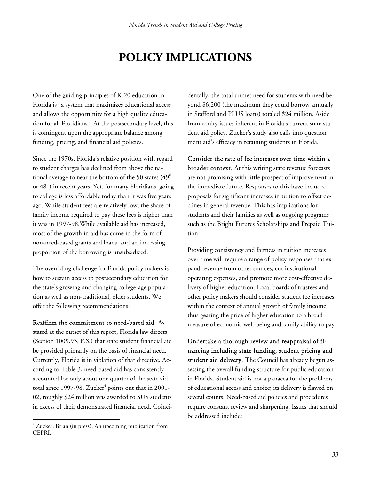# **POLICY IMPLICATIONS**

One of the guiding principles of K-20 education in Florida is "a system that maximizes educational access and allows the opportunity for a high quality education for all Floridians." At the postsecondary level, this is contingent upon the appropriate balance among funding, pricing, and financial aid policies.

Since the 1970s, Florida's relative position with regard to student charges has declined from above the national average to near the bottom of the 50 states  $(49<sup>th</sup>$ or  $48<sup>th</sup>$ ) in recent years. Yet, for many Floridians, going to college is less affordable today than it was five years ago. While student fees are relatively low, the share of family income required to pay these fees is higher than it was in 1997-98.While available aid has increased, most of the growth in aid has come in the form of non-need-based grants and loans, and an increasing proportion of the borrowing is unsubsidized.

The overriding challenge for Florida policy makers is how to sustain access to postsecondary education for the state's growing and changing college-age population as well as non-traditional, older students. We offer the following recommendations:

Reaffirm the commitment to need-based aid. As stated at the outset of this report, Florida law directs (Section 1009.93, F.S.) that state student financial aid be provided primarily on the basis of financial need. Currently, Florida is in violation of that directive. According to Table 3, need-based aid has consistently accounted for only about one quarter of the state aid total since 1997-98. Zucker $^{\rm 4}$  points out that in 2001-02, roughly \$24 million was awarded to SUS students in excess of their demonstrated financial need. Coincidentally, the total unmet need for students with need beyond \$6,200 (the maximum they could borrow annually in Stafford and PLUS loans) totaled \$24 million. Aside from equity issues inherent in Florida's current state student aid policy, Zucker's study also calls into question merit aid's efficacy in retaining students in Florida.

Consider the rate of fee increases over time within a broader context. At this writing state revenue forecasts are not promising with little prospect of improvement in the immediate future. Responses to this have included proposals for significant increases in tuition to offset declines in general revenue. This has implications for students and their families as well as ongoing programs such as the Bright Futures Scholarships and Prepaid Tuition.

Providing consistency and fairness in tuition increases over time will require a range of policy responses that expand revenue from other sources, cut institutional operating expenses, and promote more cost-effective delivery of higher education. Local boards of trustees and other policy makers should consider student fee increases within the context of annual growth of family income thus gearing the price of higher education to a broad measure of economic well-being and family ability to pay.

Undertake a thorough review and reappraisal of financing including state funding, student pricing and student aid delivery. The Council has already begun assessing the overall funding structure for public education in Florida. Student aid is not a panacea for the problems of educational access and choice; its delivery is flawed on several counts. Need-based aid policies and procedures require constant review and sharpening. Issues that should be addressed include:

 $\overline{a}$ 4 Zucker, Brian (in press). An upcoming publication from CEPRI.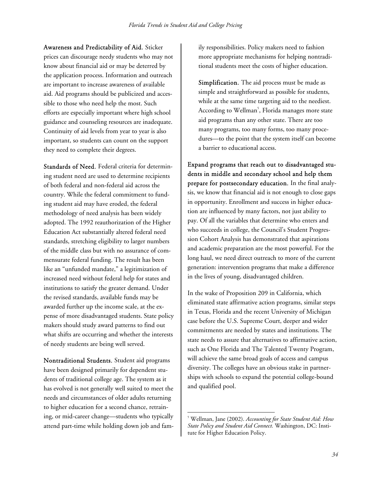Awareness and Predictability of Aid. Sticker prices can discourage needy students who may not know about financial aid or may be deterred by the application process. Information and outreach are important to increase awareness of available aid. Aid programs should be publicized and accessible to those who need help the most. Such efforts are especially important where high school guidance and counseling resources are inadequate. Continuity of aid levels from year to year is also important, so students can count on the support they need to complete their degrees.

Standards of Need. Federal criteria for determining student need are used to determine recipients of both federal and non-federal aid across the country. While the federal commitment to funding student aid may have eroded, the federal methodology of need analysis has been widely adopted. The 1992 reauthorization of the Higher Education Act substantially altered federal need standards, stretching eligibility to larger numbers of the middle class but with no assurance of commensurate federal funding. The result has been like an "unfunded mandate," a legitimization of increased need without federal help for states and institutions to satisfy the greater demand. Under the revised standards, available funds may be awarded further up the income scale, at the expense of more disadvantaged students. State policy makers should study award patterns to find out what shifts are occurring and whether the interests of needy students are being well served.

Nontraditional Students. Student aid programs have been designed primarily for dependent students of traditional college age. The system as it has evolved is not generally well suited to meet the needs and circumstances of older adults returning to higher education for a second chance, retraining, or mid-career change—students who typically attend part-time while holding down job and family responsibilities. Policy makers need to fashion more appropriate mechanisms for helping nontraditional students meet the costs of higher education.

Simplification. The aid process must be made as simple and straightforward as possible for students, while at the same time targeting aid to the neediest. According to Wellman<sup>5</sup>, Florida manages more state aid programs than any other state. There are too many programs, too many forms, too many procedures—to the point that the system itself can become a barrier to educational access.

Expand programs that reach out to disadvantaged students in middle and secondary school and help them prepare for postsecondary education. In the final analysis, we know that financial aid is not enough to close gaps in opportunity. Enrollment and success in higher education are influenced by many factors, not just ability to pay. Of all the variables that determine who enters and who succeeds in college, the Council's Student Progression Cohort Analysis has demonstrated that aspirations and academic preparation are the most powerful. For the long haul, we need direct outreach to more of the current generation: intervention programs that make a difference in the lives of young, disadvantaged children.

In the wake of Proposition 209 in California, which eliminated state affirmative action programs, similar steps in Texas, Florida and the recent University of Michigan case before the U.S. Supreme Court, deeper and wider commitments are needed by states and institutions. The state needs to assure that alternatives to affirmative action, such as One Florida and The Talented Twenty Program, will achieve the same broad goals of access and campus diversity. The colleges have an obvious stake in partnerships with schools to expand the potential college-bound and qualified pool.

 $\overline{a}$ 

<sup>5</sup> Wellman, Jane (2002). *Accounting for State Student Aid: How State Policy and Student Aid Connect.* Washington, DC: Institute for Higher Education Policy.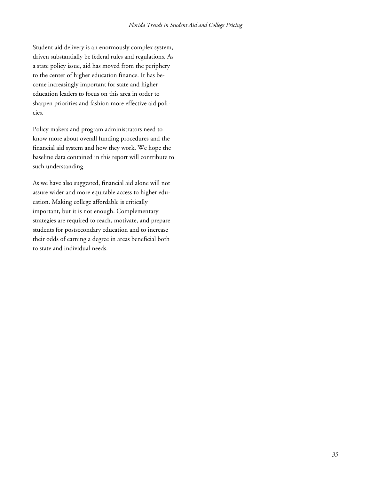Student aid delivery is an enormously complex system, driven substantially be federal rules and regulations. As a state policy issue, aid has moved from the periphery to the center of higher education finance. It has become increasingly important for state and higher education leaders to focus on this area in order to sharpen priorities and fashion more effective aid policies.

Policy makers and program administrators need to know more about overall funding procedures and the financial aid system and how they work. We hope the baseline data contained in this report will contribute to such understanding.

As we have also suggested, financial aid alone will not assure wider and more equitable access to higher education. Making college affordable is critically important, but it is not enough. Complementary strategies are required to reach, motivate, and prepare students for postsecondary education and to increase their odds of earning a degree in areas beneficial both to state and individual needs.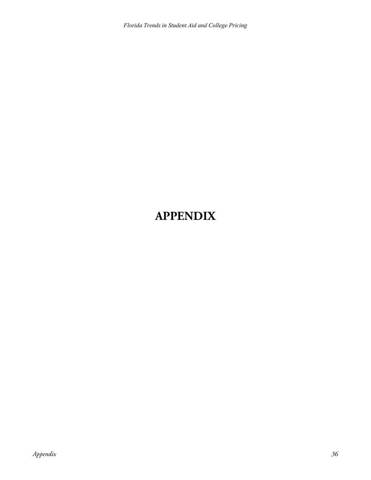*Florida Trends in Student Aid and College Pricing* 

## **APPENDIX**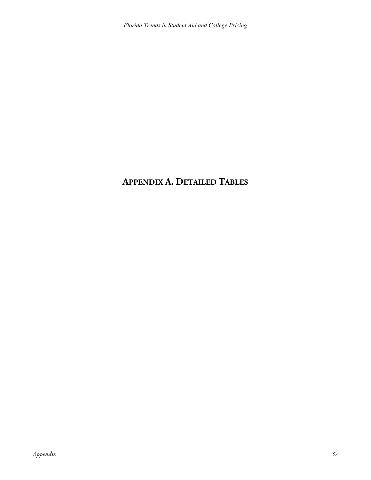## **APPENDIX A. DETAILED TABLES**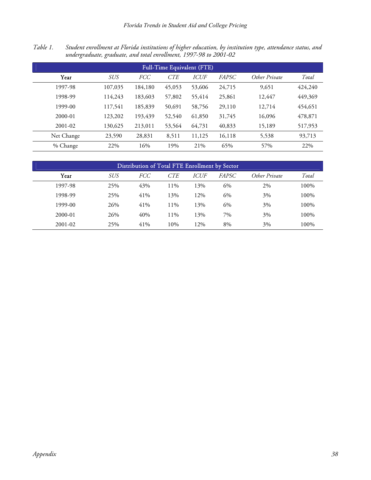*Table 1. Student enrollment at Florida institutions of higher education, by institution type, attendance status, and undergraduate, graduate, and total enrollment, 1997-98 to 2001-02* 

| <b>Full-Time Equivalent (FTE)</b> |            |            |            |             |        |               |         |  |  |  |  |  |
|-----------------------------------|------------|------------|------------|-------------|--------|---------------|---------|--|--|--|--|--|
| Year                              | <i>SUS</i> | <i>FCC</i> | <b>CTE</b> | <i>ICUF</i> | FAPSC  | Other Private | Total   |  |  |  |  |  |
| 1997-98                           | 107,035    | 184,180    | 45,053     | 53,606      | 24,715 | 9,651         | 424,240 |  |  |  |  |  |
| 1998-99                           | 114,243    | 183,603    | 57,802     | 55,414      | 25,861 | 12,447        | 449,369 |  |  |  |  |  |
| 1999-00                           | 117,541    | 185,839    | 50,691     | 58,756      | 29,110 | 12,714        | 454,651 |  |  |  |  |  |
| $2000 - 01$                       | 123,202    | 193,439    | 52,540     | 61,850      | 31,745 | 16,096        | 478,871 |  |  |  |  |  |
| 2001-02                           | 130,625    | 213,011    | 53,564     | 64,731      | 40,833 | 15,189        | 517,953 |  |  |  |  |  |
| Net Change                        | 23,590     | 28,831     | 8,511      | 11,125      | 16,118 | 5,538         | 93,713  |  |  |  |  |  |
| % Change                          | 22%        | 16%        | 19%        | 21%         | 65%    | 57%           | 22%     |  |  |  |  |  |

| Distribution of Total FTE Enrollment by Sector |            |            |            |             |              |               |       |  |  |  |  |  |
|------------------------------------------------|------------|------------|------------|-------------|--------------|---------------|-------|--|--|--|--|--|
| Year                                           | <b>SUS</b> | <i>FCC</i> | <b>CTE</b> | <i>ICUF</i> | <i>FAPSC</i> | Other Private | Total |  |  |  |  |  |
| 1997-98                                        | 25%        | 43%        | 11%        | 13%         | 6%           | 2%            | 100%  |  |  |  |  |  |
| 1998-99                                        | 25%        | 41%        | 13%        | 12%         | 6%           | 3%            | 100%  |  |  |  |  |  |
| 1999-00                                        | 26%        | 41%        | 11%        | 13%         | 6%           | 3%            | 100%  |  |  |  |  |  |
| 2000-01                                        | 26%        | 40%        | 11%        | 13%         | 7%           | 3%            | 100%  |  |  |  |  |  |
| 2001-02                                        | 25%        | 41%        | 10%        | 12%         | 8%           | 3%            | 100%  |  |  |  |  |  |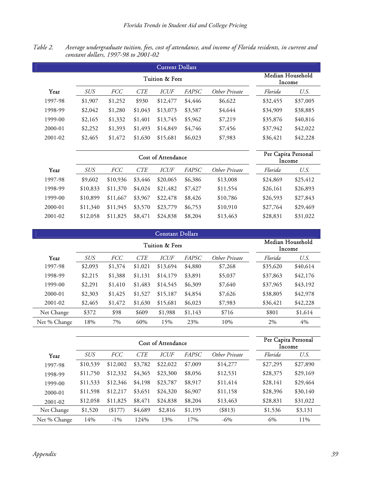| Table 2. | Average undergraduate tuition, fees, cost of attendance, and income of Florida residents, in current and |  |  |  |  |  |
|----------|----------------------------------------------------------------------------------------------------------|--|--|--|--|--|
|          | constant dollars, 1997-98 to 2001-02                                                                     |  |  |  |  |  |

| <b>Current Dollars</b> |            |                            |            |             |              |               |          |          |  |  |  |
|------------------------|------------|----------------------------|------------|-------------|--------------|---------------|----------|----------|--|--|--|
|                        |            | Median Household<br>Income |            |             |              |               |          |          |  |  |  |
| Year                   | <b>SUS</b> | <i>FCC</i>                 | <b>CTE</b> | <b>ICUF</b> | <i>FAPSC</i> | Other Private | Florida  | U.S.     |  |  |  |
| 1997-98                | \$1,907    | \$1,252                    | \$930      | \$12,477    | \$4,446      | \$6,622       | \$32,455 | \$37,005 |  |  |  |
| 1998-99                | \$2,042    | \$1,280                    | \$1,043    | \$13,073    | \$3,587      | \$4,644       | \$34,909 | \$38,885 |  |  |  |
| 1999-00                | \$2,165    | \$1,332                    | \$1,401    | \$13,745    | \$5,962      | \$7,219       | \$35,876 | \$40,816 |  |  |  |
| $2000 - 01$            | \$2,252    | \$1,393                    | \$1,493    | \$14,849    | \$4,746      | \$7,456       | \$37,942 | \$42,022 |  |  |  |
| 2001-02                | \$2,465    | \$1,472                    | \$1,630    | \$15,681    | \$6,023      | \$7,983       | \$36,421 | \$42,228 |  |  |  |

|         |            |            | Per Capita Personal | Income      |         |               |          |          |
|---------|------------|------------|---------------------|-------------|---------|---------------|----------|----------|
| Year    | <b>SUS</b> | <i>FCC</i> | <b>CTE</b>          | <b>ICUF</b> | FAPSC   | Other Private | Florida  | U.S.     |
| 1997-98 | \$9,602    | \$10,936   | \$3,446             | \$20,065    | \$6,386 | \$13,008      | \$24,869 | \$25,412 |
| 1998-99 | \$10,833   | \$11,370   | \$4,024             | \$21,482    | \$7,427 | \$11,554      | \$26,161 | \$26,893 |
| 1999-00 | \$10,899   | \$11,667   | \$3,967             | \$22,478    | \$8,426 | \$10,786      | \$26,593 | \$27,843 |
| 2000-01 | \$11,340   | \$11,945   | \$3,570             | \$23,779    | \$6,753 | \$10,910      | \$27,764 | \$29,469 |
| 2001-02 | \$12,058   | \$11,825   | \$8,471             | \$24,838    | \$8,204 | \$13,463      | \$28,831 | \$31,022 |

| <b>Constant Dollars</b> |                            |            |            |             |              |               |          |          |  |  |  |
|-------------------------|----------------------------|------------|------------|-------------|--------------|---------------|----------|----------|--|--|--|
|                         | Median Household<br>Income |            |            |             |              |               |          |          |  |  |  |
| Year                    | <b>SUS</b>                 | <b>FCC</b> | <i>CTE</i> | <b>ICUF</b> | <b>FAPSC</b> | Other Private | Florida  | U.S.     |  |  |  |
| 1997-98                 | \$2,093                    | \$1,374    | \$1,021    | \$13,694    | \$4,880      | \$7,268       | \$35,620 | \$40,614 |  |  |  |
| 1998-99                 | \$2,215                    | \$1,388    | \$1,131    | \$14,179    | \$3,891      | \$5,037       | \$37,863 | \$42,176 |  |  |  |
| 1999-00                 | \$2,291                    | \$1,410    | \$1,483    | \$14,545    | \$6,309      | \$7,640       | \$37,965 | \$43,192 |  |  |  |
| $2000 - 01$             | \$2,303                    | \$1,425    | \$1,527    | \$15,187    | \$4,854      | \$7,626       | \$38,805 | \$42,978 |  |  |  |
| 2001-02                 | \$2,465                    | \$1,472    | \$1,630    | \$15,681    | \$6,023      | \$7,983       | \$36,421 | \$42,228 |  |  |  |
| Net Change              | \$372                      | \$98       | \$609      | \$1,988     | \$1,143      | \$716         | \$801    | \$1,614  |  |  |  |
| Net % Change            | 18%                        | 7%         | 60%        | 15%         | 23%          | 10%           | 2%       | 4%       |  |  |  |

|              |            |            |               | Cost of Attendance |         |           |          | Per Capita Personal<br>Income |
|--------------|------------|------------|---------------|--------------------|---------|-----------|----------|-------------------------------|
| Year         | <b>SUS</b> | <i>FCC</i> | Other Private | Florida            | U.S.    |           |          |                               |
| 1997-98      | \$10,539   | \$12,002   | \$3,782       | \$22,022           | \$7,009 | \$14,277  | \$27,295 | \$27,890                      |
| 1998-99      | \$11,750   | \$12,332   | \$4,365       | \$23,300           | \$8,056 | \$12,531  | \$28,375 | \$29,169                      |
| 1999-00      | \$11,533   | \$12,346   | \$4,198       | \$23,787           | \$8,917 | \$11,414  | \$28,141 | \$29,464                      |
| $2000 - 01$  | \$11,598   | \$12,217   | \$3,651       | \$24,320           | \$6,907 | \$11,158  | \$28,396 | \$30,140                      |
| 2001-02      | \$12,058   | \$11,825   | \$8,471       | \$24,838           | \$8,204 | \$13,463  | \$28,831 | \$31,022                      |
| Net Change   | \$1,520    | (\$177)    | \$4,689       | \$2,816            | \$1,195 | $(\$813)$ | \$1,536  | \$3,131                       |
| Net % Change | 14%        | $-1\%$     | 124%          | 13%                | 17%     | $-6\%$    | 6%       | 11%                           |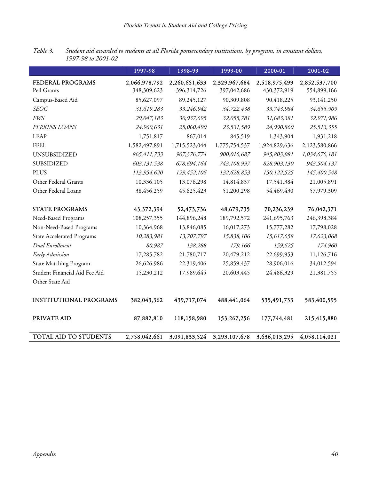|                                   | 1997-98       | 1998-99       | $1999 - 00$   | 2000-01       | 2001-02       |
|-----------------------------------|---------------|---------------|---------------|---------------|---------------|
| FEDERAL PROGRAMS                  | 2,066,978,792 | 2,260,651,633 | 2,329,967,684 | 2,518,975,499 | 2,852,537,700 |
| Pell Grants                       | 348,309,623   | 396,314,726   | 397,042,686   | 430,372,919   | 554,899,166   |
| Campus-Based Aid                  | 85,627,097    | 89,245,127    | 90,309,808    | 90,418,225    | 93,141,250    |
| <b>SEOG</b>                       | 31,619,283    | 33,246,942    | 34,722,438    | 33,743,984    | 34,655,909    |
| <b>FWS</b>                        | 29,047,183    | 30,937,695    | 32,055,781    | 31,683,381    | 32,971,986    |
| PERKINS LOANS                     | 24,960,631    | 25,060,490    | 23,531,589    | 24,990,860    | 25,513,355    |
| <b>LEAP</b>                       | 1,751,817     | 867,014       | 845,519       | 1,343,904     | 1,931,218     |
| <b>FFEL</b>                       | 1,582,497,891 | 1,715,523,044 | 1,775,754,537 | 1,924,829,636 | 2,123,580,866 |
| UNSUBSIDIZED                      | 865,411,733   | 907,376,774   | 900,016,687   | 945,803,981   | 1,034,676,181 |
| SUBSIDIZED                        | 603,131,538   | 678,694,164   | 743,108,997   | 828,903,130   | 943,504,137   |
| <b>PLUS</b>                       | 113,954,620   | 129,452,106   | 132,628,853   | 150,122,525   | 145,400,548   |
| Other Federal Grants              | 10,336,105    | 13,076,298    | 14,814,837    | 17,541,384    | 21,005,891    |
| Other Federal Loans               | 38,456,259    | 45,625,423    | 51,200,298    | 54,469,430    | 57,979,309    |
| <b>STATE PROGRAMS</b>             | 43,372,394    | 52,473,736    | 48,679,735    | 70,236,239    | 76,042,371    |
| Need-Based Programs               | 108,257,355   | 144,896,248   | 189,792,572   | 241,695,763   | 246,398,384   |
| Non-Need-Based Programs           | 10,364,968    | 13,846,085    | 16,017,273    | 15,777,282    | 17,798,028    |
| <b>State Accelerated Programs</b> | 10,283,981    | 13,707,797    | 15,838,106    | 15,617,658    | 17,623,068    |
| Dual Enrollment                   | 80,987        | 138,288       | 179,166       | 159,625       | 174,960       |
| Early Admission                   | 17,285,782    | 21,780,717    | 20,479,212    | 22,699,953    | 11,126,716    |
| <b>State Matching Program</b>     | 26,626,986    | 22,319,406    | 25,859,437    | 28,906,016    | 34,012,594    |
| Student Financial Aid Fee Aid     | 15,230,212    | 17,989,645    | 20,603,445    | 24,486,329    | 21,381,755    |
| Other State Aid                   |               |               |               |               |               |
| <b>INSTITUTIONAL PROGRAMS</b>     | 382,043,362   | 439,717,074   | 488,441,064   | 535,491,733   | 583,400,595   |
| PRIVATE AID                       | 87,882,810    | 118,158,980   | 153,267,256   | 177,744,481   | 215,415,880   |
| <b>TOTAL AID TO STUDENTS</b>      | 2,758,042,661 | 3,091,833,524 | 3,293,107,678 | 3,636,013,295 | 4,058,114,021 |

*Table 3. Student aid awarded to students at all Florida postsecondary institutions, by program, in constant dollars, 1997-98 to 2001-02*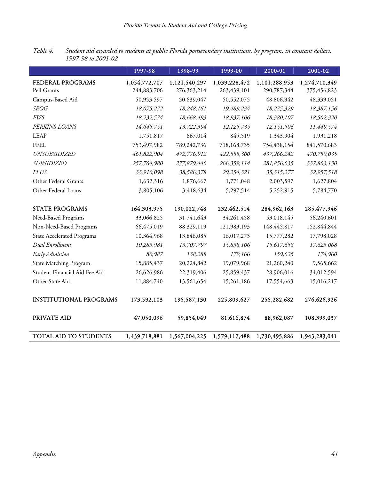|                                   | 1997-98       | 1998-99       | 1999-00       | 2000-01       | 2001-02       |
|-----------------------------------|---------------|---------------|---------------|---------------|---------------|
| FEDERAL PROGRAMS                  | 1,054,772,707 | 1,121,540,297 | 1,039,228,472 | 1,101,288,953 | 1,274,710,349 |
| Pell Grants                       | 244,883,706   | 276,363,214   | 263,439,101   | 290,787,344   | 375,456,823   |
| Campus-Based Aid                  | 50,953,597    | 50,639,047    | 50,552,075    | 48,806,942    | 48,339,051    |
| <b>SEOG</b>                       | 18,075,272    | 18,248,161    | 19,489,234    | 18,275,329    | 18,387,156    |
| <b>FWS</b>                        | 18,232,574    | 18,668,493    | 18,937,106    | 18,380,107    | 18,502,320    |
| PERKINS LOANS                     | 14,645,751    | 13,722,394    | 12,125,735    | 12,151,506    | 11,449,574    |
| <b>LEAP</b>                       | 1,751,817     | 867,014       | 845,519       | 1,343,904     | 1,931,218     |
| <b>FFEL</b>                       | 753,497,982   | 789,242,736   | 718,168,735   | 754,438,154   | 841,570,683   |
| <b>UNSUBSIDIZED</b>               | 461,822,904   | 472,776,912   | 422,555,300   | 437,266,242   | 470,750,035   |
| <b>SUBSIDIZED</b>                 | 257,764,980   | 277,879,446   | 266,359,114   | 281,856,635   | 337,863,130   |
| <b>PLUS</b>                       | 33,910,098    | 38,586,378    | 29,254,321    | 35,315,277    | 32,957,518    |
| Other Federal Grants              | 1,632,316     | 1,876,667     | 1,771,048     | 2,003,597     | 1,627,804     |
| Other Federal Loans               | 3,805,106     | 3,418,634     | 5,297,514     | 5,252,915     | 5,784,770     |
| <b>STATE PROGRAMS</b>             | 164,303,975   | 190,022,748   | 232,462,514   | 284,962,163   | 285, 477, 946 |
| Need-Based Programs               | 33,066,825    | 31,741,643    | 34,261,458    | 53,018,145    | 56,240,601    |
| Non-Need-Based Programs           | 66,475,019    | 88,329,119    | 121,983,193   | 148,445,817   | 152,844,844   |
| <b>State Accelerated Programs</b> | 10,364,968    | 13,846,085    | 16,017,273    | 15,777,282    | 17,798,028    |
| Dual Enrollment                   | 10,283,981    | 13,707,797    | 15,838,106    | 15,617,658    | 17,623,068    |
| Early Admission                   | 80,987        | 138,288       | 179,166       | 159,625       | 174,960       |
| <b>State Matching Program</b>     | 15,885,437    | 20,224,842    | 19,079,968    | 21,260,240    | 9,565,662     |
| Student Financial Aid Fee Aid     | 26,626,986    | 22,319,406    | 25,859,437    | 28,906,016    | 34,012,594    |
| Other State Aid                   | 11,884,740    | 13,561,654    | 15,261,186    | 17,554,663    | 15,016,217    |
| <b>INSTITUTIONAL PROGRAMS</b>     | 173,592,103   | 195,587,130   | 225,809,627   | 255,282,682   | 276,626,926   |
| PRIVATE AID                       | 47,050,096    | 59,854,049    | 81,616,874    | 88,962,087    | 108,399,037   |
| <b>TOTAL AID TO STUDENTS</b>      | 1,439,718,881 | 1,567,004,225 | 1,579,117,488 | 1,730,495,886 | 1,943,283,041 |

*Table 4. Student aid awarded to students at public Florida postsecondary institutions, by program, in constant dollars, 1997-98 to 2001-02*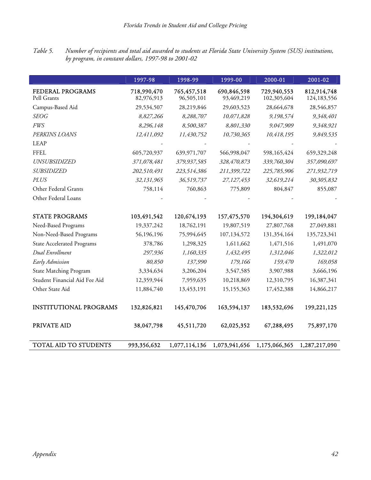*Table 5. Number of recipients and total aid awarded to students at Florida State University System (SUS) institutions, by program, in constant dollars, 1997-98 to 2001-02* 

|                                   | 1997-98                   | 1998-99                   | 1999-00                   | 2000-01                    | 2001-02                    |
|-----------------------------------|---------------------------|---------------------------|---------------------------|----------------------------|----------------------------|
| FEDERAL PROGRAMS<br>Pell Grants   | 718,990,470<br>82,976,913 | 765,457,518<br>96,505,101 | 690,846,598<br>93,469,219 | 729,940,553<br>102,305,604 | 812,914,748<br>124,183,556 |
| Campus-Based Aid                  | 29,534,507                | 28,219,846                | 29,603,523                | 28,664,678                 | 28,546,857                 |
| <b>SEOG</b>                       | 8,827,266                 | 8,288,707                 | 10,071,828                | 9,198,574                  | 9,348,401                  |
| <b>FWS</b>                        | 8,296,148                 | 8,500,387                 | 8,801,330                 | 9,047,909                  | 9,348,921                  |
| PERKINS LOANS                     | 12,411,092                | 11,430,752                | 10,730,365                | 10,418,195                 | 9,849,535                  |
| <b>LEAP</b>                       |                           |                           |                           |                            |                            |
| <b>FFEL</b>                       | 605,720,937               | 639,971,707               | 566,998,047               | 598,165,424                | 659,329,248                |
| <b>UNSUBSIDIZED</b>               | 371,078,481               | 379,937,585               | 328,470,873               | 339,760,304                | 357,090,697                |
| <i>SUBSIDIZED</i>                 | 202,510,491               | 223,514,386               | 211,399,722               | 225,785,906                | 271,932,719                |
| <b>PLUS</b>                       | 32,131,965                | 36,519,737                | 27,127,453                | 32,619,214                 | 30,305,832                 |
| Other Federal Grants              | 758,114                   | 760,863                   | 775,809                   | 804,847                    | 855,087                    |
| Other Federal Loans               |                           |                           |                           |                            |                            |
| <b>STATE PROGRAMS</b>             | 103,491,542               | 120,674,193               | 157,475,570               | 194,304,619                | 199,184,047                |
| Need-Based Programs               | 19,337,242                | 18,762,191                | 19,807,519                | 27,807,768                 | 27,049,881                 |
| Non-Need-Based Programs           | 56,196,196                | 75,994,645                | 107,134,572               | 131,354,164                | 135,723,341                |
| <b>State Accelerated Programs</b> | 378,786                   | 1,298,325                 | 1,611,662                 | 1,471,516                  | 1,491,070                  |
| Dual Enrollment                   | 297,936                   | 1,160,335                 | 1,432,495                 | 1,312,046                  | 1,322,012                  |
| Early Admission                   | 80,850                    | 137,990                   | 179,166                   | 159,470                    | 169,058                    |
| <b>State Matching Program</b>     | 3,334,634                 | 3,206,204                 | 3,547,585                 | 3,907,988                  | 3,666,196                  |
| Student Financial Aid Fee Aid     | 12,359,944                | 7,959,635                 | 10,218,869                | 12,310,795                 | 16,387,341                 |
| Other State Aid                   | 11,884,740                | 13,453,191                | 15,155,363                | 17,452,388                 | 14,866,217                 |
| <b>INSTITUTIONAL PROGRAMS</b>     | 132,826,821               | 145,470,706               | 163,594,137               | 183,532,696                | 199,221,125                |
| PRIVATE AID                       | 38,047,798                | 45,511,720                | 62,025,352                | 67,288,495                 | 75,897,170                 |
| TOTAL AID TO STUDENTS             | 993,356,632               | 1,077,114,136             | 1,073,941,656             | 1,175,066,365              | 1,287,217,090              |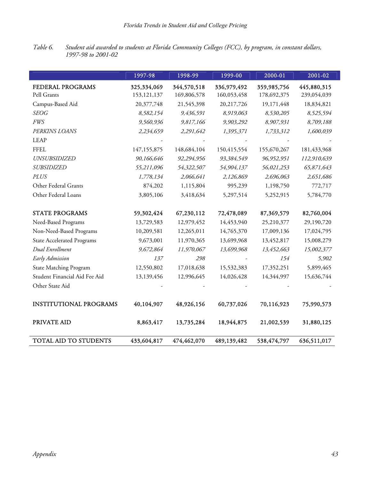*Table 6. Student aid awarded to students at Florida Community Colleges (FCC), by program, in constant dollars, 1997-98 to 2001-02* 

|                                   | 1997-98       | 1998-99     | 1999-00     | 2000-01     | 2001-02     |
|-----------------------------------|---------------|-------------|-------------|-------------|-------------|
| FEDERAL PROGRAMS                  | 325,334,069   | 344,570,518 | 336,979,492 | 359,985,756 | 445,880,315 |
| Pell Grants                       | 153, 121, 137 | 169,806,578 | 160,053,458 | 178,692,375 | 239,054,039 |
| Campus-Based Aid                  | 20,377,748    | 21,545,398  | 20,217,726  | 19,171,448  | 18,834,821  |
| <b>SEOG</b>                       | 8,582,154     | 9,436,591   | 8,919,063   | 8,530,205   | 8,525,594   |
| <b>FWS</b>                        | 9,560,936     | 9,817,166   | 9,903,292   | 8,907,931   | 8,709,188   |
| PERKINS LOANS                     | 2,234,659     | 2,291,642   | 1,395,371   | 1,733,312   | 1,600,039   |
| <b>LEAP</b>                       |               |             |             |             |             |
| <b>FFEL</b>                       | 147,155,875   | 148,684,104 | 150,415,554 | 155,670,267 | 181,433,968 |
| <b>UNSUBSIDIZED</b>               | 90,166,646    | 92,294,956  | 93,384,549  | 96,952,951  | 112,910,639 |
| <b>SUBSIDIZED</b>                 | 55,211,096    | 54,322,507  | 54,904,137  | 56,021,253  | 65,871,643  |
| <b>PLUS</b>                       | 1,778,134     | 2,066,641   | 2,126,869   | 2,696,063   | 2,651,686   |
| Other Federal Grants              | 874,202       | 1,115,804   | 995,239     | 1,198,750   | 772,717     |
| Other Federal Loans               | 3,805,106     | 3,418,634   | 5,297,514   | 5,252,915   | 5,784,770   |
|                                   |               |             |             |             |             |
| <b>STATE PROGRAMS</b>             | 59,302,424    | 67,230,112  | 72,478,089  | 87,369,579  | 82,760,004  |
| Need-Based Programs               | 13,729,583    | 12,979,452  | 14,453,940  | 25,210,377  | 29,190,720  |
| Non-Need-Based Programs           | 10,209,581    | 12,265,011  | 14,765,370  | 17,009,136  | 17,024,795  |
| <b>State Accelerated Programs</b> | 9,673,001     | 11,970,365  | 13,699,968  | 13,452,817  | 15,008,279  |
| Dual Enrollment                   | 9,672,864     | 11,970,067  | 13,699,968  | 13,452,663  | 15,002,377  |
| Early Admission                   | 137           | 298         |             | 154         | 5,902       |
| <b>State Matching Program</b>     | 12,550,802    | 17,018,638  | 15,532,383  | 17,352,251  | 5,899,465   |
| Student Financial Aid Fee Aid     | 13,139,456    | 12,996,645  | 14,026,428  | 14,344,997  | 15,636,744  |
| Other State Aid                   |               |             |             |             |             |
|                                   |               |             |             |             |             |
| <b>INSTITUTIONAL PROGRAMS</b>     | 40,104,907    | 48,926,156  | 60,737,026  | 70,116,923  | 75,990,573  |
|                                   |               |             |             |             |             |
| PRIVATE AID                       | 8,863,417     | 13,735,284  | 18,944,875  | 21,002,539  | 31,880,125  |
| TOTAL AID TO STUDENTS             | 433,604,817   | 474,462,070 | 489,139,482 | 538,474,797 | 636,511,017 |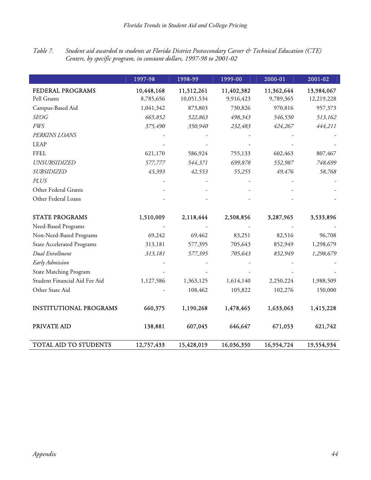*Table 7. Student aid awarded to students at Florida District Postsecondary Career & Technical Education (CTE) Centers, by specific program, in constant dollars, 1997-98 to 2001-02* 

|                                   | 1997-98    | 1998-99    | 1999-00    | 2000-01    | 2001-02    |
|-----------------------------------|------------|------------|------------|------------|------------|
| FEDERAL PROGRAMS                  | 10,448,168 | 11,512,261 | 11,402,382 | 11,362,644 | 13,984,067 |
| Pell Grants                       | 8,785,656  | 10,051,534 | 9,916,423  | 9,789,365  | 12,219,228 |
| Campus-Based Aid                  | 1,041,342  | 873,803    | 730,826    | 970,816    | 957,373    |
| <b>SEOG</b>                       | 665,852    | 522,863    | 498,343    | 546,550    | 513,162    |
| <b>FWS</b>                        | 375,490    | 350,940    | 232,483    | 424,267    | 444,211    |
| PERKINS LOANS                     |            |            |            |            |            |
| <b>LEAP</b>                       |            |            |            |            |            |
| <b>FFEL</b>                       | 621,170    | 586,924    | 755,133    | 602,463    | 807,467    |
| UNSUBSIDIZED                      | 577,777    | 544,371    | 699,878    | 552,987    | 748,699    |
| <b>SUBSIDIZED</b>                 | 43,393     | 42,553     | 55,255     | 49,476     | 58,768     |
| <b>PLUS</b>                       |            |            |            |            |            |
| Other Federal Grants              |            |            |            |            |            |
| Other Federal Loans               |            |            |            |            |            |
|                                   |            |            |            |            |            |
| <b>STATE PROGRAMS</b>             | 1,510,009  | 2,118,444  | 2,508,856  | 3,287,965  | 3,533,896  |
| Need-Based Programs               |            |            |            |            |            |
| Non-Need-Based Programs           | 69,242     | 69,462     | 83,251     | 82,516     | 96,708     |
| <b>State Accelerated Programs</b> | 313,181    | 577,395    | 705,643    | 852,949    | 1,298,679  |
| Dual Enrollment                   | 313,181    | 577,395    | 705,643    | 852,949    | 1,298,679  |
| Early Admission                   |            |            |            |            |            |
| <b>State Matching Program</b>     |            |            |            |            |            |
| Student Financial Aid Fee Aid     | 1,127,586  | 1,363,125  | 1,614,140  | 2,250,224  | 1,988,509  |
| Other State Aid                   |            | 108,462    | 105,822    | 102,276    | 150,000    |
|                                   |            |            |            |            |            |
| <b>INSTITUTIONAL PROGRAMS</b>     | 660,375    | 1,190,268  | 1,478,465  | 1,633,063  | 1,415,228  |
| PRIVATE AID                       | 138,881    | 607,045    | 646,647    | 671,053    | 621,742    |
| TOTAL AID TO STUDENTS             | 12,757,433 | 15,428,019 | 16,036,350 | 16,954,724 | 19,554,934 |

I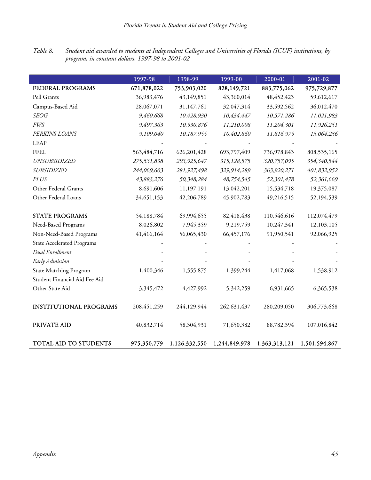*Table 8. Student aid awarded to students at Independent Colleges and Universities of Florida (ICUF) institutions, by program, in constant dollars, 1997-98 to 2001-02* 

|                                   | 1997-98       | 1998-99       | 1999-00       | 2000-01       | 2001-02       |
|-----------------------------------|---------------|---------------|---------------|---------------|---------------|
| FEDERAL PROGRAMS                  | 671,878,022   | 753,903,020   | 828,149,721   | 883,775,062   | 975,729,877   |
| Pell Grants                       | 36,983,476    | 43,149,851    | 43,360,014    | 48, 452, 423  | 59,612,617    |
| Campus-Based Aid                  | 28,067,071    | 31,147,761    | 32,047,314    | 33,592,562    | 36,012,470    |
| <b>SEOG</b>                       | 9,460,668     | 10,428,930    | 10,434,447    | 10,571,286    | 11,021,983    |
| <b>FWS</b>                        | 9,497,363     | 10,530,876    | 11,210,008    | 11,204,301    | 11,926,251    |
| PERKINS LOANS                     | 9,109,040     | 10,187,955    | 10,402,860    | 11,816,975    | 13,064,236    |
| <b>LEAP</b>                       |               |               |               |               |               |
| <b>FFEL</b>                       | 563,484,716   | 626,201,428   | 693,797,409   | 736,978,843   | 808,535,165   |
| UNSUBSIDIZED                      | 275,531,838   | 293,925,647   | 315,128,575   | 320,757,095   | 354,340,544   |
| <b>SUBSIDIZED</b>                 | 244,069,603   | 281,927,498   | 329,914,289   | 363,920,271   | 401,832,952   |
| <b>PLUS</b>                       | 43,883,276    | 50,348,284    | 48,754,545    | 52,301,478    | 52,361,669    |
| Other Federal Grants              | 8,691,606     | 11,197,191    | 13,042,201    | 15,534,718    | 19,375,087    |
| Other Federal Loans               | 34,651,153    | 42,206,789    | 45,902,783    | 49,216,515    | 52,194,539    |
|                                   |               |               |               |               |               |
| <b>STATE PROGRAMS</b>             | 54,188,784    | 69,994,655    | 82,418,438    | 110,546,616   | 112,074,479   |
| Need-Based Programs               | 8,026,802     | 7,945,359     | 9,219,759     | 10,247,341    | 12,103,105    |
| Non-Need-Based Programs           | 41,416,164    | 56,065,430    | 66,457,176    | 91,950,541    | 92,066,925    |
| <b>State Accelerated Programs</b> |               |               |               |               |               |
| Dual Enrollment                   |               |               |               |               |               |
| Early Admission                   |               |               |               |               |               |
| <b>State Matching Program</b>     | 1,400,346     | 1,555,875     | 1,399,244     | 1,417,068     | 1,538,912     |
| Student Financial Aid Fee Aid     |               |               |               |               |               |
| Other State Aid                   | 3,345,472     | 4,427,992     | 5,342,259     | 6,931,665     | 6,365,538     |
|                                   |               |               |               |               |               |
| <b>INSTITUTIONAL PROGRAMS</b>     | 208, 451, 259 | 244,129,944   | 262,631,437   | 280,209,050   | 306,773,668   |
|                                   |               |               |               |               |               |
| PRIVATE AID                       | 40,832,714    | 58,304,931    | 71,650,382    | 88,782,394    | 107,016,842   |
|                                   |               |               |               |               |               |
| TOTAL AID TO STUDENTS             | 975,350,779   | 1,126,332,550 | 1,244,849,978 | 1,363,313,121 | 1,501,594,867 |

I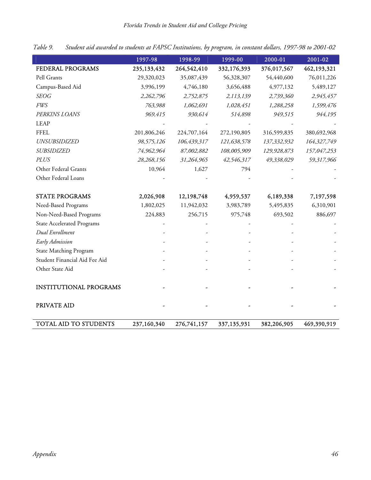|                                   | 1997-98     | 1998-99     | 1999-00     | 2000-01     | 2001-02     |
|-----------------------------------|-------------|-------------|-------------|-------------|-------------|
| FEDERAL PROGRAMS                  | 235,133,432 | 264,542,410 | 332,176,393 | 376,017,567 | 462,193,321 |
| Pell Grants                       | 29,320,023  | 35,087,439  | 56,328,307  | 54,440,600  | 76,011,226  |
| Campus-Based Aid                  | 3,996,199   | 4,746,180   | 3,656,488   | 4,977,132   | 5,489,127   |
| <b>SEOG</b>                       | 2,262,796   | 2,752,875   | 2,113,139   | 2,739,360   | 2,945,457   |
| <b>FWS</b>                        | 763,988     | 1,062,691   | 1,028,451   | 1,288,258   | 1,599,476   |
| PERKINS LOANS                     | 969,415     | 930,614     | 514,898     | 949,515     | 944,195     |
| <b>LEAP</b>                       |             |             |             |             |             |
| <b>FFEL</b>                       | 201,806,246 | 224,707,164 | 272,190,805 | 316,599,835 | 380,692,968 |
| <b>UNSUBSIDIZED</b>               | 98,575,126  | 106,439,317 | 121,638,578 | 137,332,932 | 164,327,749 |
| <b>SUBSIDIZED</b>                 | 74,962,964  | 87,002,882  | 108,005,909 | 129,928,873 | 157,047,253 |
| <b>PLUS</b>                       | 28,268,156  | 31,264,965  | 42,546,317  | 49,338,029  | 59,317,966  |
| Other Federal Grants              | 10,964      | 1,627       | 794         |             |             |
| Other Federal Loans               |             |             |             |             |             |
|                                   |             |             |             |             |             |
| <b>STATE PROGRAMS</b>             | 2,026,908   | 12,198,748  | 4,959,537   | 6,189,338   | 7,197,598   |
| Need-Based Programs               | 1,802,025   | 11,942,032  | 3,983,789   | 5,495,835   | 6,310,901   |
| Non-Need-Based Programs           | 224,883     | 256,715     | 975,748     | 693,502     | 886,697     |
| <b>State Accelerated Programs</b> |             |             |             |             |             |
| Dual Enrollment                   |             |             |             |             |             |
| <b>Early Admission</b>            |             |             |             |             |             |
| <b>State Matching Program</b>     |             |             |             |             |             |
| Student Financial Aid Fee Aid     |             |             |             |             |             |
| Other State Aid                   |             |             |             |             |             |
|                                   |             |             |             |             |             |
| <b>INSTITUTIONAL PROGRAMS</b>     |             |             |             |             |             |
|                                   |             |             |             |             |             |
| PRIVATE AID                       |             |             |             |             |             |
|                                   |             |             |             |             |             |
| TOTAL AID TO STUDENTS             | 237,160,340 | 276,741,157 | 337,135,931 | 382,206,905 | 469,390,919 |

*Table 9. Student aid awarded to students at FAPSC Institutions, by program, in constant dollars, 1997-98 to 2001-02*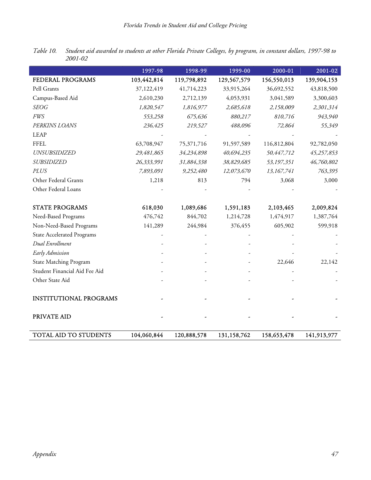|                                   | 1997-98     | 1998-99     | 1999-00     | 2000-01     | 2001-02     |
|-----------------------------------|-------------|-------------|-------------|-------------|-------------|
| FEDERAL PROGRAMS                  | 103,442,814 | 119,798,892 | 129,567,579 | 156,550,013 | 139,904,153 |
| Pell Grants                       | 37,122,419  | 41,714,223  | 33,915,264  | 36,692,552  | 43,818,500  |
| Campus-Based Aid                  | 2,610,230   | 2,712,139   | 4,053,931   | 3,041,589   | 3,300,603   |
| <b>SEOG</b>                       | 1,820,547   | 1,816,977   | 2,685,618   | 2,158,009   | 2,301,314   |
| <b>FWS</b>                        | 553,258     | 675,636     | 880,217     | 810,716     | 943,940     |
| PERKINS LOANS                     | 236,425     | 219,527     | 488,096     | 72,864      | 55,349      |
| <b>LEAP</b>                       |             |             |             |             |             |
| <b>FFEL</b>                       | 63,708,947  | 75,371,716  | 91,597,589  | 116,812,804 | 92,782,050  |
| UNSUBSIDIZED                      | 29,481,865  | 34,234,898  | 40,694,235  | 50,447,712  | 45,257,853  |
| <b>SUBSIDIZED</b>                 | 26,333,991  | 31,884,338  | 38,829,685  | 53,197,351  | 46,760,802  |
| PLUS                              | 7,893,091   | 9,252,480   | 12,073,670  | 13,167,741  | 763,395     |
| Other Federal Grants              | 1,218       | 813         | 794         | 3,068       | 3,000       |
| Other Federal Loans               |             |             |             |             |             |
|                                   |             |             |             |             |             |
| <b>STATE PROGRAMS</b>             | 618,030     | 1,089,686   | 1,591,183   | 2,103,465   | 2,009,824   |
| Need-Based Programs               | 476,742     | 844,702     | 1,214,728   | 1,474,917   | 1,387,764   |
| Non-Need-Based Programs           | 141,289     | 244,984     | 376,455     | 605,902     | 599,918     |
| <b>State Accelerated Programs</b> |             |             |             |             |             |
| Dual Enrollment                   |             |             |             |             |             |
| Early Admission                   |             |             |             |             |             |
| <b>State Matching Program</b>     |             |             |             | 22,646      | 22,142      |
| Student Financial Aid Fee Aid     |             |             |             |             |             |
| Other State Aid                   |             |             |             |             |             |
|                                   |             |             |             |             |             |
| <b>INSTITUTIONAL PROGRAMS</b>     |             |             |             |             |             |
|                                   |             |             |             |             |             |
| PRIVATE AID                       |             |             |             |             |             |
|                                   |             |             |             |             |             |
| TOTAL AID TO STUDENTS             | 104,060,844 | 120,888,578 | 131,158,762 | 158,653,478 | 141,913,977 |

*Table 10. Student aid awarded to students at other Florida Private Colleges, by program, in constant dollars, 1997-98 to 2001-02*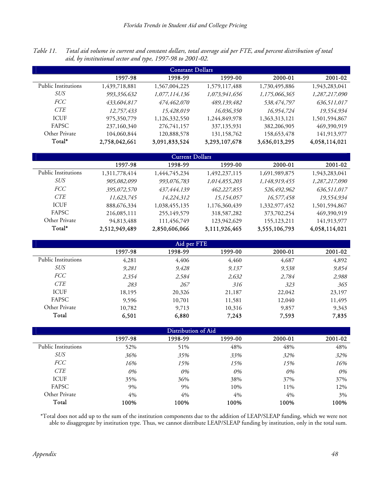*Table 11. Total aid volume in current and constant dollars, total average aid per FTE, and percent distribution of total aid, by institutional sector and type, 1997-98 to 2001-02.*

| <b>Constant Dollars</b> |               |               |               |               |               |  |  |  |
|-------------------------|---------------|---------------|---------------|---------------|---------------|--|--|--|
|                         | 1997-98       | 1998-99       | 1999-00       | 2000-01       | 2001-02       |  |  |  |
| Public Institutions     | 1,439,718,881 | 1,567,004,225 | 1,579,117,488 | 1,730,495,886 | 1,943,283,041 |  |  |  |
| SUS                     | 993,356,632   | 1,077,114,136 | 1,073,941,656 | 1,175,066,365 | 1,287,217,090 |  |  |  |
| <i>FCC</i>              | 433,604,817   | 474,462,070   | 489,139,482   | 538,474,797   | 636,511,017   |  |  |  |
| <b>CTE</b>              | 12,757,433    | 15,428,019    | 16,036,350    | 16,954,724    | 19,554,934    |  |  |  |
| <b>ICUF</b>             | 975,350,779   | 1,126,332,550 | 1,244,849,978 | 1,363,313,121 | 1,501,594,867 |  |  |  |
| <b>FAPSC</b>            | 237,160,340   | 276,741,157   | 337,135,931   | 382,206,905   | 469,390,919   |  |  |  |
| Other Private           | 104,060,844   | 120,888,578   | 131,158,762   | 158,653,478   | 141,913,977   |  |  |  |
| Total*                  | 2,758,042,661 | 3,091,833,524 | 3,293,107,678 | 3,636,013,295 | 4,058,114,021 |  |  |  |

| <b>Current Dollars</b> |               |               |               |               |               |  |  |  |
|------------------------|---------------|---------------|---------------|---------------|---------------|--|--|--|
|                        | 1997-98       | 1998-99       | 1999-00       | 2000-01       | 2001-02       |  |  |  |
| Public Institutions    | 1,311,778,414 | 1,444,745,234 | 1,492,237,115 | 1,691,989,875 | 1,943,283,041 |  |  |  |
| SUS                    | 905,082,099   | 993,076,783   | 1,014,855,203 | 1,148,919,455 | 1,287,217,090 |  |  |  |
| <i>FCC</i>             | 395,072,570   | 437,444,139   | 462,227,855   | 526,492,962   | 636,511,017   |  |  |  |
| <i>CTE</i>             | 11,623,745    | 14,224,312    | 15,154,057    | 16,577,458    | 19,554,934    |  |  |  |
| <b>ICUF</b>            | 888,676,334   | 1,038,455,135 | 1,176,360,439 | 1,332,977,452 | 1,501,594,867 |  |  |  |
| <b>FAPSC</b>           | 216,085,111   | 255,149,579   | 318,587,282   | 373,702,254   | 469,390,919   |  |  |  |
| Other Private          | 94,813,488    | 111,456,749   | 123,942,629   | 155, 123, 211 | 141,913,977   |  |  |  |
| Total*                 | 2,512,949,489 | 2,850,606,066 | 3,111,926,465 | 3,555,106,793 | 4,058,114,021 |  |  |  |

| Aid per FTE                |         |         |         |         |         |  |  |  |  |
|----------------------------|---------|---------|---------|---------|---------|--|--|--|--|
|                            | 1997-98 | 1998-99 | 1999-00 | 2000-01 | 2001-02 |  |  |  |  |
| <b>Public Institutions</b> | 4,281   | 4,406   | 4,460   | 4,687   | 4,892   |  |  |  |  |
| <b>SUS</b>                 | 9,281   | 9,428   | 9,137   | 9,538   | 9,854   |  |  |  |  |
| <i>FCC</i>                 | 2,354   | 2,584   | 2,632   | 2,784   | 2,988   |  |  |  |  |
| <b>CTE</b>                 | 283     | 267     | 316     | 323     | 365     |  |  |  |  |
| <b>ICUF</b>                | 18,195  | 20,326  | 21,187  | 22,042  | 23,197  |  |  |  |  |
| FAPSC                      | 9,596   | 10,701  | 11,581  | 12,040  | 11,495  |  |  |  |  |
| Other Private              | 10,782  | 9,713   | 10,316  | 9,857   | 9,343   |  |  |  |  |
| Total                      | 6,501   | 6,880   | 7,243   | 7,593   | 7,835   |  |  |  |  |

| Distribution of Aid        |         |         |         |         |         |  |  |  |
|----------------------------|---------|---------|---------|---------|---------|--|--|--|
|                            | 1997-98 | 1998-99 | 1999-00 | 2000-01 | 2001-02 |  |  |  |
| <b>Public Institutions</b> | 52%     | 51%     | 48%     | 48%     | 48%     |  |  |  |
| SUS                        | 36%     | 35%     | 33%     | 32%     | 32%     |  |  |  |
| <i>FCC</i>                 | 16%     | 15%     | 15%     | 15%     | 16%     |  |  |  |
| <b>CTE</b>                 | 0%      | 0%      | 0%      | 0%      | 0%      |  |  |  |
| <b>ICUF</b>                | 35%     | 36%     | 38%     | 37%     | 37%     |  |  |  |
| FAPSC                      | 9%      | 9%      | 10%     | 11%     | 12%     |  |  |  |
| Other Private              | 4%      | 4%      | 4%      | 4%      | 3%      |  |  |  |
| Total                      | 100%    | 100%    | 100%    | 100%    | 100%    |  |  |  |

\*Total does not add up to the sum of the institution components due to the addition of LEAP/SLEAP funding, which we were not able to disaggregate by institution type. Thus, we cannot distribute LEAP/SLEAP funding by institution, only in the total sum.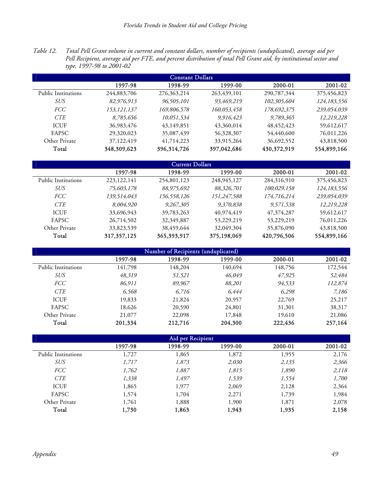*Table 12. Total Pell Grant volume in current and constant dollars, number of recipients (unduplicated), average aid per Pell Recipient, average aid per FTE, and percent distribution of total Pell Grant aid, by institutional sector and type, 1997-98 to 2001-02*

| <b>Constant Dollars</b> |               |               |             |               |               |  |  |  |  |
|-------------------------|---------------|---------------|-------------|---------------|---------------|--|--|--|--|
|                         | 1997-98       | 1998-99       | 1999-00     | 2000-01       | 2001-02       |  |  |  |  |
| Public Institutions     | 244,883,706   | 276, 363, 214 | 263,439,101 | 290,787,344   | 375,456,823   |  |  |  |  |
| SUS                     | 82,976,913    | 96,505,101    | 93,469,219  | 102,305,604   | 124, 183, 556 |  |  |  |  |
| <i>FCC</i>              | 153, 121, 137 | 169,806,578   | 160,053,458 | 178,692,375   | 239,054,039   |  |  |  |  |
| <b>CTE</b>              | 8,785,656     | 10,051,534    | 9,916,423   | 9,789,365     | 12,219,228    |  |  |  |  |
| <b>ICUF</b>             | 36,983,476    | 43,149,851    | 43,360,014  | 48, 452, 423  | 59,612,617    |  |  |  |  |
| <b>FAPSC</b>            | 29,320,023    | 35,087,439    | 56,328,307  | 54,440,600    | 76,011,226    |  |  |  |  |
| Other Private           | 37,122,419    | 41,714,223    | 33,915,264  | 36,692,552    | 43,818,500    |  |  |  |  |
| Total                   | 348,309,623   | 396,314,726   | 397,042,686 | 430, 372, 919 | 554,899,166   |  |  |  |  |

| Current Dollars     |               |             |             |              |               |  |  |  |
|---------------------|---------------|-------------|-------------|--------------|---------------|--|--|--|
|                     | 1997-98       | 1998-99     | 1999-00     | 2000-01      | 2001-02       |  |  |  |
| Public Institutions | 223, 122, 141 | 254,801,123 | 248,945,127 | 284,316,910  | 375,456,823   |  |  |  |
| SUS                 | 75,603,178    | 88,975,692  | 88,326,701  | 100,029,158  | 124, 183, 556 |  |  |  |
| <i>FCC</i>          | 139,514,043   | 156,558,126 | 151,247,588 | 174,716,214  | 239,054,039   |  |  |  |
| <i>CTE</i>          | 8,004,920     | 9,267,305   | 9,370,838   | 9,571,538    | 12,219,228    |  |  |  |
| <b>ICUF</b>         | 33,696,943    | 39,783,263  | 40,974,419  | 47, 374, 287 | 59,612,617    |  |  |  |
| <b>FAPSC</b>        | 26,714,502    | 32,349,887  | 53,229,219  | 53,229,219   | 76,011,226    |  |  |  |
| Other Private       | 33,823,539    | 38,459,644  | 32,049,304  | 35,876,090   | 43,818,500    |  |  |  |
| Total               | 317, 357, 125 | 365,393,917 | 375,198,069 | 420,796,506  | 554,899,166   |  |  |  |

| Number of Recipients (unduplicated) |         |         |         |         |         |  |  |
|-------------------------------------|---------|---------|---------|---------|---------|--|--|
|                                     | 1997-98 | 1998-99 | 1999-00 | 2000-01 | 2001-02 |  |  |
| <b>Public Institutions</b>          | 141,798 | 148,204 | 140,694 | 148,756 | 172,544 |  |  |
| SUS                                 | 48,319  | 51,521  | 46,049  | 47,925  | 52,484  |  |  |
| <i>FCC</i>                          | 86,911  | 89,967  | 88,201  | 94,533  | 112,874 |  |  |
| <b>CTE</b>                          | 6,568   | 6,716   | 6.444   | 6,298   | 7,186   |  |  |
| <b>ICUF</b>                         | 19,833  | 21,824  | 20,957  | 22,769  | 25,217  |  |  |
| FAPSC                               | 18,626  | 20,590  | 24,801  | 31,301  | 38,317  |  |  |
| Other Private                       | 21,077  | 22,098  | 17,848  | 19,610  | 21,086  |  |  |
| Total                               | 201,334 | 212,716 | 204,300 | 222,436 | 257,164 |  |  |

| Aid per Recipient          |         |         |         |         |         |  |  |
|----------------------------|---------|---------|---------|---------|---------|--|--|
|                            | 1997-98 | 1998-99 | 1999-00 | 2000-01 | 2001-02 |  |  |
| <b>Public Institutions</b> | 1,727   | 1,865   | 1,872   | 1,955   | 2,176   |  |  |
| <b>SUS</b>                 | 1,717   | 1,873   | 2,030   | 2,135   | 2,366   |  |  |
| <b>FCC</b>                 | 1,762   | 1,887   | 1,815   | 1,890   | 2,118   |  |  |
| <b>CTE</b>                 | 1,338   | 1,497   | 1,539   | 1,554   | 1,700   |  |  |
| <b>ICUF</b>                | 1,865   | 1,977   | 2,069   | 2,128   | 2,364   |  |  |
| <b>FAPSC</b>               | 1,574   | 1,704   | 2,271   | 1,739   | 1,984   |  |  |
| Other Private              | 1,761   | 1,888   | 1,900   | 1,871   | 2,078   |  |  |
| Total                      | 1,730   | 1,863   | 1,943   | 1,935   | 2,158   |  |  |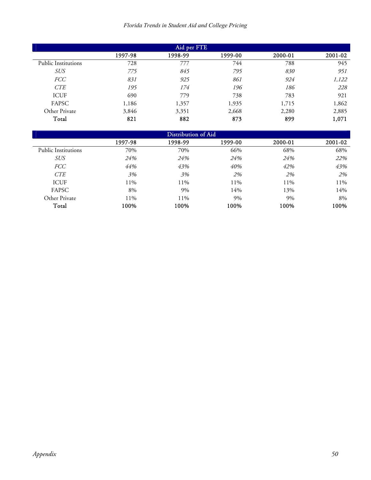## *Florida Trends in Student Aid and College Pricing*

| Aid per FTE                |         |         |         |         |         |  |  |
|----------------------------|---------|---------|---------|---------|---------|--|--|
|                            | 1997-98 | 1998-99 | 1999-00 | 2000-01 | 2001-02 |  |  |
| <b>Public Institutions</b> | 728     | 777     | 744     | 788     | 945     |  |  |
| <b>SUS</b>                 | 775     | 845     | 795     | 830     | 951     |  |  |
| <b>FCC</b>                 | 831     | 925     | 861     | 924     | 1,122   |  |  |
| <b>CTE</b>                 | 195     | 174     | 196     | 186     | 228     |  |  |
| <b>ICUF</b>                | 690     | 779     | 738     | 783     | 921     |  |  |
| FAPSC                      | 1,186   | 1,357   | 1,935   | 1,715   | 1,862   |  |  |
| Other Private              | 3,846   | 3,351   | 2,668   | 2,280   | 2,885   |  |  |
| Total                      | 821     | 882     | 873     | 899     | 1,071   |  |  |

| Distribution of Aid        |         |         |         |         |         |  |  |
|----------------------------|---------|---------|---------|---------|---------|--|--|
|                            | 1997-98 | 1998-99 | 1999-00 | 2000-01 | 2001-02 |  |  |
| <b>Public Institutions</b> | 70%     | 70%     | 66%     | 68%     | 68%     |  |  |
| <i>SUS</i>                 | 24%     | 24%     | 24%     | 24%     | 22%     |  |  |
| <i>FCC</i>                 | 44%     | 43%     | 40%     | 42%     | 43%     |  |  |
| CTE                        | 3%      | 3%      | 2%      | 2%      | 2%      |  |  |
| <b>ICUF</b>                | 11%     | 11%     | 11%     | 11%     | 11%     |  |  |
| FAPSC                      | 8%      | 9%      | 14%     | 13%     | 14%     |  |  |
| Other Private              | 11%     | 11%     | 9%      | 9%      | 8%      |  |  |
| Total                      | 100%    | 100%    | 100%    | 100%    | 100%    |  |  |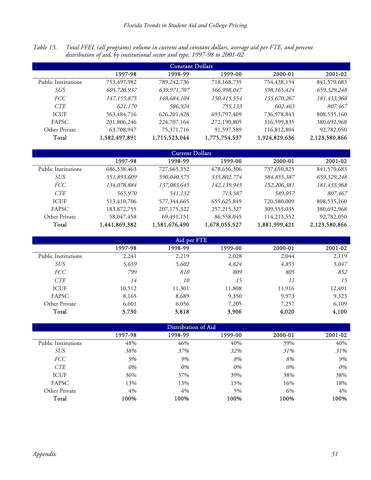*Table 13. Total FFEL (all programs) volume in current and constant dollars, average aid per FTE, and percent distribution of aid, by institutional sector and type, 1997-98 to 2001-02* 

| <b>Constant Dollars</b> |               |               |               |               |               |  |  |
|-------------------------|---------------|---------------|---------------|---------------|---------------|--|--|
|                         | 1997-98       | 1998-99       | 1999-00       | 2000-01       | 2001-02       |  |  |
| Public Institutions     | 753,497,982   | 789,242,736   | 718,168,735   | 754,438,154   | 841,570,683   |  |  |
| SUS                     | 605,720,937   | 639,971,707   | 566,998,047   | 598,165,424   | 659,329,248   |  |  |
| <i>FCC</i>              | 147, 155, 875 | 148,684,104   | 150,415,554   | 155,670,267   | 181,433,968   |  |  |
| <b>CTE</b>              | 621,170       | 586,924       | 755,133       | 602,463       | 807,467       |  |  |
| <b>ICUF</b>             | 563,484,716   | 626, 201, 428 | 693,797,409   | 736,978,843   | 808,535,160   |  |  |
| <b>FAPSC</b>            | 201,806,246   | 224,707,164   | 272,190,805   | 316,599,835   | 380,692,968   |  |  |
| Other Private           | 63,708,947    | 75,371,716    | 91,597,589    | 116,812,804   | 92,782,050    |  |  |
| Total                   | 1,582,497,891 | 1,715,523,044 | 1,775,754,537 | 1,924,829,636 | 2,123,580,866 |  |  |

| <b>Current Dollars</b> |               |               |               |               |               |  |  |  |
|------------------------|---------------|---------------|---------------|---------------|---------------|--|--|--|
|                        | 1997-98       | 1998-99       | 1999-00       | 2000-01       | 2001-02       |  |  |  |
| Public Institutions    | 686,538,463   | 727,665,352   | 678,656,306   | 737,650,825   | 841,570,683   |  |  |  |
| SUS                    | 551,893,609   | 590,040,575   | 535,802,774   | 584,855,387   | 659,329,248   |  |  |  |
| <i>FCC</i>             | 134,078,884   | 137,083,645   | 142,139,945   | 152,206,381   | 181,433,968   |  |  |  |
| <b>CTE</b>             | 565,970       | 541,132       | 713,587       | 589,057       | 807,467       |  |  |  |
| <b>ICUF</b>            | 513,410,706   | 577,344,665   | 655, 625, 849 | 720,580,009   | 808,535,160   |  |  |  |
| <b>FAPSC</b>           | 183,872,755   | 207, 175, 322 | 257, 215, 327 | 309,555,035   | 380,692,968   |  |  |  |
| Other Private          | 58,047,458    | 69,491,151    | 86,558,045    | 114,213,552   | 92,782,050    |  |  |  |
| Total                  | 1,441,869,382 | 1,581,676,490 | 1,678,055,527 | 1,881,999,421 | 2,123,580,866 |  |  |  |

| Aid per FTE                |         |         |         |         |         |  |  |  |
|----------------------------|---------|---------|---------|---------|---------|--|--|--|
|                            | 1997-98 | 1998-99 | 1999-00 | 2000-01 | 2001-02 |  |  |  |
| <b>Public Institutions</b> | 2,241   | 2,219   | 2,028   | 2,044   | 2,119   |  |  |  |
| <b>SUS</b>                 | 5,659   | 5,602   | 4,824   | 4,855   | 5,047   |  |  |  |
| <i>FCC</i>                 | 799     | 810     | 809     | 805     | 852     |  |  |  |
| <b>CTE</b>                 | 14      | 10      | 15      | 11      | 15      |  |  |  |
| <b>ICUF</b>                | 10,512  | 11,301  | 11,808  | 11,916  | 12,491  |  |  |  |
| FAPSC                      | 8,165   | 8,689   | 9,350   | 9,973   | 9,323   |  |  |  |
| Other Private              | 6,601   | 6,056   | 7,205   | 7,257   | 6,109   |  |  |  |
| Total                      | 3,730   | 3,818   | 3,906   | 4,020   | 4,100   |  |  |  |

| Distribution of Aid        |         |         |         |         |         |  |  |  |
|----------------------------|---------|---------|---------|---------|---------|--|--|--|
|                            | 1997-98 | 1998-99 | 1999-00 | 2000-01 | 2001-02 |  |  |  |
| <b>Public Institutions</b> | 48%     | 46%     | 40%     | 39%     | 40%     |  |  |  |
| <b>SUS</b>                 | 38%     | 37%     | 32%     | 31%     | 31%     |  |  |  |
| <i>FCC</i>                 | 9%      | 9%      | 8%      | 8%      | 9%      |  |  |  |
| <b>CTE</b>                 | 0%      | 0%      | 0%      | 0%      | 0%      |  |  |  |
| <b>ICUF</b>                | 36%     | 37%     | 39%     | 38%     | 38%     |  |  |  |
| FAPSC                      | 13%     | 13%     | 15%     | 16%     | 18%     |  |  |  |
| Other Private              | 4%      | 4%      | 5%      | 6%      | 4%      |  |  |  |
| Total                      | 100%    | 100%    | 100%    | 100%    | 100%    |  |  |  |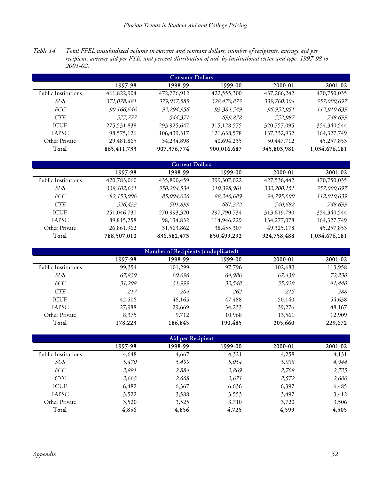*Table 14. Total FFEL unsubsidized volume in current and constant dollars, number of recipients, average aid per recipient, average aid per FTE, and percent distribution of aid, by institutional sector and type, 1997-98 to 2001-02.* 

| <b>Constant Dollars</b> |             |             |               |               |               |  |  |  |
|-------------------------|-------------|-------------|---------------|---------------|---------------|--|--|--|
|                         | 1997-98     | 1998-99     | 1999-00       | 2000-01       | 2001-02       |  |  |  |
| Public Institutions     | 461,822,904 | 472,776,912 | 422,555,300   | 437, 266, 242 | 470,750,035   |  |  |  |
| SUS                     | 371,078,481 | 379,937,585 | 328,470,873   | 339,760,304   | 357,090,697   |  |  |  |
| <i>FCC</i>              | 90,166,646  | 92,294,956  | 93,384,549    | 96,952,951    | 112,910,639   |  |  |  |
| <b>CTE</b>              | 577,777     | 544,371     | 699,878       | 552,987       | 748,699       |  |  |  |
| <b>ICUF</b>             | 275,531,838 | 293,925,647 | 315, 128, 575 | 320,757,095   | 354,340,544   |  |  |  |
| <b>FAPSC</b>            | 98,575,126  | 106,439,317 | 121,638,578   | 137,332,932   | 164,327,749   |  |  |  |
| Other Private           | 29,481,865  | 34,234,898  | 40,694,235    | 50,447,712    | 45,257,853    |  |  |  |
| Total                   | 865,411,733 | 907,376,774 | 900,016,687   | 945,803,981   | 1,034,676,181 |  |  |  |

| <b>Current Dollars</b> |             |             |               |               |               |  |  |  |
|------------------------|-------------|-------------|---------------|---------------|---------------|--|--|--|
|                        | 1997-98     | 1998-99     | 1999-00       | 2000-01       | 2001-02       |  |  |  |
| Public Institutions    | 420,783,060 | 435,890,459 | 399, 307, 022 | 427,536,442   | 470,750,035   |  |  |  |
| SUS                    | 338,102,631 | 350,294,534 | 310,398,961   | 332,200,151   | 357,090,697   |  |  |  |
| <i>FCC</i>             | 82,153,996  | 85,094,026  | 88,246,689    | 94,795,609    | 112,910,639   |  |  |  |
| <b>CTE</b>             | 526,433     | 501,899     | 661,372       | 540,682       | 748,699       |  |  |  |
| <b>ICUF</b>            | 251,046,730 | 270,993,320 | 297,790,734   | 313,619,790   | 354,340,544   |  |  |  |
| <b>FAPSC</b>           | 89,815,258  | 98,134,832  | 114,946,229   | 134, 277, 078 | 164,327,749   |  |  |  |
| Other Private          | 26,861,962  | 31,563,862  | 38,455,307    | 49, 325, 178  | 45,257,853    |  |  |  |
| Total                  | 788,507,010 | 836,582,473 | 850,499,292   | 924,758,488   | 1,034,676,181 |  |  |  |

| Number of Recipients (unduplicated) |         |         |         |         |         |  |  |  |
|-------------------------------------|---------|---------|---------|---------|---------|--|--|--|
|                                     | 1997-98 | 1998-99 | 1999-00 | 2000-01 | 2001-02 |  |  |  |
| Public Institutions                 | 99,354  | 101,299 | 97,796  | 102,683 | 113,958 |  |  |  |
| <i>SUS</i>                          | 67,839  | 69,096  | 64,986  | 67,439  | 72,230  |  |  |  |
| <b>FCC</b>                          | 31,298  | 31,999  | 32,548  | 35,029  | 41,440  |  |  |  |
| <b>CTE</b>                          | 217     | 204     | 262     | 215     | 288     |  |  |  |
| <b>ICUF</b>                         | 42,506  | 46,165  | 47,488  | 50,140  | 54,638  |  |  |  |
| FAPSC                               | 27,988  | 29,669  | 34,233  | 39,276  | 48,167  |  |  |  |
| Other Private                       | 8,375   | 9,712   | 10,968  | 13,561  | 12,909  |  |  |  |
| Total                               | 178,223 | 186,845 | 190,485 | 205,660 | 229,672 |  |  |  |

| Aid per Recipient          |         |         |         |         |         |  |
|----------------------------|---------|---------|---------|---------|---------|--|
|                            | 1997-98 | 1998-99 | 1999-00 | 2000-01 | 2001-02 |  |
| <b>Public Institutions</b> | 4,648   | 4,667   | 4,321   | 4,258   | 4,131   |  |
| <b>SUS</b>                 | 5,470   | 5,499   | 5,054   | 5,038   | 4,944   |  |
| <b>FCC</b>                 | 2,881   | 2,884   | 2,869   | 2,768   | 2,725   |  |
| <b>CTE</b>                 | 2,663   | 2,668   | 2,671   | 2,572   | 2,600   |  |
| <b>ICUF</b>                | 6,482   | 6,367   | 6,636   | 6,397   | 6,485   |  |
| FAPSC                      | 3,522   | 3,588   | 3,553   | 3,497   | 3,412   |  |
| Other Private              | 3,520   | 3,525   | 3,710   | 3,720   | 3,506   |  |
| Total                      | 4,856   | 4,856   | 4,725   | 4,599   | 4,505   |  |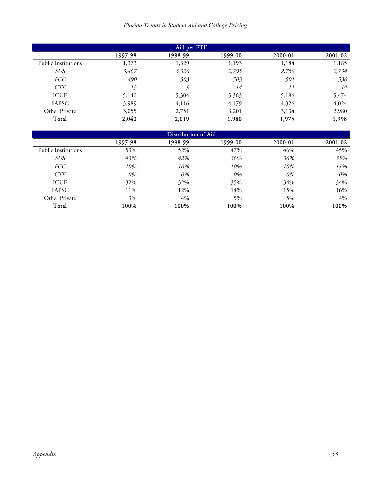## *Florida Trends in Student Aid and College Pricing*

| Aid per FTE         |         |         |         |         |         |
|---------------------|---------|---------|---------|---------|---------|
|                     | 1997-98 | 1998-99 | 1999-00 | 2000-01 | 2001-02 |
| Public Institutions | 1,373   | 1,329   | 1,193   | 1,184   | 1,185   |
| <b>SUS</b>          | 3,467   | 3,326   | 2,795   | 2,758   | 2,734   |
| <b>FCC</b>          | 490     | 503     | 503     | 501     | 530     |
| <b>CTE</b>          | 13      | 9       | 14      | 11      | 14      |
| <b>ICUF</b>         | 5,140   | 5,304   | 5,363   | 5,186   | 5,474   |
| FAPSC               | 3,989   | 4,116   | 4,179   | 4,326   | 4,024   |
| Other Private       | 3,055   | 2,751   | 3,201   | 3,134   | 2,980   |
| Total               | 2,040   | 2,019   | 1,980   | 1,975   | 1,998   |

| Distribution of Aid        |         |         |         |         |         |  |
|----------------------------|---------|---------|---------|---------|---------|--|
|                            | 1997-98 | 1998-99 | 1999-00 | 2000-01 | 2001-02 |  |
| <b>Public Institutions</b> | 53%     | 52%     | 47%     | 46%     | 45%     |  |
| <i>SUS</i>                 | 43%     | 42%     | 36%     | 36%     | 35%     |  |
| <i>FCC</i>                 | 10%     | 10%     | 10%     | 10%     | 11%     |  |
| <b>CTE</b>                 | 0%      | 0%      | 0%      | 0%      | 0%      |  |
| <b>ICUF</b>                | 32%     | 32%     | 35%     | 34%     | 34%     |  |
| FAPSC                      | 11%     | 12%     | 14%     | 15%     | 16%     |  |
| Other Private              | 3%      | $4\%$   | 5%      | 5%      | 4%      |  |
| Total                      | 100%    | 100%    | 100%    | 100%    | 100%    |  |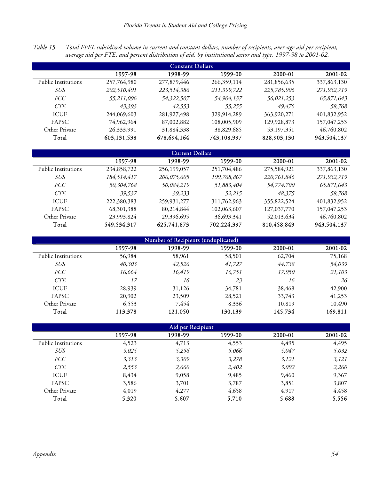*Table 15. Total FFEL subsidized volume in current and constant dollars, number of recipients, aver-age aid per recipient, average aid per FTE, and percent distribution of aid, by institutional sector and type, 1997-98 to 2001-02.* 

| <b>Constant Dollars</b> |             |               |             |             |             |  |
|-------------------------|-------------|---------------|-------------|-------------|-------------|--|
|                         | 1997-98     | 1998-99       | 1999-00     | 2000-01     | 2001-02     |  |
| Public Institutions     | 257,764,980 | 277,879,446   | 266,359,114 | 281,856,635 | 337,863,130 |  |
| SUS                     | 202,510,491 | 223,514,386   | 211,399,722 | 225,785,906 | 271,932,719 |  |
| <i>FCC</i>              | 55,211,096  | 54,322,507    | 54,904,137  | 56,021,253  | 65,871,643  |  |
| <b>CTE</b>              | 43,393      | 42,553        | 55,255      | 49,476      | 58,768      |  |
| <b>ICUF</b>             | 244,069,603 | 281, 927, 498 | 329,914,289 | 363,920,271 | 401,832,952 |  |
| <b>FAPSC</b>            | 74,962,964  | 87,002,882    | 108,005,909 | 129,928,873 | 157,047,253 |  |
| Other Private           | 26,333,991  | 31,884,338    | 38,829,685  | 53,197,351  | 46,760,802  |  |
| Total                   | 603,131,538 | 678,694,164   | 743,108,997 | 828,903,130 | 943,504,137 |  |

| <b>Current Dollars</b> |              |             |             |             |             |  |
|------------------------|--------------|-------------|-------------|-------------|-------------|--|
|                        | 1997-98      | 1998-99     | 1999-00     | 2000-01     | 2001-02     |  |
| Public Institutions    | 234,858,722  | 256,199,057 | 251,704,486 | 275,584,921 | 337,863,130 |  |
| SUS                    | 184,514,417  | 206,075,605 | 199,768,867 | 220,761,846 | 271,932,719 |  |
| <i>FCC</i>             | 50,304,768   | 50,084,219  | 51,883,404  | 54,774,700  | 65,871,643  |  |
| <b>CTE</b>             | 39,537       | 39,233      | 52,215      | 48,375      | 58,768      |  |
| <b>ICUF</b>            | 222,380,383  | 259,931,277 | 311,762,963 | 355,822,524 | 401,832,952 |  |
| <b>FAPSC</b>           | 68, 301, 388 | 80,214,844  | 102,063,607 | 127,037,770 | 157,047,253 |  |
| Other Private          | 23,993,824   | 29,396,695  | 36,693,341  | 52,013,634  | 46,760,802  |  |
| Total                  | 549,534,317  | 625,741,873 | 702,224,397 | 810,458,849 | 943,504,137 |  |

| Number of Recipients (unduplicated) |         |         |         |         |         |
|-------------------------------------|---------|---------|---------|---------|---------|
|                                     | 1997-98 | 1998-99 | 1999-00 | 2000-01 | 2001-02 |
| <b>Public Institutions</b>          | 56,984  | 58,961  | 58,501  | 62,704  | 75,168  |
| <b>SUS</b>                          | 40,303  | 42,526  | 41,727  | 44,738  | 54,039  |
| <i>FCC</i>                          | 16,664  | 16,419  | 16,751  | 17,950  | 21,103  |
| <b>CTE</b>                          | 17      | 16      | 23      | 16      | 26      |
| <b>ICUF</b>                         | 28,939  | 31,126  | 34,781  | 38,468  | 42,900  |
| <b>FAPSC</b>                        | 20,902  | 23,509  | 28,521  | 33,743  | 41,253  |
| Other Private                       | 6,553   | 7,454   | 8,336   | 10,819  | 10,490  |
| Total                               | 113,378 | 121,050 | 130,139 | 145,734 | 169,811 |

| Aid per Recipient          |         |         |         |         |         |  |
|----------------------------|---------|---------|---------|---------|---------|--|
|                            | 1997-98 | 1998-99 | 1999-00 | 2000-01 | 2001-02 |  |
| <b>Public Institutions</b> | 4,523   | 4,713   | 4,553   | 4,495   | 4,495   |  |
| <b>SUS</b>                 | 5,025   | 5,256   | 5,066   | 5,047   | 5,032   |  |
| <i>FCC</i>                 | 3,313   | 3,309   | 3,278   | 3,121   | 3,121   |  |
| <b>CTE</b>                 | 2,553   | 2,660   | 2,402   | 3,092   | 2,260   |  |
| <b>ICUF</b>                | 8,434   | 9,058   | 9,485   | 9,460   | 9,367   |  |
| FAPSC                      | 3,586   | 3,701   | 3,787   | 3,851   | 3,807   |  |
| Other Private              | 4,019   | 4,277   | 4,658   | 4,917   | 4,458   |  |
| Total                      | 5,320   | 5,607   | 5,710   | 5,688   | 5,556   |  |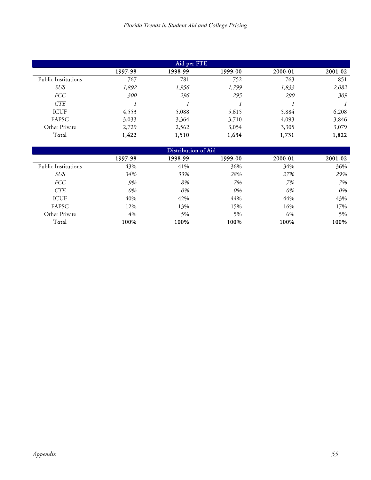| Aid per FTE                |         |         |         |         |         |  |
|----------------------------|---------|---------|---------|---------|---------|--|
|                            | 1997-98 | 1998-99 | 1999-00 | 2000-01 | 2001-02 |  |
| <b>Public Institutions</b> | 767     | 781     | 752     | 763     | 851     |  |
| <i>SUS</i>                 | 1,892   | 1,956   | 1,799   | 1,833   | 2,082   |  |
| <b>FCC</b>                 | 300     | 296     | 295     | 290     | 309     |  |
| CTE                        |         |         |         |         |         |  |
| <b>ICUF</b>                | 4,553   | 5,088   | 5,615   | 5,884   | 6,208   |  |
| FAPSC                      | 3,033   | 3,364   | 3,710   | 4,093   | 3,846   |  |
| Other Private              | 2,729   | 2,562   | 3,054   | 3,305   | 3,079   |  |
| Total                      | 1,422   | 1,510   | 1,634   | 1,731   | 1,822   |  |

| Distribution of Aid        |         |         |         |         |         |  |
|----------------------------|---------|---------|---------|---------|---------|--|
|                            | 1997-98 | 1998-99 | 1999-00 | 2000-01 | 2001-02 |  |
| <b>Public Institutions</b> | 43%     | 41%     | 36%     | 34%     | 36%     |  |
| <b>SUS</b>                 | 34%     | 33%     | 28%     | 27%     | 29%     |  |
| <b>FCC</b>                 | 9%      | 8%      | 7%      | 7%      | 7%      |  |
| <b>CTE</b>                 | 0%      | 0%      | 0%      | 0%      | 0%      |  |
| <b>ICUF</b>                | 40%     | 42%     | 44%     | 44%     | 43%     |  |
| FAPSC                      | 12%     | 13%     | 15%     | 16%     | 17%     |  |
| Other Private              | 4%      | 5%      | $5\%$   | 6%      | $5\%$   |  |
| Total                      | 100%    | 100%    | 100%    | 100%    | 100%    |  |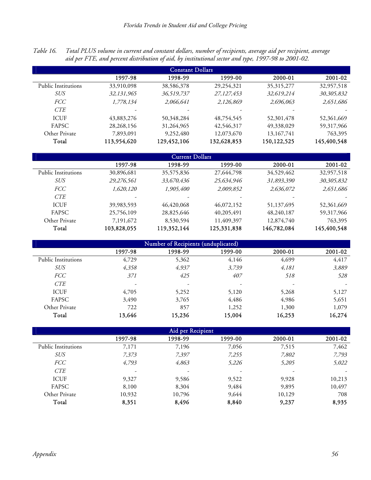| Table 16. Total PLUS volume in current and constant dollars, number of recipients, average aid per recipient, average |
|-----------------------------------------------------------------------------------------------------------------------|
| aid per FTE, and percent distribution of aid, by institutional sector and type, 1997-98 to 2001-02.                   |

| <b>Constant Dollars</b> |              |             |             |              |             |  |
|-------------------------|--------------|-------------|-------------|--------------|-------------|--|
|                         | 1997-98      | 1998-99     | 1999-00     | 2000-01      | 2001-02     |  |
| Public Institutions     | 33,910,098   | 38,586,378  | 29,254,321  | 35, 315, 277 | 32,957,518  |  |
| SUS                     | 32,131,965   | 36,519,737  | 27,127,453  | 32,619,214   | 30,305,832  |  |
| <i>FCC</i>              | 1,778,134    | 2,066,641   | 2,126,869   | 2,696,063    | 2,651,686   |  |
| <b>CTE</b>              | -            |             |             |              |             |  |
| <b>ICUF</b>             | 43,883,276   | 50,348,284  | 48,754,545  | 52,301,478   | 52,361,669  |  |
| <b>FAPSC</b>            | 28, 268, 156 | 31,264,965  | 42,546,317  | 49,338,029   | 59,317,966  |  |
| Other Private           | 7,893,091    | 9,252,480   | 12,073,670  | 13, 167, 741 | 763,395     |  |
| Total                   | 113,954,620  | 129,452,106 | 132,628,853 | 150,122,525  | 145,400,548 |  |

| <b>Current Dollars</b>     |             |             |             |             |             |  |
|----------------------------|-------------|-------------|-------------|-------------|-------------|--|
|                            | 1997-98     | 1998-99     | 1999-00     | 2000-01     | 2001-02     |  |
| <b>Public Institutions</b> | 30,896,681  | 35,575,836  | 27,644,798  | 34,529,462  | 32,957,518  |  |
| SUS                        | 29,276,561  | 33,670,436  | 25,634,946  | 31,893,390  | 30,305,832  |  |
| <i>FCC</i>                 | 1,620,120   | 1,905,400   | 2,009,852   | 2,636,072   | 2,651,686   |  |
| <b>CTE</b>                 |             |             |             |             |             |  |
| <b>ICUF</b>                | 39,983,593  | 46,420,068  | 46,072,152  | 51,137,695  | 52,361,669  |  |
| <b>FAPSC</b>               | 25,756,109  | 28,825,646  | 40,205,491  | 48,240,187  | 59,317,966  |  |
| Other Private              | 7,191,672   | 8,530,594   | 11,409,397  | 12,874,740  | 763,395     |  |
| Total                      | 103,828,055 | 119,352,144 | 125,331,838 | 146,782,084 | 145,400,548 |  |

| Number of Recipients (unduplicated) |         |         |         |         |         |  |  |  |
|-------------------------------------|---------|---------|---------|---------|---------|--|--|--|
|                                     | 1997-98 | 1998-99 | 1999-00 | 2000-01 | 2001-02 |  |  |  |
| <b>Public Institutions</b>          | 4,729   | 5,362   | 4,146   | 4,699   | 4,417   |  |  |  |
| <b>SUS</b>                          | 4,358   | 4,937   | 3,739   | 4,181   | 3,889   |  |  |  |
| <i>FCC</i>                          | 371     | 425     | 407     | 518     | 528     |  |  |  |
| CTE                                 | -       | -       |         | -       |         |  |  |  |
| <b>ICUF</b>                         | 4,705   | 5,252   | 5,120   | 5,268   | 5,127   |  |  |  |
| FAPSC                               | 3,490   | 3,765   | 4,486   | 4,986   | 5,651   |  |  |  |
| Other Private                       | 722     | 857     | 1,252   | 1,300   | 1,079   |  |  |  |
| Total                               | 13,646  | 15,236  | 15,004  | 16,253  | 16,274  |  |  |  |

| Aid per Recipient          |         |                          |         |         |         |  |  |
|----------------------------|---------|--------------------------|---------|---------|---------|--|--|
|                            | 1997-98 | 1998-99                  | 1999-00 | 2000-01 | 2001-02 |  |  |
| <b>Public Institutions</b> | 7,171   | 7,196                    | 7,056   | 7,515   | 7,462   |  |  |
| <i>SUS</i>                 | 7,373   | 7,397                    | 7,255   | 7,802   | 7,793   |  |  |
| <i>FCC</i>                 | 4,793   | 4,863                    | 5,226   | 5,205   | 5,022   |  |  |
| <b>CTE</b>                 | ۰       | $\overline{\phantom{a}}$ | ۰       | ۰       |         |  |  |
| <b>ICUF</b>                | 9,327   | 9,586                    | 9,522   | 9,928   | 10,213  |  |  |
| FAPSC                      | 8,100   | 8,304                    | 9,484   | 9,895   | 10,497  |  |  |
| Other Private              | 10,932  | 10,796                   | 9,644   | 10,129  | 708     |  |  |
| Total                      | 8,351   | 8,496                    | 8,840   | 9,237   | 8,935   |  |  |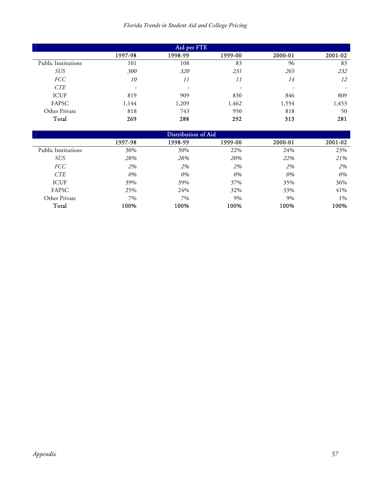|  |  | Florida Trends in Student Aid and College Pricing |  |  |  |
|--|--|---------------------------------------------------|--|--|--|
|--|--|---------------------------------------------------|--|--|--|

| Aid per FTE                |                          |                          |         |                          |         |  |
|----------------------------|--------------------------|--------------------------|---------|--------------------------|---------|--|
|                            | 1997-98                  | 1998-99                  | 1999-00 | 2000-01                  | 2001-02 |  |
| <b>Public Institutions</b> | 101                      | 108                      | 83      | 96                       | 83      |  |
| <b>SUS</b>                 | 300                      | 320                      | 231     | 265                      | 232     |  |
| <b>FCC</b>                 | 10                       | 11                       | 11      | 14                       | 12      |  |
| <b>CTE</b>                 | $\overline{\phantom{0}}$ | $\overline{\phantom{a}}$ | ۰       | $\overline{\phantom{0}}$ |         |  |
| <b>ICUF</b>                | 819                      | 909                      | 830     | 846                      | 809     |  |
| FAPSC                      | 1,144                    | 1,209                    | 1,462   | 1,554                    | 1,453   |  |
| Other Private              | 818                      | 743                      | 950     | 818                      | 50      |  |
| Total                      | 269                      | 288                      | 292     | 313                      | 281     |  |

| Distribution of Aid        |         |         |         |         |         |  |  |
|----------------------------|---------|---------|---------|---------|---------|--|--|
|                            | 1997-98 | 1998-99 | 1999-00 | 2000-01 | 2001-02 |  |  |
| <b>Public Institutions</b> | 30%     | 30%     | 22%     | 24%     | 23%     |  |  |
| <b>SUS</b>                 | 28%     | 28%     | 20%     | 22%     | 21%     |  |  |
| <i>FCC</i>                 | 2%      | 2%      | 2%      | 2%      | 2%      |  |  |
| <b>CTE</b>                 | 0%      | 0%      | 0%      | 0%      | 0%      |  |  |
| <b>ICUF</b>                | 39%     | 39%     | 37%     | 35%     | 36%     |  |  |
| FAPSC                      | 25%     | 24%     | 32%     | 33%     | 41%     |  |  |
| Other Private              | 7%      | 7%      | 9%      | 9%      | $1\%$   |  |  |
| Total                      | 100%    | 100%    | 100%    | 100%    | 100%    |  |  |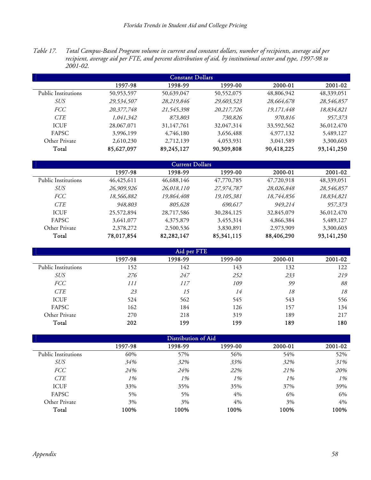*Table 17. Total Campus-Based Program volume in current and constant dollars, number of recipients, average aid per recipient, average aid per FTE, and percent distribution of aid, by institutional sector and type, 1997-98 to 2001-02.* 

| <b>Constant Dollars</b> |            |            |            |            |            |  |  |
|-------------------------|------------|------------|------------|------------|------------|--|--|
|                         | 1997-98    | 1998-99    | 1999-00    | 2000-01    | 2001-02    |  |  |
| Public Institutions     | 50,953,597 | 50,639,047 | 50,552,075 | 48,806,942 | 48,339,051 |  |  |
| <i>SUS</i>              | 29,534,507 | 28,219,846 | 29,603,523 | 28,664,678 | 28,546,857 |  |  |
| <i>FCC</i>              | 20,377,748 | 21,545,398 | 20,217,726 | 19,171,448 | 18,834,821 |  |  |
| <b>CTE</b>              | 1,041,342  | 873,803    | 730,826    | 970,816    | 957,373    |  |  |
| <b>ICUF</b>             | 28,067,071 | 31,147,761 | 32,047,314 | 33,592,562 | 36,012,470 |  |  |
| <b>FAPSC</b>            | 3,996,199  | 4,746,180  | 3,656,488  | 4,977,132  | 5,489,127  |  |  |
| Other Private           | 2,610,230  | 2,712,139  | 4,053,931  | 3,041,589  | 3,300,603  |  |  |
| Total                   | 85,627,097 | 89,245,127 | 90,309,808 | 90,418,225 | 93,141,250 |  |  |

| <b>Current Dollars</b> |              |            |            |            |            |  |  |  |
|------------------------|--------------|------------|------------|------------|------------|--|--|--|
|                        | 1997-98      | 1998-99    | 1999-00    | 2000-01    | 2001-02    |  |  |  |
| Public Institutions    | 46, 425, 611 | 46,688,146 | 47,770,785 | 47,720,918 | 48,339,051 |  |  |  |
| SUS                    | 26,909,926   | 26,018,110 | 27,974,787 | 28,026,848 | 28,546,857 |  |  |  |
| <i>FCC</i>             | 18,566,882   | 19,864,408 | 19,105,381 | 18,744,856 | 18,834,821 |  |  |  |
| <b>CTE</b>             | 948,803      | 805,628    | 690,617    | 949.214    | 957,373    |  |  |  |
| <b>ICUF</b>            | 25,572,894   | 28,717,586 | 30,284,125 | 32,845,079 | 36,012,470 |  |  |  |
| FAPSC                  | 3,641,077    | 4,375,879  | 3,455,314  | 4,866,384  | 5,489,127  |  |  |  |
| Other Private          | 2,378,272    | 2,500,536  | 3,830,891  | 2,973,909  | 3,300,603  |  |  |  |
| Total                  | 78,017,854   | 82,282,147 | 85,341,115 | 88,406,290 | 93,141,250 |  |  |  |

| Aid per FTE         |         |         |         |         |         |  |  |
|---------------------|---------|---------|---------|---------|---------|--|--|
|                     | 1997-98 | 1998-99 | 1999-00 | 2000-01 | 2001-02 |  |  |
| Public Institutions | 152     | 142     | 143     | 132     | 122     |  |  |
| <b>SUS</b>          | 276     | 247     | 252     | 233     | 219     |  |  |
| <b>FCC</b>          | 111     | 117     | 109     | 99      | 88      |  |  |
| <b>CTE</b>          | 23      | 15      | 14      | 18      | 18      |  |  |
| <b>ICUF</b>         | 524     | 562     | 545     | 543     | 556     |  |  |
| FAPSC               | 162     | 184     | 126     | 157     | 134     |  |  |
| Other Private       | 270     | 218     | 319     | 189     | 217     |  |  |
| Total               | 202     | 199     | 199     | 189     | 180     |  |  |

| Distribution of Aid        |         |         |         |         |         |  |  |
|----------------------------|---------|---------|---------|---------|---------|--|--|
|                            | 1997-98 | 1998-99 | 1999-00 | 2000-01 | 2001-02 |  |  |
| <b>Public Institutions</b> | 60%     | 57%     | 56%     | 54%     | 52%     |  |  |
| <b>SUS</b>                 | 34%     | 32%     | 33%     | 32%     | 31%     |  |  |
| <b>FCC</b>                 | 24%     | 24%     | 22%     | 21%     | 20%     |  |  |
| <b>CTE</b>                 | 1%      | 1%      | 1%      | 1%      | 1%      |  |  |
| <b>ICUF</b>                | 33%     | 35%     | 35%     | 37%     | 39%     |  |  |
| FAPSC                      | 5%      | 5%      | 4%      | 6%      | 6%      |  |  |
| Other Private              | 3%      | 3%      | 4%      | 3%      | 4%      |  |  |
| Total                      | 100%    | 100%    | 100%    | 100%    | 100%    |  |  |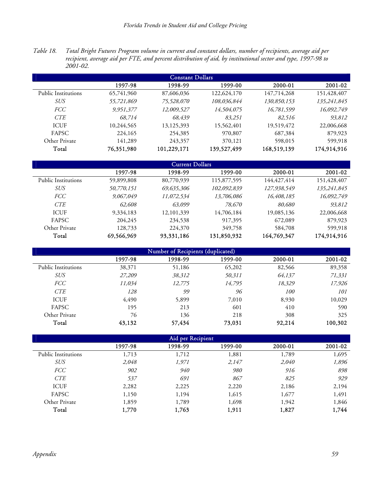*Table 18. Total Bright Futures Program volume in current and constant dollars, number of recipients, average aid per recipient, average aid per FTE, and percent distribution of aid, by institutional sector and type, 1997-98 to 2001-02.* 

| <b>Constant Dollars</b>    |            |             |             |             |             |  |  |
|----------------------------|------------|-------------|-------------|-------------|-------------|--|--|
|                            | 1997-98    | 1998-99     | 1999-00     | 2000-01     | 2001-02     |  |  |
| <b>Public Institutions</b> | 65,741,960 | 87,606,036  | 122,624,170 | 147,714,268 | 151,428,407 |  |  |
| SUS                        | 55,721,869 | 75,528,070  | 108,036,844 | 130,850,153 | 135,241,845 |  |  |
| <i>FCC</i>                 | 9,951,377  | 12,009,527  | 14,504,075  | 16,781,599  | 16,092,749  |  |  |
| <b>CTE</b>                 | 68,714     | 68,439      | 83,251      | 82.516      | 93,812      |  |  |
| <b>ICUF</b>                | 10,244,565 | 13,125,393  | 15,562,401  | 19,519,472  | 22,006,668  |  |  |
| FAPSC                      | 224,165    | 254,385     | 970,807     | 687,384     | 879,923     |  |  |
| Other Private              | 141,289    | 243,357     | 370,121     | 598,015     | 599,918     |  |  |
| Total                      | 76,351,980 | 101,229,171 | 139,527,499 | 168,519,139 | 174,914,916 |  |  |

| <b>Current Dollars</b> |            |              |             |             |             |  |  |  |
|------------------------|------------|--------------|-------------|-------------|-------------|--|--|--|
|                        | 1997-98    | 1998-99      | 1999-00     | 2000-01     | 2001-02     |  |  |  |
| Public Institutions    | 59,899,808 | 80,770,939   | 115,877,595 | 144,427,414 | 151,428,407 |  |  |  |
| SUS                    | 50,770,151 | 69,635,306   | 102,092,839 | 127,938,549 | 135,241,845 |  |  |  |
| <i>FCC</i>             | 9,067,049  | 11,072,534   | 13,706,086  | 16,408,185  | 16,092,749  |  |  |  |
| <b>CTE</b>             | 62,608     | 63,099       | 78,670      | 80,680      | 93,812      |  |  |  |
| <b>ICUF</b>            | 9,334,183  | 12, 101, 339 | 14,706,184  | 19,085,136  | 22,006,668  |  |  |  |
| <b>FAPSC</b>           | 204,245    | 234,538      | 917,395     | 672,089     | 879,923     |  |  |  |
| Other Private          | 128,733    | 224,370      | 349,758     | 584,708     | 599,918     |  |  |  |
| Total                  | 69,566,969 | 93,331,186   | 131,850,932 | 164,769,347 | 174,914,916 |  |  |  |

| Number of Recipients (duplicated) |         |         |         |         |         |  |  |  |
|-----------------------------------|---------|---------|---------|---------|---------|--|--|--|
|                                   | 1997-98 | 1998-99 | 1999-00 | 2000-01 | 2001-02 |  |  |  |
| <b>Public Institutions</b>        | 38,371  | 51,186  | 65,202  | 82,566  | 89,358  |  |  |  |
| <b>SUS</b>                        | 27,209  | 38,312  | 50,311  | 64,137  | 71,331  |  |  |  |
| <b>FCC</b>                        | 11,034  | 12,775  | 14,795  | 18,329  | 17,926  |  |  |  |
| <b>CTE</b>                        | 128     | 99      | 96      | 100     | 101     |  |  |  |
| <b>ICUF</b>                       | 4,490   | 5,899   | 7,010   | 8,930   | 10,029  |  |  |  |
| FAPSC                             | 195     | 213     | 601     | 410     | 590     |  |  |  |
| Other Private                     | 76      | 136     | 218     | 308     | 325     |  |  |  |
| Total                             | 43,132  | 57,434  | 73,031  | 92,214  | 100,302 |  |  |  |

| Aid per Recipient          |         |         |         |         |         |  |
|----------------------------|---------|---------|---------|---------|---------|--|
|                            | 1997-98 | 1998-99 | 1999-00 | 2000-01 | 2001-02 |  |
| <b>Public Institutions</b> | 1,713   | 1,712   | 1,881   | 1,789   | 1,695   |  |
| <b>SUS</b>                 | 2,048   | 1,971   | 2,147   | 2,040   | 1,896   |  |
| <b>FCC</b>                 | 902     | 940     | 980     | 916     | 898     |  |
| <b>CTE</b>                 | 537     | 691     | 867     | 825     | 929     |  |
| <b>ICUF</b>                | 2,282   | 2,225   | 2,220   | 2,186   | 2,194   |  |
| FAPSC                      | 1,150   | 1,194   | 1,615   | 1,677   | 1,491   |  |
| Other Private              | 1,859   | 1,789   | 1,698   | 1,942   | 1,846   |  |
| Total                      | 1,770   | 1,763   | 1,911   | 1,827   | 1,744   |  |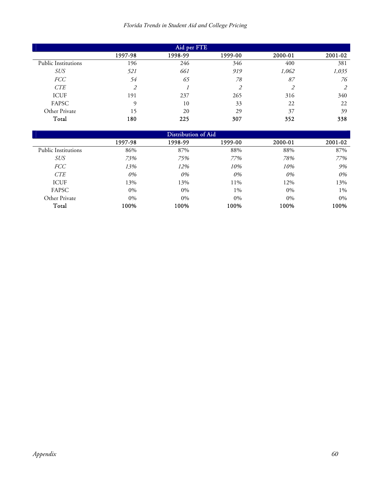| Florida Trends in Student Aid and College Pricing |  |  |  |  |  |  |
|---------------------------------------------------|--|--|--|--|--|--|
|---------------------------------------------------|--|--|--|--|--|--|

| Aid per FTE                |         |         |         |         |         |  |
|----------------------------|---------|---------|---------|---------|---------|--|
|                            | 1997-98 | 1998-99 | 1999-00 | 2000-01 | 2001-02 |  |
| <b>Public Institutions</b> | 196     | 246     | 346     | 400     | 381     |  |
| SUS                        | 521     | 661     | 919     | 1,062   | 1,035   |  |
| FCC                        | 54      | 65      | 78      | 87      | 76      |  |
| CTE                        | 2       |         | 2       |         |         |  |
| <b>ICUF</b>                | 191     | 237     | 265     | 316     | 340     |  |
| FAPSC                      | Q       | 10      | 33      | 22      | 22      |  |
| Other Private              | 15      | 20      | 29      | 37      | 39      |  |
| Total                      | 180     | 225     | 307     | 352     | 338     |  |

| Distribution of Aid        |         |         |         |         |         |  |
|----------------------------|---------|---------|---------|---------|---------|--|
|                            | 1997-98 | 1998-99 | 1999-00 | 2000-01 | 2001-02 |  |
| <b>Public Institutions</b> | 86%     | 87%     | 88%     | 88%     | 87%     |  |
| <i>SUS</i>                 | 73%     | 75%     | 77%     | 78%     | 77%     |  |
| <i>FCC</i>                 | 13%     | 12%     | 10%     | 10%     | 9%      |  |
| <b>CTE</b>                 | 0%      | 0%      | 0%      | 0%      | 0%      |  |
| <b>ICUF</b>                | 13%     | 13%     | 11%     | 12%     | 13%     |  |
| FAPSC                      | $0\%$   | $0\%$   | $1\%$   | $0\%$   | $1\%$   |  |
| Other Private              | $0\%$   | $0\%$   | $0\%$   | $0\%$   | $0\%$   |  |
| Total                      | 100%    | 100%    | 100%    | 100%    | 100%    |  |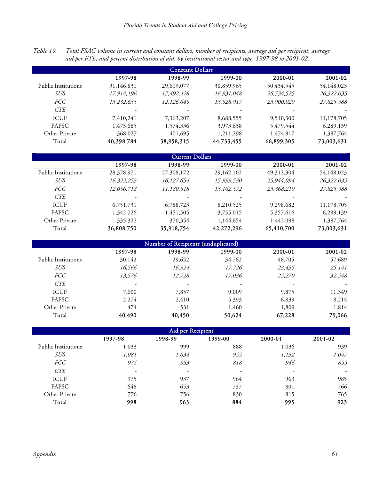*Table 19. Total FSAG volume in current and constant dollars, number of recipients, average aid per recipient, average aid per FTE, and percent distribution of aid, by institutional sector and type, 1997-98 to 2001-02.* 

| <b>Constant Dollars</b> |            |            |            |            |            |  |
|-------------------------|------------|------------|------------|------------|------------|--|
|                         | 1997-98    | 1998-99    | 1999-00    | 2000-01    | 2001-02    |  |
| Public Institutions     | 31,146,831 | 29,619,077 | 30,859,965 | 50,434,545 | 54,148,023 |  |
| <i>SUS</i>              | 17,914,196 | 17,492,428 | 16,931,048 | 26,534,525 | 26,322,035 |  |
| <b>FCC</b>              | 13,232,635 | 12,126,649 | 13,928,917 | 23,900,020 | 27,825,988 |  |
| <b>CTE</b>              |            |            |            |            |            |  |
| <b>ICUF</b>             | 7,410,241  | 7,363,207  | 8,688,555  | 9,510,300  | 11,178,705 |  |
| <b>FAPSC</b>            | 1,473,685  | 1,574,336  | 3,973,638  | 5,479,544  | 6,289,139  |  |
| Other Private           | 368,027    | 401,695    | 1,211,298  | 1,474,917  | 1,387,764  |  |
| Total                   | 40,398,784 | 38,958,315 | 44,733,455 | 66,899,305 | 73,003,631 |  |

| <b>Current Dollars</b> |            |            |            |            |            |  |
|------------------------|------------|------------|------------|------------|------------|--|
|                        | 1997-98    | 1998-99    | 1999-00    | 2000-01    | 2001-02    |  |
| Public Institutions    | 28,378,971 | 27,308,172 | 29,162,102 | 49,312,304 | 54,148,023 |  |
| SUS                    | 16,322,253 | 16,127,654 | 15,999,530 | 25,944,094 | 26,322,035 |  |
| <i>FCC</i>             | 12,056,718 | 11,180,518 | 13,162,572 | 23,368,210 | 27,825,988 |  |
| <b>CTE</b>             | -          |            |            |            |            |  |
| <b>ICUF</b>            | 6,751,731  | 6,788,723  | 8,210,525  | 9,298,682  | 11,178,705 |  |
| FAPSC                  | 1,342,726  | 1,451,505  | 3,755,015  | 5,357,616  | 6,289,139  |  |
| Other Private          | 335,322    | 370,354    | 1,144,654  | 1,442,098  | 1,387,764  |  |
| Total                  | 36,808,750 | 35,918,754 | 42,272,296 | 65,410,700 | 73,003,631 |  |

| Number of Recipients (unduplicated) |         |                          |         |         |         |  |  |
|-------------------------------------|---------|--------------------------|---------|---------|---------|--|--|
|                                     | 1997-98 | 1998-99                  | 1999-00 | 2000-01 | 2001-02 |  |  |
| <b>Public Institutions</b>          | 30,142  | 29,652                   | 34,762  | 48,705  | 57,689  |  |  |
| <i>SUS</i>                          | 16,566  | 16,924                   | 17,726  | 23,435  | 25,141  |  |  |
| <b>FCC</b>                          | 13,576  | 12,728                   | 17,036  | 25,270  | 32,548  |  |  |
| <b>CTE</b>                          | -       | $\overline{\phantom{0}}$ | -       | ۰       |         |  |  |
| <b>ICUF</b>                         | 7,600   | 7,857                    | 9,009   | 9,875   | 11,349  |  |  |
| FAPSC                               | 2,274   | 2,410                    | 5,393   | 6,839   | 8,214   |  |  |
| Other Private                       | 474     | 531                      | 1,460   | 1,809   | 1,814   |  |  |
| Total                               | 40,490  | 40,450                   | 50,624  | 67,228  | 79,066  |  |  |

| Aid per Recipient          |         |         |         |         |         |  |  |
|----------------------------|---------|---------|---------|---------|---------|--|--|
|                            | 1997-98 | 1998-99 | 1999-00 | 2000-01 | 2001-02 |  |  |
| <b>Public Institutions</b> | 1,033   | 999     | 888     | 1,036   | 939     |  |  |
| <b>SUS</b>                 | 1,081   | 1,034   | 955     | 1,132   | 1,047   |  |  |
| <b>FCC</b>                 | 975     | 953     | 818     | 946     | 855     |  |  |
| <i>CTE</i>                 |         | -       |         | ۰       |         |  |  |
| <b>ICUF</b>                | 975     | 937     | 964     | 963     | 985     |  |  |
| FAPSC                      | 648     | 653     | 737     | 801     | 766     |  |  |
| Other Private              | 776     | 756     | 830     | 815     | 765     |  |  |
| Total                      | 998     | 963     | 884     | 995     | 923     |  |  |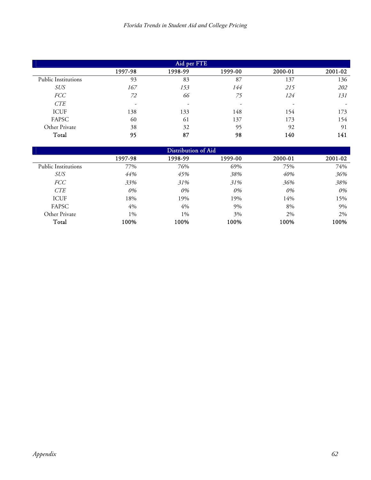| Aid per FTE                |         |                          |         |                          |         |  |
|----------------------------|---------|--------------------------|---------|--------------------------|---------|--|
|                            | 1997-98 | 1998-99                  | 1999-00 | 2000-01                  | 2001-02 |  |
| <b>Public Institutions</b> | 93      | 83                       | 87      | 137                      | 136     |  |
| <i>SUS</i>                 | 167     | 153                      | 144     | 215                      | 202     |  |
| <b>FCC</b>                 | 72      | 66                       | 75      | 124                      | 131     |  |
| CTE                        | ۰       | $\overline{\phantom{0}}$ |         | $\overline{\phantom{0}}$ |         |  |
| <b>ICUF</b>                | 138     | 133                      | 148     | 154                      | 173     |  |
| FAPSC                      | 60      | 61                       | 137     | 173                      | 154     |  |
| Other Private              | 38      | 32                       | 95      | 92                       | 91      |  |
| Total                      | 95      | 87                       | 98      | 140                      | 141     |  |

| Distribution of Aid        |         |         |         |         |         |  |
|----------------------------|---------|---------|---------|---------|---------|--|
|                            | 1997-98 | 1998-99 | 1999-00 | 2000-01 | 2001-02 |  |
| <b>Public Institutions</b> | 77%     | 76%     | 69%     | 75%     | 74%     |  |
| <b>SUS</b>                 | 44%     | 45%     | 38%     | 40%     | 36%     |  |
| <i>FCC</i>                 | 33%     | 31%     | 31%     | 36%     | 38%     |  |
| <b>CTE</b>                 | 0%      | 0%      | 0%      | 0%      | 0%      |  |
| <b>ICUF</b>                | 18%     | 19%     | 19%     | 14%     | 15%     |  |
| FAPSC                      | 4%      | 4%      | 9%      | 8%      | 9%      |  |
| Other Private              | $1\%$   | $1\%$   | 3%      | 2%      | 2%      |  |
| Total                      | 100%    | 100%    | 100%    | 100%    | 100%    |  |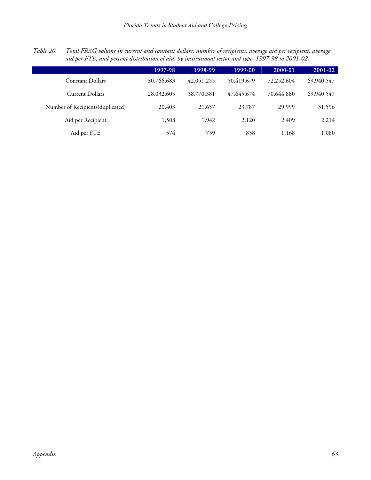| Table 20. Total FRAG volume in current and constant dollars, number of recipients, average aid per recipient, average |
|-----------------------------------------------------------------------------------------------------------------------|
| aid per FTE, and percent distribution of aid, by institutional sector and type, 1997-98 to 2001-02.                   |

|                                   | 1997-98    | 1998-99    | 1999-00    | 2000-01    | 2001-02    |
|-----------------------------------|------------|------------|------------|------------|------------|
| Constant Dollars                  | 30,766,683 | 42,051,255 | 50,419,679 | 72,252,604 | 69,940,547 |
| <b>Current Dollars</b>            | 28,032,605 | 38,770,381 | 47,645,674 | 70,644,880 | 69,940,547 |
| Number of Recipients (duplicated) | 20,403     | 21,657     | 23,787     | 29,999     | 31,596     |
| Aid per Recipient                 | 1,508      | 1,942      | 2,120      | 2.409      | 2,214      |
| Aid per FTE                       | 574        | 759        | 858        | 1,168      | 1,080      |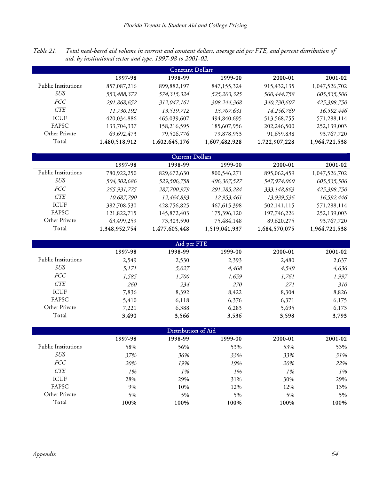*Table 21. Total need-based aid volume in current and constant dollars, average aid per FTE, and percent distribution of aid, by institutional sector and type, 1997-98 to 2001-02.* 

| <b>Constant Dollars</b> |               |               |               |               |               |  |  |
|-------------------------|---------------|---------------|---------------|---------------|---------------|--|--|
|                         | 1997-98       | 1998-99       | 1999-00       | 2000-01       | 2001-02       |  |  |
| Public Institutions     | 857,087,216   | 899,882,197   | 847,155,324   | 915, 432, 135 | 1,047,526,702 |  |  |
| SUS                     | 553,488,372   | 574,315,324   | 525,203,325   | 560,444,758   | 605,535,506   |  |  |
| <i>FCC</i>              | 291,868,652   | 312,047,161   | 308,244,368   | 340,730,607   | 425,398,750   |  |  |
| <b>CTE</b>              | 11,730,192    | 13,519,712    | 13,707,631    | 14,256,769    | 16,592,446    |  |  |
| <b>ICUF</b>             | 420,034,886   | 465,039,607   | 494,840,695   | 513,568,755   | 571,288,114   |  |  |
| <b>FAPSC</b>            | 133,704,337   | 158,216,595   | 185,607,956   | 202,246,500   | 252,139,003   |  |  |
| Other Private           | 69,692,473    | 79,506,776    | 79,878,953    | 91,659,838    | 93,767,720    |  |  |
| Total                   | 1,480,518,912 | 1,602,645,176 | 1,607,482,928 | 1,722,907,228 | 1,964,721,538 |  |  |

| <b>Current Dollars</b> |               |               |               |               |               |  |
|------------------------|---------------|---------------|---------------|---------------|---------------|--|
|                        | 1997-98       | 1998-99       | 1999-00       | 2000-01       | 2001-02       |  |
| Public Institutions    | 780,922,250   | 829,672,630   | 800,546,271   | 895,062,459   | 1,047,526,702 |  |
| SUS                    | 504,302,686   | 529,506,758   | 496,307,527   | 547,974,060   | 605,535,506   |  |
| <i>FCC</i>             | 265,931,775   | 287,700,979   | 291,285,284   | 333,148,863   | 425,398,750   |  |
| <b>CTE</b>             | 10,687,790    | 12,464,893    | 12,953,461    | 13,939,536    | 16,592,446    |  |
| <b>ICUF</b>            | 382,708,530   | 428,756,825   | 467, 615, 398 | 502,141,115   | 571,288,114   |  |
| <b>FAPSC</b>           | 121,822,715   | 145,872,403   | 175,396,120   | 197,746,226   | 252,139,003   |  |
| Other Private          | 63,499,259    | 73,303,590    | 75,484,148    | 89,620,275    | 93,767,720    |  |
| Total                  | 1,348,952,754 | 1,477,605,448 | 1,519,041,937 | 1,684,570,075 | 1,964,721,538 |  |

| Aid per FTE                |         |         |         |         |         |  |  |
|----------------------------|---------|---------|---------|---------|---------|--|--|
|                            | 1997-98 | 1998-99 | 1999-00 | 2000-01 | 2001-02 |  |  |
| <b>Public Institutions</b> | 2,549   | 2,530   | 2,393   | 2,480   | 2,637   |  |  |
| <i>SUS</i>                 | 5,171   | 5,027   | 4,468   | 4,549   | 4,636   |  |  |
| <i>FCC</i>                 | 1,585   | 1,700   | 1,659   | 1,761   | 1,997   |  |  |
| <b>CTE</b>                 | 260     | 234     | 270     | 271     | 310     |  |  |
| <b>ICUF</b>                | 7,836   | 8,392   | 8,422   | 8,304   | 8,826   |  |  |
| FAPSC                      | 5,410   | 6,118   | 6,376   | 6,371   | 6,175   |  |  |
| Other Private              | 7,221   | 6,388   | 6,283   | 5,695   | 6,173   |  |  |
| Total                      | 3,490   | 3,566   | 3,536   | 3,598   | 3,793   |  |  |

| Distribution of Aid        |         |         |         |         |         |  |  |
|----------------------------|---------|---------|---------|---------|---------|--|--|
|                            | 1997-98 | 1998-99 | 1999-00 | 2000-01 | 2001-02 |  |  |
| <b>Public Institutions</b> | 58%     | 56%     | 53%     | 53%     | 53%     |  |  |
| <i>SUS</i>                 | 37%     | 36%     | 33%     | 33%     | 31%     |  |  |
| <b>FCC</b>                 | 20%     | 19%     | 19%     | 20%     | 22%     |  |  |
| <b>CTE</b>                 | 1%      | 1%      | 1%      | 1%      | 1%      |  |  |
| <b>ICUF</b>                | 28%     | 29%     | 31%     | 30%     | 29%     |  |  |
| FAPSC                      | 9%      | 10%     | 12%     | 12%     | 13%     |  |  |
| Other Private              | $5\%$   | 5%      | 5%      | 5%      | 5%      |  |  |
| Total                      | 100%    | 100%    | 100%    | 100%    | 100%    |  |  |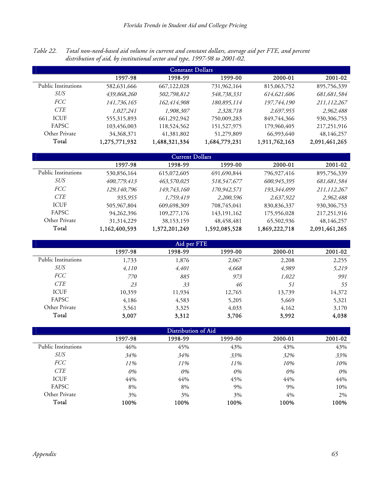*Table 22. Total non-need-based aid volume in current and constant dollars, average aid per FTE, and percent distribution of aid, by institutional sector and type, 1997-98 to 2001-02.* 

| <b>Constant Dollars</b> |               |               |               |               |               |  |
|-------------------------|---------------|---------------|---------------|---------------|---------------|--|
|                         | 1997-98       | 1998-99       | 1999-00       | 2000-01       | 2001-02       |  |
| Public Institutions     | 582,631,666   | 667,122,028   | 731,962,164   | 815,063,752   | 895,756,339   |  |
| SUS                     | 439,868,260   | 502,798,812   | 548,738,331   | 614,621,606   | 681,681,584   |  |
| <i>FCC</i>              | 141,736,165   | 162,414,908   | 180,895,114   | 197,744,190   | 211,112,267   |  |
| <b>CTE</b>              | 1,027,241     | 1,908,307     | 2,328,718     | 2,697,955     | 2,962,488     |  |
| <b>ICUF</b>             | 555,315,893   | 661,292,942   | 750,009,283   | 849,744,366   | 930,306,753   |  |
| FAPSC                   | 103,456,003   | 118,524,562   | 151,527,975   | 179,960,405   | 217,251,916   |  |
| Other Private           | 34,368,371    | 41,381,802    | 51,279,809    | 66,993,640    | 48,146,257    |  |
| Total                   | 1,275,771,932 | 1,488,321,334 | 1,684,779,231 | 1,911,762,163 | 2,091,461,265 |  |

| <b>Current Dollars</b> |               |               |               |               |               |  |
|------------------------|---------------|---------------|---------------|---------------|---------------|--|
|                        | 1997-98       | 1998-99       | 1999-00       | 2000-01       | 2001-02       |  |
| Public Institutions    | 530,856,164   | 615,072,605   | 691,690,844   | 796,927,416   | 895,756,339   |  |
| SUS                    | 400,779,413   | 463,570,025   | 518,547,677   | 600,945,395   | 681,681,584   |  |
| <i>FCC</i>             | 129,140,796   | 149,743,160   | 170,942,571   | 193,344,099   | 211,112,267   |  |
| <b>CTE</b>             | 935,955       | 1,759,419     | 2,200,596     | 2,637,922     | 2,962,488     |  |
| <b>ICUF</b>            | 505,967,804   | 609,698,309   | 708,745,041   | 830,836,337   | 930,306,753   |  |
| <b>FAPSC</b>           | 94,262,396    | 109,277,176   | 143, 191, 162 | 175,956,028   | 217,251,916   |  |
| Other Private          | 31,314,229    | 38,153,159    | 48,458,481    | 65,502,936    | 48,146,257    |  |
| Total                  | 1,162,400,593 | 1,372,201,249 | 1,592,085,528 | 1,869,222,718 | 2,091,461,265 |  |

| Aid per FTE                |         |         |         |         |         |  |  |
|----------------------------|---------|---------|---------|---------|---------|--|--|
|                            | 1997-98 | 1998-99 | 1999-00 | 2000-01 | 2001-02 |  |  |
| <b>Public Institutions</b> | 1,733   | 1,876   | 2,067   | 2,208   | 2,255   |  |  |
| <i>SUS</i>                 | 4,110   | 4,401   | 4,668   | 4,989   | 5,219   |  |  |
| <i>FCC</i>                 | 770     | 885     | 973     | 1,022   | 991     |  |  |
| <b>CTE</b>                 | 23      | 33      | 46      | 51      | 55      |  |  |
| <b>ICUF</b>                | 10,359  | 11,934  | 12,765  | 13,739  | 14,372  |  |  |
| FAPSC                      | 4,186   | 4,583   | 5,205   | 5,669   | 5,321   |  |  |
| Other Private              | 3,561   | 3,325   | 4,033   | 4,162   | 3,170   |  |  |
| Total                      | 3,007   | 3,312   | 3,706   | 3,992   | 4,038   |  |  |

| Distribution of Aid        |         |         |         |         |         |  |  |
|----------------------------|---------|---------|---------|---------|---------|--|--|
|                            | 1997-98 | 1998-99 | 1999-00 | 2000-01 | 2001-02 |  |  |
| <b>Public Institutions</b> | 46%     | 45%     | 43%     | 43%     | 43%     |  |  |
| <i>SUS</i>                 | 34%     | 34%     | 33%     | 32%     | 33%     |  |  |
| <i>FCC</i>                 | 11%     | 11%     | 11%     | 10%     | 10%     |  |  |
| <b>CTE</b>                 | 0%      | 0%      | 0%      | $0\%$   | 0%      |  |  |
| <b>ICUF</b>                | 44%     | 44%     | 45%     | 44%     | 44%     |  |  |
| FAPSC                      | 8%      | 8%      | 9%      | 9%      | 10%     |  |  |
| Other Private              | 3%      | 3%      | 3%      | $4\%$   | 2%      |  |  |
| Total                      | 100%    | 100%    | 100%    | 100%    | 100%    |  |  |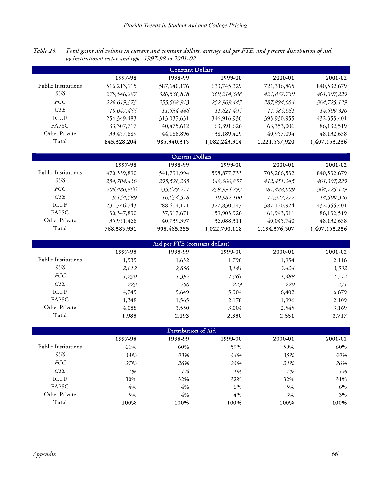*Table 23. Total grant aid volume in current and constant dollars, average aid per FTE, and percent distribution of aid, by institutional sector and type, 1997-98 to 2001-02.* 

| <b>Constant Dollars</b> |              |              |               |               |               |  |
|-------------------------|--------------|--------------|---------------|---------------|---------------|--|
|                         | 1997-98      | 1998-99      | 1999-00       | 2000-01       | 2001-02       |  |
| Public Institutions     | 516,213,115  | 587,640,176  | 633,745,329   | 721,316,865   | 840,532,679   |  |
| SUS                     | 279,546,287  | 320,536,818  | 369,214,388   | 421,837,739   | 461,307,229   |  |
| <i>FCC</i>              | 226,619,373  | 255,568,913  | 252,909,447   | 287,894,064   | 364,725,129   |  |
| <b>CTE</b>              | 10,047,455   | 11,534,446   | 11,621,495    | 11,585,061    | 14,500,320    |  |
| <b>ICUF</b>             | 254,349,483  | 313,037,631  | 346,916,930   | 395,930,955   | 432,355,401   |  |
| <b>FAPSC</b>            | 33, 307, 717 | 40, 475, 612 | 63,391,626    | 63,353,006    | 86,132,519    |  |
| Other Private           | 39,457,889   | 44,186,896   | 38,189,429    | 40,957,094    | 48,132,638    |  |
| Total                   | 843,328,204  | 985,340,315  | 1,082,243,314 | 1,221,557,920 | 1,407,153,236 |  |

| <b>Current Dollars</b> |             |              |               |               |               |  |  |
|------------------------|-------------|--------------|---------------|---------------|---------------|--|--|
|                        | 1997-98     | 1998-99      | 1999-00       | 2000-01       | 2001-02       |  |  |
| Public Institutions    | 470,339,890 | 541,791,994  | 598,877,733   | 705,266,532   | 840,532,679   |  |  |
| SUS                    | 254,704,436 | 295,528,265  | 348,900,837   | 412,451,245   | 461,307,229   |  |  |
| <i>FCC</i>             | 206,480,866 | 235,629,211  | 238,994,797   | 281,488,009   | 364,725,129   |  |  |
| <i>CTE</i>             | 9,154,589   | 10,634,518   | 10,982,100    | 11,327,277    | 14,500,320    |  |  |
| <b>ICUF</b>            | 231,746,743 | 288,614,171  | 327,830,147   | 387,120,924   | 432, 355, 401 |  |  |
| <b>FAPSC</b>           | 30,347,830  | 37, 317, 671 | 59,903,926    | 61,943,311    | 86,132,519    |  |  |
| Other Private          | 35,951,468  | 40,739,397   | 36,088,311    | 40,045,740    | 48,132,638    |  |  |
| Total                  | 768,385,931 | 908,463,233  | 1,022,700,118 | 1,194,376,507 | 1,407,153,236 |  |  |

| Aid per FTE (constant dollars) |         |            |         |            |         |  |  |  |  |  |  |
|--------------------------------|---------|------------|---------|------------|---------|--|--|--|--|--|--|
|                                | 1997-98 | 1998-99    | 1999-00 | 2000-01    | 2001-02 |  |  |  |  |  |  |
| <b>Public Institutions</b>     | 1,535   | 1,652      | 1,790   | 1,954      | 2,116   |  |  |  |  |  |  |
| <i>SUS</i>                     | 2,612   | 2,806      | 3,141   | 3,424      | 3,532   |  |  |  |  |  |  |
| <i>FCC</i>                     | 1,230   | 1,392      | 1,361   | 1,488      | 1,712   |  |  |  |  |  |  |
| <b>CTE</b>                     | 223     | <i>200</i> | 229     | <i>220</i> | 271     |  |  |  |  |  |  |
| <b>ICUF</b>                    | 4,745   | 5,649      | 5,904   | 6,402      | 6,679   |  |  |  |  |  |  |
| FAPSC                          | 1,348   | 1,565      | 2,178   | 1,996      | 2,109   |  |  |  |  |  |  |
| Other Private                  | 4,088   | 3,550      | 3,004   | 2,545      | 3,169   |  |  |  |  |  |  |
| Total                          | 1,988   | 2,193      | 2,380   | 2,551      | 2,717   |  |  |  |  |  |  |

|                            | Distribution of Aid |         |         |         |         |  |  |  |  |  |  |  |
|----------------------------|---------------------|---------|---------|---------|---------|--|--|--|--|--|--|--|
|                            | 1997-98             | 1998-99 | 1999-00 | 2000-01 | 2001-02 |  |  |  |  |  |  |  |
| <b>Public Institutions</b> | 61%                 | 60%     | 59%     | 59%     | 60%     |  |  |  |  |  |  |  |
| <i>SUS</i>                 | 33%                 | 33%     | 34%     | 35%     | 33%     |  |  |  |  |  |  |  |
| <b>FCC</b>                 | 27%                 | 26%     | 23%     | 24%     | 26%     |  |  |  |  |  |  |  |
| <b>CTE</b>                 | 1%                  | 1%      | 1%      | 1%      | 1%      |  |  |  |  |  |  |  |
| <b>ICUF</b>                | 30%                 | 32%     | 32%     | 32%     | 31%     |  |  |  |  |  |  |  |
| FAPSC                      | 4%                  | 4%      | 6%      | 5%      | 6%      |  |  |  |  |  |  |  |
| Other Private              | 5%                  | 4%      | 4%      | 3%      | 3%      |  |  |  |  |  |  |  |
| Total                      | 100%                | 100%    | 100%    | 100%    | 100%    |  |  |  |  |  |  |  |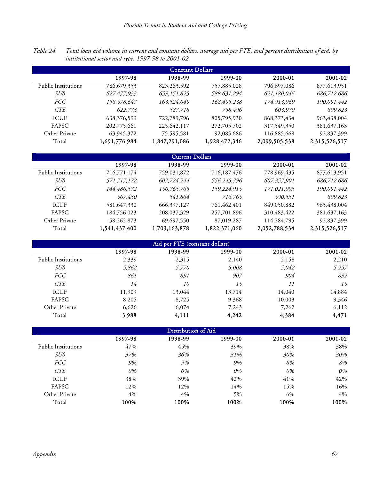*Table 24. Total loan aid volume in current and constant dollars, average aid per FTE, and percent distribution of aid, by institutional sector and type, 1997-98 to 2001-02.* 

|                     | <b>Constant Dollars</b> |               |               |               |               |  |  |  |  |  |  |  |  |
|---------------------|-------------------------|---------------|---------------|---------------|---------------|--|--|--|--|--|--|--|--|
|                     | 1997-98                 | 1998-99       | 1999-00       | 2000-01       | 2001-02       |  |  |  |  |  |  |  |  |
| Public Institutions | 786,679,353             | 823, 263, 592 | 757,885,028   | 796,697,086   | 877,613,951   |  |  |  |  |  |  |  |  |
| SUS                 | 627,477,933             | 659,151,825   | 588,631,294   | 621,180,046   | 686,712,686   |  |  |  |  |  |  |  |  |
| <i>FCC</i>          | 158,578,647             | 163,524,049   | 168,495,238   | 174,913,069   | 190,091,442   |  |  |  |  |  |  |  |  |
| <b>CTE</b>          | 622,773                 | 587,718       | 758,496       | 603,970       | 809,823       |  |  |  |  |  |  |  |  |
| <b>ICUF</b>         | 638,376,599             | 722,789,796   | 805,795,930   | 868, 373, 434 | 963,438,004   |  |  |  |  |  |  |  |  |
| <b>FAPSC</b>        | 202,775,661             | 225, 642, 117 | 272,705,702   | 317,549,350   | 381, 637, 163 |  |  |  |  |  |  |  |  |
| Other Private       | 63,945,372              | 75,595,581    | 92,085,686    | 116,885,668   | 92,837,399    |  |  |  |  |  |  |  |  |
| Total               | 1,691,776,984           | 1,847,291,086 | 1,928,472,346 | 2,099,505,538 | 2,315,526,517 |  |  |  |  |  |  |  |  |

|                     |               | <b>Current Dollars</b> |               |               |               |
|---------------------|---------------|------------------------|---------------|---------------|---------------|
|                     | 1997-98       | 1998-99                | 1999-00       | 2000-01       | 2001-02       |
| Public Institutions | 716,771,174   | 759,031,872            | 716,187,476   | 778,969,435   | 877,613,951   |
| SUS                 | 571,717,172   | 607,724,244            | 556,245,796   | 607,357,901   | 686,712,686   |
| <i>FCC</i>          | 144,486,572   | 150,765,765            | 159,224,915   | 171,021,003   | 190,091,442   |
| <b>CTE</b>          | 567,430       | 541,864                | 716,765       | 590,531       | 809,823       |
| <b>ICUF</b>         | 581,647,330   | 666, 397, 127          | 761,462,401   | 849,050,882   | 963,438,004   |
| <b>FAPSC</b>        | 184,756,023   | 208,037,329            | 257,701,896   | 310,483,422   | 381, 637, 163 |
| Other Private       | 58,262,873    | 69,697,550             | 87,019,287    | 114,284,795   | 92,837,399    |
| Total               | 1,541,437,400 | 1,703,163,878          | 1,822,371,060 | 2,052,788,534 | 2,315,526,517 |

|                     | Aid per FTE (constant dollars) |         |         |         |         |  |  |  |  |  |  |  |
|---------------------|--------------------------------|---------|---------|---------|---------|--|--|--|--|--|--|--|
|                     | 1997-98                        | 1998-99 | 1999-00 | 2000-01 | 2001-02 |  |  |  |  |  |  |  |
| Public Institutions | 2,339                          | 2,315   | 2,140   | 2,158   | 2,210   |  |  |  |  |  |  |  |
| <b>SUS</b>          | 5,862                          | 5,770   | 5,008   | 5,042   | 5,257   |  |  |  |  |  |  |  |
| <i>FCC</i>          | 861                            | 891     | 907     | 904     | 892     |  |  |  |  |  |  |  |
| <b>CTE</b>          | 14                             | 10      | 15      | 11      | 15      |  |  |  |  |  |  |  |
| <b>ICUF</b>         | 11,909                         | 13,044  | 13,714  | 14,040  | 14,884  |  |  |  |  |  |  |  |
| FAPSC               | 8,205                          | 8,725   | 9,368   | 10,003  | 9,346   |  |  |  |  |  |  |  |
| Other Private       | 6,626                          | 6.074   | 7,243   | 7,262   | 6,112   |  |  |  |  |  |  |  |
| Total               | 3,988                          | 4,111   | 4,242   | 4,384   | 4,471   |  |  |  |  |  |  |  |

|                            | Distribution of Aid |         |         |         |         |  |  |  |  |  |  |  |
|----------------------------|---------------------|---------|---------|---------|---------|--|--|--|--|--|--|--|
|                            | 1997-98             | 1998-99 | 1999-00 | 2000-01 | 2001-02 |  |  |  |  |  |  |  |
| <b>Public Institutions</b> | 47%                 | 45%     | 39%     | 38%     | 38%     |  |  |  |  |  |  |  |
| <i>SUS</i>                 | 37%                 | 36%     | 31%     | 30%     | 30%     |  |  |  |  |  |  |  |
| <i>FCC</i>                 | 9%                  | 9%      | 9%      | 8%      | 8%      |  |  |  |  |  |  |  |
| <b>CTE</b>                 | 0%                  | 0%      | 0%      | 0%      | 0%      |  |  |  |  |  |  |  |
| <b>ICUF</b>                | 38%                 | 39%     | 42%     | 41%     | 42%     |  |  |  |  |  |  |  |
| FAPSC                      | 12%                 | 12%     | 14%     | 15%     | 16%     |  |  |  |  |  |  |  |
| Other Private              | 4%                  | 4%      | 5%      | 6%      | 4%      |  |  |  |  |  |  |  |
| Total                      | 100%                | 100%    | 100%    | 100%    | 100%    |  |  |  |  |  |  |  |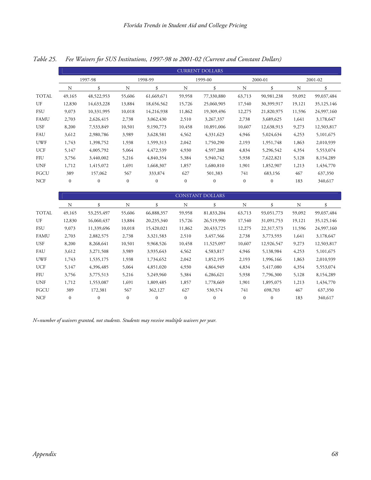*Table 25. Fee Waivers for SUS Institutions, 1997-98 to 2001-02 (Current and Constant Dollars)* 

|              |                  |                  |                  |                  |                  | <b>CURRENT DOLLARS</b>  |                  |                  |             |            |
|--------------|------------------|------------------|------------------|------------------|------------------|-------------------------|------------------|------------------|-------------|------------|
|              |                  | 1997-98          |                  | 1998-99          |                  | 1999-00                 |                  | 2000-01          |             | 2001-02    |
|              | $\mathbf N$      | \$               | $\mathbf N$      | \$               | $\mathbf N$      | \$                      | $\rm N$          | \$               | $\mathbf N$ | \$         |
| <b>TOTAL</b> | 49,165           | 48,522,953       | 55,606           | 61,669,671       | 59,958           | 77,330,880              | 63,713           | 90,981,238       | 59,092      | 99,037,484 |
| UF           | 12,830           | 14,633,228       | 13,884           | 18,656,562       | 15,726           | 25,060,905              | 17,540           | 30,399,917       | 19,121      | 35,125,146 |
| <b>FSU</b>   | 9,073            | 10,331,995       | 10,018           | 14,216,938       | 11,862           | 19,309,496              | 12,275           | 21,820,975       | 11,596      | 24,997,160 |
| FAMU         | 2,703            | 2,626,415        | 2,738            | 3,062,430        | 2,510            | 3,267,337               | 2,738            | 3,689,625        | 1,641       | 3,178,647  |
| <b>USF</b>   | 8,200            | 7,533,849        | 10,501           | 9,190,773        | 10,458           | 10,891,006              | 10,607           | 12,638,913       | 9,273       | 12,503,817 |
| FAU          | 3,612            | 2,980,786        | 3,989            | 3,628,581        | 4,562            | 4,331,623               | 4,946            | 5,024,634        | 4,253       | 5,101,675  |
| <b>UWF</b>   | 1,743            | 1,398,752        | 1,938            | 1,599,313        | 2,042            | 1,750,290               | 2,193            | 1,951,748        | 1,863       | 2,010,939  |
| <b>UCF</b>   | 5,147            | 4,005,792        | 5,064            | 4,472,539        | 4,930            | 4,597,288               | 4,834            | 5,296,542        | 4,354       | 5,553,074  |
| <b>FIU</b>   | 3,756            | 3,440,002        | 5,216            | 4,840,354        | 5,384            | 5,940,742               | 5,938            | 7,622,821        | 5,128       | 8,154,289  |
| <b>UNF</b>   | 1,712            | 1,415,072        | 1,691            | 1,668,307        | 1,857            | 1,680,810               | 1,901            | 1,852,907        | 1,213       | 1,434,770  |
| FGCU         | 389              | 157,062          | 567              | 333,874          | 627              | 501,383                 | 741              | 683,156          | 467         | 637,350    |
| <b>NCF</b>   | $\boldsymbol{0}$ | $\mathbf{0}$     | $\boldsymbol{0}$ | $\boldsymbol{0}$ | $\boldsymbol{0}$ | $\boldsymbol{0}$        | $\boldsymbol{0}$ | $\boldsymbol{0}$ | 183         | 340,617    |
|              |                  |                  |                  |                  |                  |                         |                  |                  |             |            |
|              |                  |                  |                  |                  |                  | <b>CONSTANT DOLLARS</b> |                  |                  |             |            |
|              | N                | \$               | $\rm N$          | \$               | $\mathbf N$      | \$                      | $\mathbf N$      | \$               | $\mathbf N$ | \$         |
| <b>TOTAL</b> | 49,165           | 53,255,497       | 55,606           | 66,888,357       | 59,958           | 81,833,204              | 63,713           | 93,051,773       | 59,092      | 99,037,484 |
| UF           | 12,830           | 16,060,437       | 13,884           | 20,235,340       | 15,726           | 26,519,990              | 17,540           | 31,091,753       | 19,121      | 35,125,146 |
| <b>FSU</b>   | 9,073            | 11,339,696       | 10,018           | 15,420,021       | 11,862           | 20,433,725              | 12,275           | 22,317,573       | 11,596      | 24,997,160 |
| <b>FAMU</b>  | 2,703            | 2,882,575        | 2,738            | 3,321,583        | 2,510            | 3,457,566               | 2,738            | 3,773,593        | 1,641       | 3,178,647  |
| <b>USF</b>   | 8,200            | 8,268,641        | 10,501           | 9,968,526        | 10,458           | 11,525,097              | 10,607           | 12,926,547       | 9,273       | 12,503,817 |
| FAU          | 3,612            | 3,271,508        | 3,989            | 3,935,643        | 4,562            | 4,583,817               | 4,946            | 5,138,984        | 4,253       | 5,101,675  |
| <b>UWF</b>   | 1,743            | 1,535,175        | 1,938            | 1,734,652        | 2,042            | 1,852,195               | 2,193            | 1,996,166        | 1,863       | 2,010,939  |
| <b>UCF</b>   | 5,147            | 4,396,485        | 5,064            | 4,851,020        | 4,930            | 4,864,949               | 4,834            | 5,417,080        | 4,354       | 5,553,074  |
| <b>FIU</b>   | 3,756            | 3,775,513        | 5,216            | 5,249,960        | 5,384            | 6,286,621               | 5,938            | 7,796,300        | 5,128       | 8,154,289  |
| <b>UNF</b>   | 1,712            | 1,553,087        | 1,691            | 1,809,485        | 1,857            | 1,778,669               | 1,901            | 1,895,075        | 1,213       | 1,434,770  |
| FGCU         | 389              | 172,381          | 567              | 362,127          | 627              | 530,574                 | 741              | 698,703          | 467         | 637,350    |
| <b>NCF</b>   | $\boldsymbol{0}$ | $\boldsymbol{0}$ | $\boldsymbol{0}$ | $\boldsymbol{0}$ | $\boldsymbol{0}$ | $\boldsymbol{0}$        | $\boldsymbol{0}$ | $\boldsymbol{0}$ | 183         | 340,617    |

*N=number of waivers granted, not students. Students may receive multiple waivers per year.*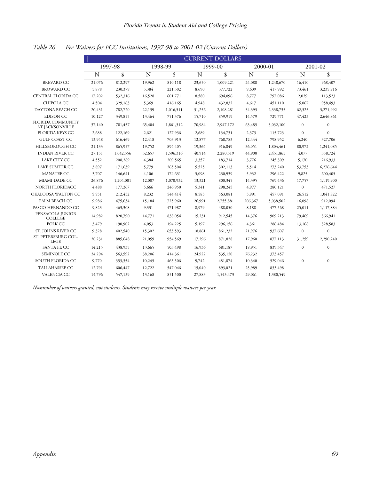# *Table 26. Fee Waivers for FCC Institutions, 1997-98 to 2001-02 (Current Dollars)*

|                                             |        |           |        |           |        | <b>CURRENT DOLLARS</b> |         |           |              |                  |
|---------------------------------------------|--------|-----------|--------|-----------|--------|------------------------|---------|-----------|--------------|------------------|
|                                             |        | 1997-98   |        | 1998-99   |        | 1999-00                |         | 2000-01   |              | 2001-02          |
|                                             | N      | \$        | N      | \$        | N      | \$                     | N       | \$        | N            | \$               |
| <b>BREVARD CC</b>                           | 21,076 | 812,297   | 19,962 | 810,118   | 23,650 | 1,009,221              | 24,088  | 1,248,670 | 16,410       | 968,407          |
| <b>BROWARD CC</b>                           | 5,878  | 230,379   | 5,384  | 221,302   | 8,690  | 377,722                | 9,609   | 417,992   | 73,461       | 3,235,916        |
| CENTRAL FLORIDA CC                          | 17,202 | 532,316   | 16,528 | 601,771   | 8,580  | 694,096                | 8,777   | 797,086   | 2,029        | 113,523          |
| CHIPOLA CC                                  | 4,504  | 329,163   | 5,369  | 416,165   | 4,948  | 432,832                | 4,617   | 451,110   | 15,067       | 958,493          |
| DAYTONA BEACH CC                            | 20,431 | 782,720   | 22,139 | 1,016,511 | 31,256 | 2,108,281              | 34,393  | 2,338,735 | 62,325       | 3,271,992        |
| <b>EDISON CC</b>                            | 10,127 | 349,855   | 13,464 | 751,376   | 15,710 | 859,919                | 14,579  | 729,771   | 47,423       | 2,646,861        |
| <b>FLORIDA COMMUNITY</b><br>AT JACKSONVILLE | 37,140 | 781,457   | 65,404 | 1,861,312 | 70,984 | 2,947,172              | 63,485  | 3,032,100 | $\mathbf{0}$ | $\boldsymbol{0}$ |
| <b>FLORIDA KEYS CC</b>                      | 2,688  | 122,169   | 2,621  | 127,936   | 2,689  | 134,731                | 2,373   | 115,723   | $\theta$     | $\Omega$         |
| <b>GULF COAST CC</b>                        | 13,948 | 616,469   | 12,418 | 703,913   | 12,877 | 768,783                | 12,444  | 798,952   | 6,240        | 327,706          |
| HILLSBOROUGH CC                             | 21,133 | 865,957   | 19,752 | 894,405   | 19,364 | 916,849                | 36,051  | 1,804,461 | 80,972       | 1,241,085        |
| <b>INDIAN RIVER CC</b>                      | 27,151 | 1,042,556 | 32,657 | 1,596,316 | 40,914 | 2,280,519              | 44,900  | 2,451,865 | 4,077        | 358,724          |
| LAKE CITY CC                                | 4,552  | 208,289   | 4,384  | 209,565   | 3,357  | 183,714                | 3,776   | 245,309   | 5,170        | 216,933          |
| LAKE SUMTER CC                              | 3,897  | 171,639   | 5,779  | 265,504   | 5,525  | 302,113                | 5,514   | 273,240   | 53,753       | 6,276,644        |
| MANATEE CC                                  | 3,707  | 146,641   | 4,106  | 174,631   | 5,098  | 230,939                | 5,932   | 296,422   | 9,825        | 600,405          |
| MIAMI-DADE CC                               | 26,876 | 1,204,001 | 12,007 | 1,070,932 | 13,321 | 800,345                | 14,395  | 769,436   | 17,757       | 1,119,900        |
| NORTH FLORIDACC                             | 4,488  | 177,267   | 5,666  | 246,950   | 5,341  | 298,245                | 4,977   | 280,121   | $\mathbf{0}$ | 471,527          |
| OKALOOSA WALTON CC                          | 5,951  | 212,452   | 8,232  | 544,414   | 8,585  | 563,081                | 5,991   | 457,091   | 26,512       | 1,041,822        |
| PALM BEACH CC                               | 9,986  | 475,634   | 15,184 | 725,960   | 26,991 | 2,755,881              | 206,367 | 5,038,502 | 16,098       | 912,094          |
| PASCO-HERNANDO CC                           | 9,823  | 463,308   | 9,331  | 471,987   | 8,979  | 488,050                | 8,188   | 477,568   | 25,011       | 1,117,884        |
| PENSACOLA JUNIOR<br><b>COLLEGE</b>          | 14,982 | 820,790   | 14,771 | 838,054   | 15,231 | 912,545                | 14,376  | 909,213   | 79,469       | 366,941          |
| POLK CC                                     | 3,479  | 190,902   | 4,053  | 194,225   | 5,197  | 296,156                | 4,361   | 286,484   | 13,168       | 328,583          |
| ST. JOHNS RIVER CC                          | 9,328  | 402,540   | 15,302 | 653,593   | 18,861 | 861,232                | 21,976  | 937,607   | $\mathbf{0}$ | $\mathbf{0}$     |
| ST. PETERSBURG COL-<br><b>LEGE</b>          | 20,231 | 885,648   | 21,059 | 954,569   | 17,296 | 871,828                | 17,960  | 877,113   | 31,259       | 2,290,240        |
| SANTA FE CC                                 | 14,215 | 438,935   | 13,665 | 503,498   | 16,936 | 681,187                | 18,951  | 839,347   | $\mathbf{0}$ | $\mathbf{0}$     |
| <b>SEMINOLE CC</b>                          | 24,294 | 563,592   | 38,206 | 414,361   | 24,922 | 535,120                | 76,232  | 373,457   |              |                  |
| SOUTH FLORIDA CC                            | 9,770  | 353,354   | 10,245 | 465,506   | 9,742  | 481,874                | 10,340  | 529,046   | $\mathbf{0}$ | $\mathbf{0}$     |
| TALLAHASSEE CC                              | 12,791 | 606,447   | 12,722 | 547,046   | 15,040 | 893,021                | 25,989  | 833,498   |              |                  |
| VALENCIA CC                                 | 14,796 | 547,139   | 13,168 | 851,500   | 27,883 | 1,543,473              | 29,061  | 1,380,549 |              |                  |

*N=number of waivers granted, not students. Students may receive multiple waivers per year.*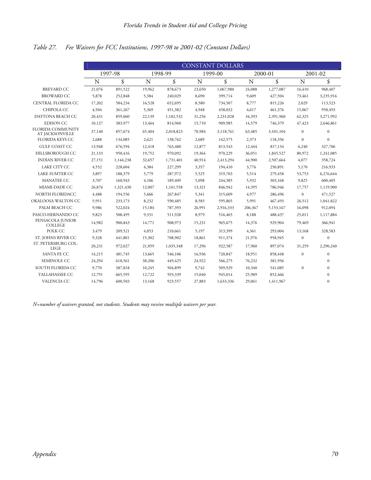# *Table 27. Fee Waivers for FCC Institutions, 1997-98 to 2001-02 (Constant Dollars)*

|                                             |        |           |        |           |        | <b>CONSTANT DOLLARS</b> |         |           |              |              |
|---------------------------------------------|--------|-----------|--------|-----------|--------|-------------------------|---------|-----------|--------------|--------------|
|                                             |        | 1997-98   |        | 1998-99   |        | 1999-00                 |         | 2000-01   |              | $2001 - 02$  |
|                                             | N      | \$        | N      | \$        | N      | \$                      | N       | \$        | N            | \$           |
| <b>BREVARD CC</b>                           | 21,076 | 891,522   | 19,962 | 878,673   | 23,650 | 1,067,980               | 24,088  | 1,277,087 | 16,410       | 968,407      |
| <b>BROWARD CC</b>                           | 5,878  | 252,848   | 5,384  | 240,029   | 8,690  | 399,714                 | 9,609   | 427,504   | 73,461       | 3,235,916    |
| CENTRAL FLORIDA CC                          | 17,202 | 584,234   | 16,528 | 652,695   | 8,580  | 734,507                 | 8,777   | 815,226   | 2,029        | 113,523      |
| CHIPOLA CC                                  | 4,504  | 361,267   | 5,369  | 451,382   | 4,948  | 458,032                 | 4,617   | 461,376   | 15,067       | 958,493      |
| DAYTONA BEACH CC                            | 20,431 | 859,060   | 22,139 | 1,102,532 | 31,256 | 2,231,028               | 34,393  | 2,391,960 | 62,325       | 3,271,992    |
| <b>EDISON CC</b>                            | 10,127 | 383,977   | 13,464 | 814,960   | 15,710 | 909,985                 | 14,579  | 746,379   | 47,423       | 2,646,861    |
| <b>FLORIDA COMMUNITY</b><br>AT JACKSONVILLE | 37,140 | 857,674   | 65,404 | 2,018,823 | 70,984 | 3,118,761               | 63,485  | 3,101,104 | $\mathbf{0}$ | $\mathbf{0}$ |
| <b>FLORIDA KEYS CC</b>                      | 2,688  | 134,085   | 2,621  | 138,762   | 2,689  | 142,575                 | 2,373   | 118,356   | $\mathbf{0}$ | $\theta$     |
| <b>GULF COAST CC</b>                        | 13,948 | 676,594   | 12,418 | 763,480   | 12,877 | 813,543                 | 12,444  | 817,134   | 6,240        | 327,706      |
| HILLSBOROUGH CC                             | 21,133 | 950,416   | 19,752 | 970,092   | 19,364 | 970,229                 | 36,051  | 1,845,527 | 80,972       | 1,241,085    |
| <b>INDIAN RIVER CC</b>                      | 27,151 | 1,144,238 | 32,657 | 1,731,401 | 40,914 | 2,413,294               | 44,900  | 2,507,664 | 4,077        | 358,724      |
| LAKE CITY CC                                | 4,552  | 228,604   | 4,384  | 227,299   | 3,357  | 194,410                 | 3,776   | 250,891   | 5,170        | 216,933      |
| LAKE SUMTER CC                              | 3,897  | 188,379   | 5,779  | 287,972   | 5,525  | 319,703                 | 5,514   | 279,458   | 53,753       | 6,276,644    |
| <b>MANATEE CC</b>                           | 3,707  | 160,943   | 4,106  | 189,409   | 5,098  | 244,385                 | 5,932   | 303,168   | 9,825        | 600,405      |
| MIAMI-DADE CC                               | 26,876 | 1,321,430 | 12,007 | 1,161,558 | 13,321 | 846,942                 | 14,395  | 786,946   | 17,757       | 1,119,900    |
| NORTH FLORIDACC                             | 4,488  | 194,556   | 5,666  | 267,847   | 5,341  | 315,609                 | 4,977   | 286,496   | $\mathbf{0}$ | 471,527      |
| OKALOOSA WALTON CC                          | 5,951  | 233,173   | 8,232  | 590,485   | 8,585  | 595,865                 | 5,991   | 467,493   | 26,512       | 1,041,822    |
| PALM BEACH CC                               | 9,986  | 522,024   | 15,184 | 787,393   | 26,991 | 2,916,333               | 206,367 | 5,153,167 | 16,098       | 912,094      |
| PASCO-HERNANDO CC                           | 9,823  | 508,495   | 9,331  | 511,928   | 8,979  | 516,465                 | 8,188   | 488,437   | 25,011       | 1,117,884    |
| PENSACOLA JUNIOR<br><b>COLLEGE</b>          | 14,982 | 900,843   | 14,771 | 908,973   | 15,231 | 965,675                 | 14,376  | 929,904   | 79,469       | 366,941      |
| POLK CC                                     | 3,479  | 209,521   | 4,053  | 210,661   | 5,197  | 313,399                 | 4,361   | 293,004   | 13,168       | 328,583      |
| ST. JOHNS RIVER CC                          | 9,328  | 441,801   | 15,302 | 708,902   | 18,861 | 911,374                 | 21,976  | 958,945   | $\mathbf{0}$ | $\mathbf{0}$ |
| ST. PETERSBURG COL-<br><b>LEGE</b>          | 20,231 | 972,027   | 21,059 | 1,035,348 | 17,296 | 922,587                 | 17,960  | 897,074   | 31,259       | 2,290,240    |
| SANTA FE CC                                 | 14,215 | 481,745   | 13,665 | 546,106   | 16,936 | 720,847                 | 18,951  | 858,448   | $\mathbf{0}$ | $\mathbf{0}$ |
| <b>SEMINOLE CC</b>                          | 24,294 | 618,561   | 38,206 | 449,425   | 24,922 | 566,275                 | 76,232  | 381,956   |              | $\Omega$     |
| SOUTH FLORIDA CC                            | 9,770  | 387,818   | 10,245 | 504,899   | 9,742  | 509,929                 | 10,340  | 541,085   | $\mathbf{0}$ | $\mathbf{0}$ |
| TALLAHASSEE CC                              | 12,791 | 665,595   | 12,722 | 593,339   | 15,040 | 945,014                 | 25,989  | 852,466   |              | $\Omega$     |
| VALENCIA CC                                 | 14,796 | 600,503   | 13,168 | 923,557   | 27,883 | 1,633,336               | 29,061  | 1,411,967 |              | $\mathbf{0}$ |

*N=number of waivers granted, not students. Students may receive multiple waivers per year.*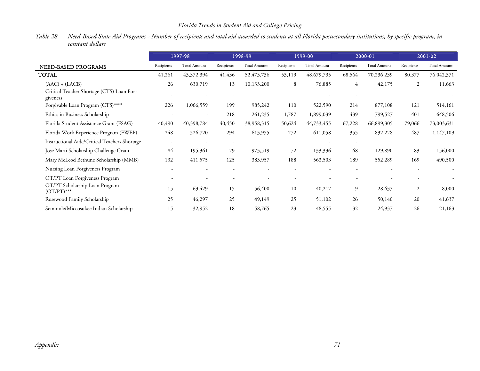# *Florida Trends in Student Aid and College Pricing*

*Table 28. Need-Based State Aid Programs - Number of recipients and total aid awarded to students at all Florida postsecondary institutions, by specific program, in constant dollars* 

|                                                       |                          | 1997-98                  |                          | 1998-99             |            | 1999-00             |            | 2000-01             | 2001-02    |                     |
|-------------------------------------------------------|--------------------------|--------------------------|--------------------------|---------------------|------------|---------------------|------------|---------------------|------------|---------------------|
| NEED-BASED PROGRAMS                                   | Recipients               | <b>Total Amount</b>      | Recipients               | <b>Total Amount</b> | Recipients | <b>Total Amount</b> | Recipients | <b>Total Amount</b> | Recipients | <b>Total Amount</b> |
| <b>TOTAL</b>                                          | 41,261                   | 43,372,394               | 41,436                   | 52,473,736          | 53,119     | 48,679,735          | 68,564     | 70,236,239          | 80,377     | 76,042,371          |
| $(AAC) + (LACB)$                                      | 26                       | 630,719                  | 13                       | 10,133,200          | 8          | 76,885              | 4          | 42,175              | 2          | 11,663              |
| Critical Teacher Shortage (CTS) Loan For-<br>giveness |                          |                          |                          |                     |            |                     |            |                     |            |                     |
| Forgivable Loan Program (CTS)****                     | 226                      | 1,066,559                | 199                      | 985,242             | 110        | 522,590             | 214        | 877,108             | 121        | 514,161             |
| Ethics in Business Scholarship                        |                          | $\overline{\phantom{a}}$ | 218                      | 261,235             | 1,787      | 1,899,039           | 439        | 799,527             | 401        | 648,506             |
| Florida Student Assistance Grant (FSAG)               | 40,490                   | 40,398,784               | 40,450                   | 38,958,315          | 50,624     | 44,733,455          | 67,228     | 66,899,305          | 79,066     | 73,003,631          |
| Florida Work Experience Program (FWEP)                | 248                      | 526,720                  | 294                      | 613,955             | 272        | 611,058             | 355        | 832,228             | 487        | 1,147,109           |
| Instructional Aide/Critical Teachers Shortage         |                          |                          | $\overline{\phantom{a}}$ |                     |            |                     |            |                     |            |                     |
| Jose Marti Scholarship Challenge Grant                | 84                       | 195,361                  | 79                       | 973,519             | 72         | 133,336             | 68         | 129,890             | 83         | 156,000             |
| Mary McLeod Bethune Scholarship (MMB)                 | 132                      | 411,575                  | 125                      | 383,957             | 188        | 563,503             | 189        | 552,289             | 169        | 490,500             |
| Nursing Loan Forgiveness Program                      | $\overline{\phantom{a}}$ |                          |                          |                     |            |                     |            |                     |            |                     |
| OT/PT Loan Forgiveness Program                        |                          |                          |                          |                     |            |                     |            |                     |            |                     |
| OT/PT Scholarship Loan Program<br>$(OT/PT)$ ***       | 15                       | 63,429                   | 15                       | 56,400              | 10         | 40,212              | 9          | 28,637              | 2          | 8,000               |
| Rosewood Family Scholarship                           | 25                       | 46,297                   | 25                       | 49,149              | 25         | 51,102              | 26         | 50,140              | 20         | 41,637              |
| Seminole/Miccosukee Indian Scholarship                | 15                       | 32,952                   | 18                       | 58,765              | 23         | 48,555              | 32         | 24,937              | 26         | 21,163              |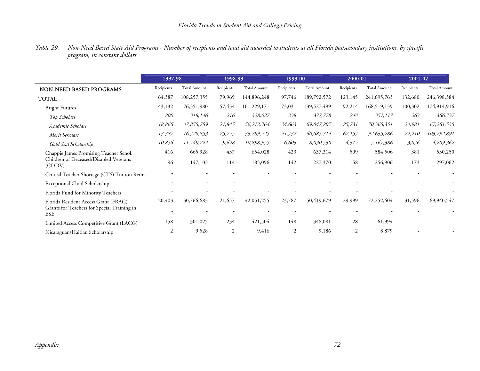| Table 29. Non-Need Based State Aid Programs - Number of recipients and total aid awarded to students at all Florida postsecondary institutions, by specific |  |
|-------------------------------------------------------------------------------------------------------------------------------------------------------------|--|
| program, in constant dollars                                                                                                                                |  |

|                                                           | 1997-98    |                     | 1998-99        |                     | 1999-00        |                     | 2000-01    |                     | 2001-02    |                     |
|-----------------------------------------------------------|------------|---------------------|----------------|---------------------|----------------|---------------------|------------|---------------------|------------|---------------------|
| NON-NEED BASED PROGRAMS                                   | Recipients | <b>Total Amount</b> | Recipients     | <b>Total Amount</b> | Recipients     | <b>Total Amount</b> | Recipients | <b>Total Amount</b> | Recipients | <b>Total Amount</b> |
| <b>TOTAL</b>                                              | 64,387     | 108,257,355         | 79,969         | 144,896,248         | 97,746         | 189,792,572         | 123,145    | 241,695,763         | 132,680    | 246,398,384         |
| <b>Bright Futures</b>                                     | 43,132     | 76,351,980          | 57,434         | 101,229,171         | 73,031         | 139,527,499         | 92,214     | 168,519,139         | 100,302    | 174,914,916         |
| Top Scholars                                              | 200        | 318,146             | 216            | 328,027             | 238            | 377,778             | 244        | 351,117             | 263        | 366,737             |
| Academic Scholars                                         | 18,866     | 47,855,759          | 21,845         | 56,212,764          | 24,663         | 69,047,207          | 25,731     | 70,365,351          | 24,981     | 67,261,535          |
| Merit Scholars                                            | 13,387     | 16,728,853          | 25,745         | 33,789,425          | 41,737         | 60,685,714          | 62,157     | 92,635,286          | 72,210     | 103,792,891         |
| Gold Seal Scholarship                                     | 10,856     | 11,449,222          | 9,628          | 10,898,955          | 6,603          | 8,030,530           | 4,314      | 5,167,386           | 3,076      | 4,209,362           |
| Chappie James Promising Teacher Schol.                    | 416        | 665,928             | 437            | 654,028             | 423            | 637,314             | 509        | 584,506             | 381        | 530,250             |
| Children of Deceased/Disabled Veterans<br>(CDDV)          | 96         | 147,103             | 114            | 185,096             | 142            | 227,370             | 158        | 256,906             | 173        | 297,062             |
| Critical Teacher Shortage (CTS) Tuition Reim.             |            |                     |                |                     |                |                     |            |                     |            |                     |
| Exceptional Child Scholarship                             |            |                     |                |                     |                |                     |            |                     |            |                     |
| Florida Fund for Minority Teachers                        |            |                     |                |                     |                |                     |            |                     |            |                     |
| Florida Resident Access Grant (FRAG)                      | 20,403     | 30,766,683          | 21,657         | 42,051,255          | 23,787         | 50,419,679          | 29,999     | 72,252,604          | 31,596     | 69,940,547          |
| Grants for Teachers for Special Training in<br><b>ESE</b> |            |                     |                |                     |                |                     |            |                     |            |                     |
| Limited Access Competitive Grant (LACG)                   | 158        | 301,025             | 234            | 421,504             | 148            | 348,081             | 28         | 61,994              |            |                     |
| Nicaraguan/Haitian Scholarship                            | 2          | 9,528               | $\overline{2}$ | 9,416               | $\overline{2}$ | 9,186               | 2          | 8,879               |            |                     |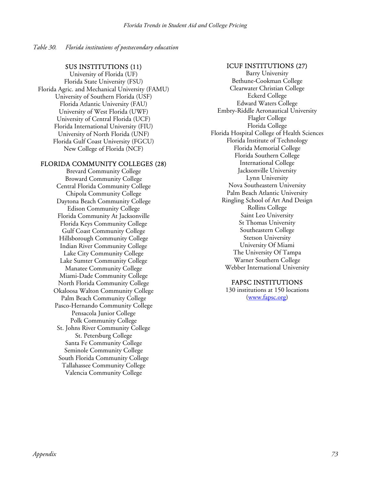*Table 30. Florida institutions of postsecondary education* 

#### SUS INSTITUTIONS (11)

University of Florida (UF) Florida State University (FSU) Florida Agric. and Mechanical University (FAMU) University of Southern Florida (USF) Florida Atlantic University (FAU) University of West Florida (UWF) University of Central Florida (UCF) Florida International University (FIU) University of North Florida (UNF) Florida Gulf Coast University (FGCU) New College of Florida (NCF)

#### FLORIDA COMMUNITY COLLEGES (28)

Brevard Community College Broward Community College Central Florida Community College Chipola Community College Daytona Beach Community College Edison Community College Florida Community At Jacksonville Florida Keys Community College Gulf Coast Community College Hillsborough Community College Indian River Community College Lake City Community College Lake Sumter Community College Manatee Community College Miami-Dade Community College North Florida Community College Okaloosa Walton Community College Palm Beach Community College Pasco-Hernando Community College Pensacola Junior College Polk Community College St. Johns River Community College St. Petersburg College Santa Fe Community College Seminole Community College South Florida Community College Tallahassee Community College Valencia Community College

#### ICUF INSTITUTIONS (27)

Barry University Bethune-Cookman College Clearwater Christian College Eckerd College Edward Waters College Embry-Riddle Aeronautical University Flagler College Florida College Florida Hospital College of Health Sciences Florida Institute of Technology Florida Memorial College Florida Southern College International College Jacksonville University Lynn University Nova Southeastern University Palm Beach Atlantic University Ringling School of Art And Design Rollins College Saint Leo University St Thomas University Southeastern College Stetson University University Of Miami The University Of Tampa Warner Southern College Webber International University

#### FAPSC INSTITUTIONS

130 institutions at 150 locations (www.fapsc.org)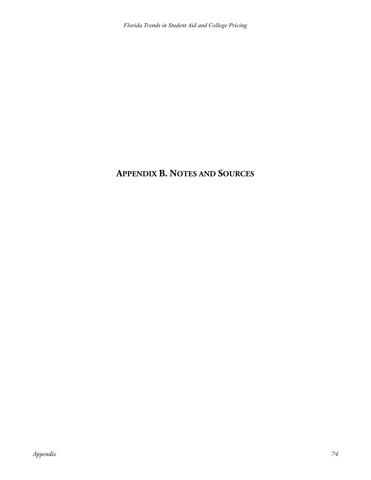# **APPENDIX B. NOTES AND SOURCES**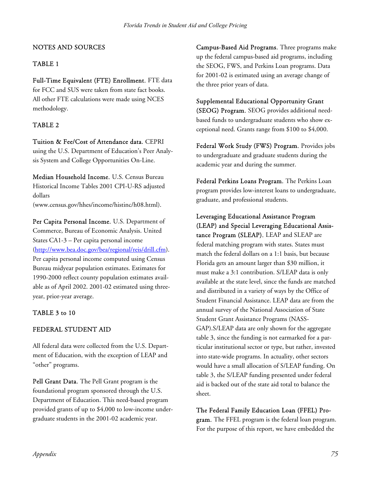## NOTES AND SOURCES

### TABLE 1

Full-Time Equivalent (FTE) Enrollment. FTE data for FCC and SUS were taken from state fact books. All other FTE calculations were made using NCES methodology.

## TABLE 2

Tuition & Fee/Cost of Attendance data. CEPRI using the U.S. Department of Education's Peer Analysis System and College Opportunities On-Line.

Median Household Income. U.S. Census Bureau Historical Income Tables 2001 CPI-U-RS adjusted dollars

(www.census.gov/hhes/income/histinc/h08.html).

Per Capita Personal Income. U.S. Department of Commerce, Bureau of Economic Analysis. United States CA1-3 – Per capita personal income (http://www.bea.doc.gov/bea/regional/reis/drill.cfm). Per capita personal income computed using Census Bureau midyear population estimates. Estimates for 1990-2000 reflect county population estimates available as of April 2002. 2001-02 estimated using threeyear, prior-year average.

#### TABLE 3 to 10

#### FEDERAL STUDENT AID

All federal data were collected from the U.S. Department of Education, with the exception of LEAP and "other" programs.

Pell Grant Data. The Pell Grant program is the foundational program sponsored through the U.S. Department of Education. This need-based program provided grants of up to \$4,000 to low-income undergraduate students in the 2001-02 academic year.

Campus-Based Aid Programs. Three programs make up the federal campus-based aid programs, including the SEOG, FWS, and Perkins Loan programs. Data for 2001-02 is estimated using an average change of the three prior years of data.

Supplemental Educational Opportunity Grant (SEOG) Program. SEOG provides additional needbased funds to undergraduate students who show exceptional need. Grants range from \$100 to \$4,000.

Federal Work Study (FWS) Program. Provides jobs to undergraduate and graduate students during the academic year and during the summer.

Federal Perkins Loans Program. The Perkins Loan program provides low-interest loans to undergraduate, graduate, and professional students.

Leveraging Educational Assistance Program (LEAP) and Special Leveraging Educational Assistance Program (SLEAP). LEAP and SLEAP are federal matching program with states. States must match the federal dollars on a 1:1 basis, but because Florida gets an amount larger than \$30 million, it must make a 3:1 contribution. S/LEAP data is only available at the state level, since the funds are matched and distributed in a variety of ways by the Office of Student Financial Assistance. LEAP data are from the annual survey of the National Association of State Student Grant Assistance Programs (NASS-GAP).S/LEAP data are only shown for the aggregate table 3, since the funding is not earmarked for a particular institutional sector or type, but rather, invested into state-wide programs. In actuality, other sectors would have a small allocation of S/LEAP funding. On table 3, the S/LEAP funding presented under federal aid is backed out of the state aid total to balance the sheet.

The Federal Family Education Loan (FFEL) Program. The FFEL program is the federal loan program. For the purpose of this report, we have embedded the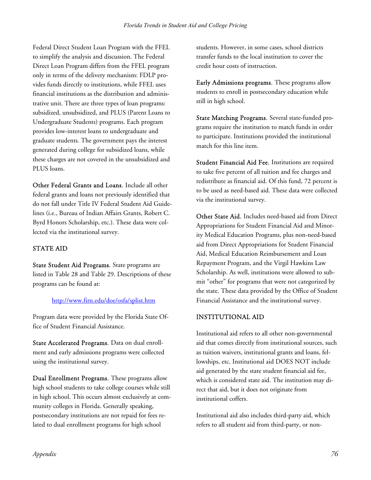Federal Direct Student Loan Program with the FFEL to simplify the analysis and discussion. The Federal Direct Loan Program differs from the FFEL program only in terms of the delivery mechanism: FDLP provides funds directly to institutions, while FFEL uses financial institutions as the distribution and administrative unit. There are three types of loan programs: subsidized, unsubsidized, and PLUS (Parent Loans to Undergraduate Students) programs. Each program provides low-interest loans to undergraduate and graduate students. The government pays the interest generated during college for subsidized loans, while these charges are not covered in the unsubsidized and PLUS loans.

Other Federal Grants and Loans. Include all other federal grants and loans not previously identified that do not fall under Title IV Federal Student Aid Guidelines (i.e., Bureau of Indian Affairs Grants, Robert C. Byrd Honors Scholarship, etc.). These data were collected via the institutional survey.

# STATE AID

State Student Aid Programs. State programs are listed in Table 28 and Table 29. Descriptions of these programs can be found at:

# http://www.firn.edu/doe/osfa/splist.htm

Program data were provided by the Florida State Office of Student Financial Assistance.

State Accelerated Programs. Data on dual enrollment and early admissions programs were collected using the institutional survey.

Dual Enrollment Programs. These programs allow high school students to take college courses while still in high school. This occurs almost exclusively at community colleges in Florida. Generally speaking, postsecondary institutions are not repaid for fees related to dual enrollment programs for high school

students. However, in some cases, school districts transfer funds to the local institution to cover the credit hour costs of instruction.

Early Admissions programs. These programs allow students to enroll in postsecondary education while still in high school.

State Matching Programs. Several state-funded programs require the institution to match funds in order to participate. Institutions provided the institutional match for this line item.

Student Financial Aid Fee. Institutions are required to take five percent of all tuition and fee charges and redistribute as financial aid. Of this fund, 72 percent is to be used as need-based aid. These data were collected via the institutional survey.

Other State Aid. Includes need-based aid from Direct Appropriations for Student Financial Aid and Minority Medical Education Programs, plus non-need-based aid from Direct Appropriations for Student Financial Aid, Medical Education Reimbursement and Loan Repayment Program, and the Virgil Hawkins Law Scholarship. As well, institutions were allowed to submit "other" for programs that were not categorized by the state. These data provided by the Office of Student Financial Assistance and the institutional survey.

# INSTITUTIONAL AID

Institutional aid refers to all other non-governmental aid that comes directly from institutional sources, such as tuition waivers, institutional grants and loans, fellowships, etc. Institutional aid DOES NOT include aid generated by the state student financial aid fee, which is considered state aid. The institution may direct that aid, but it does not originate from institutional coffers.

Institutional aid also includes third-party aid, which refers to all student aid from third-party, or non